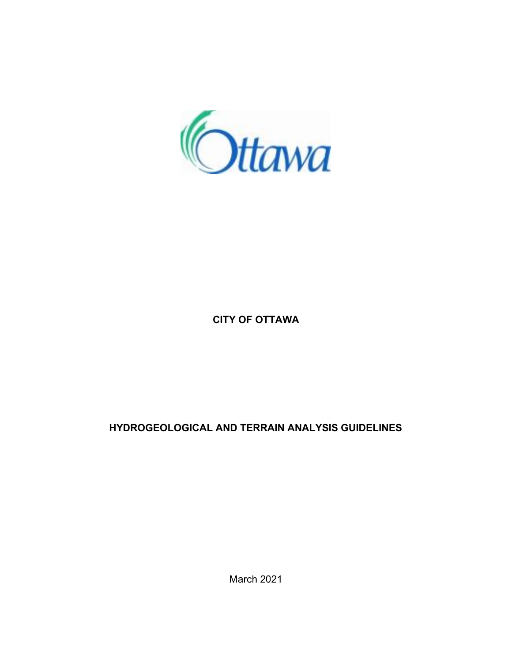

### **CITY OF OTTAWA**

### **HYDROGEOLOGICAL AND TERRAIN ANALYSIS GUIDELINES**

March 2021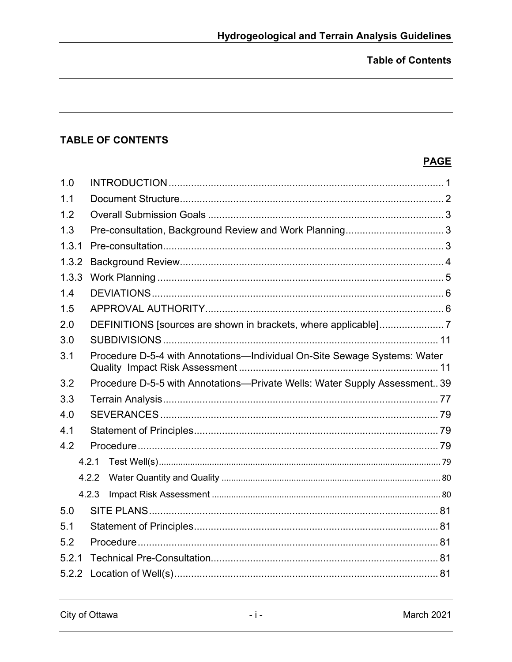### **Table of Contents**

# **TABLE OF CONTENTS**

#### **PAGE**

| 1.0   |                                                                            |
|-------|----------------------------------------------------------------------------|
| 1.1   |                                                                            |
| 1.2   |                                                                            |
| 1.3   |                                                                            |
| 1.3.1 |                                                                            |
| 1.3.2 |                                                                            |
| 1.3.3 |                                                                            |
| 1.4   |                                                                            |
| 1.5   |                                                                            |
| 2.0   | DEFINITIONS [sources are shown in brackets, where applicable]7             |
| 3.0   |                                                                            |
| 3.1   | Procedure D-5-4 with Annotations-Individual On-Site Sewage Systems: Water  |
| 3.2   | Procedure D-5-5 with Annotations—Private Wells: Water Supply Assessment 39 |
| 3.3   |                                                                            |
| 4.0   |                                                                            |
| 4.1   |                                                                            |
| 4.2   |                                                                            |
|       | 4.2.1                                                                      |
|       | 4.2.2                                                                      |
|       | 4.2.3                                                                      |
| 5.0   |                                                                            |
| 5.1   |                                                                            |
| 5.2   |                                                                            |
| 5.2.1 |                                                                            |
| 5.2.2 |                                                                            |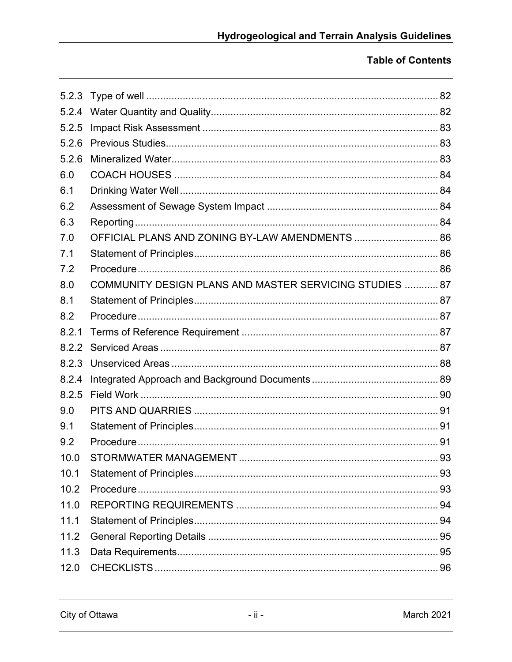# **Table of Contents**

| 5.2.5 |                                                         |  |
|-------|---------------------------------------------------------|--|
| 5.2.6 |                                                         |  |
| 5.2.6 |                                                         |  |
| 6.0   |                                                         |  |
| 6.1   |                                                         |  |
| 6.2   |                                                         |  |
| 6.3   |                                                         |  |
| 7.0   | OFFICIAL PLANS AND ZONING BY-LAW AMENDMENTS  86         |  |
| 7.1   |                                                         |  |
| 7.2   |                                                         |  |
| 8.0   | COMMUNITY DESIGN PLANS AND MASTER SERVICING STUDIES  87 |  |
| 8.1   |                                                         |  |
| 8.2   |                                                         |  |
| 8.2.1 |                                                         |  |
| 8.2.2 |                                                         |  |
| 8.2.3 |                                                         |  |
| 8.2.4 |                                                         |  |
| 8.2.5 |                                                         |  |
| 9.0   |                                                         |  |
| 9.1   |                                                         |  |
| 9.2   |                                                         |  |
| 10.0  |                                                         |  |
| 10.1  |                                                         |  |
| 10.2  |                                                         |  |
| 11.0  |                                                         |  |
| 11.1  |                                                         |  |
| 11.2  |                                                         |  |
| 11.3  |                                                         |  |
| 12.0  |                                                         |  |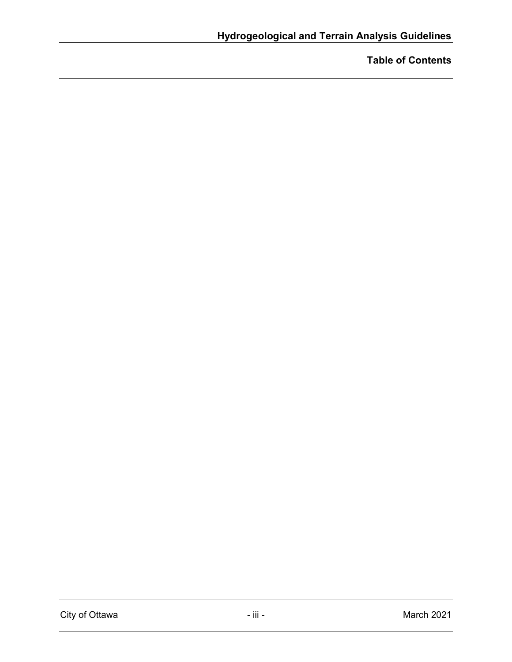**Table of Contents**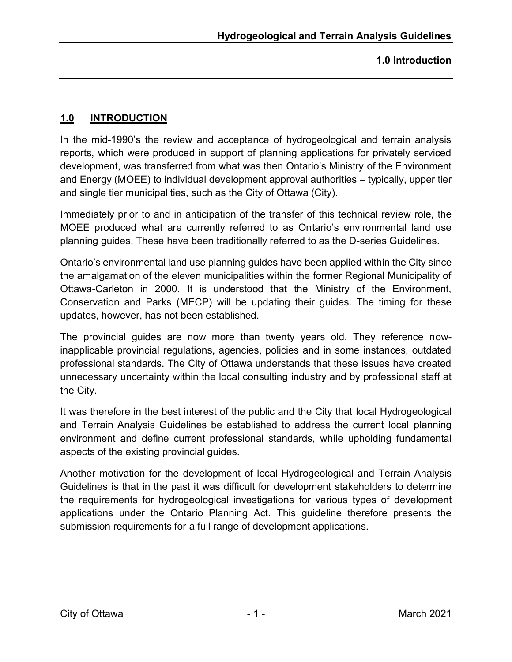### <span id="page-4-0"></span>**1.0 INTRODUCTION**

In the mid-1990's the review and acceptance of hydrogeological and terrain analysis reports, which were produced in support of planning applications for privately serviced development, was transferred from what was then Ontario's Ministry of the Environment and Energy (MOEE) to individual development approval authorities – typically, upper tier and single tier municipalities, such as the City of Ottawa (City).

Immediately prior to and in anticipation of the transfer of this technical review role, the MOEE produced what are currently referred to as Ontario's environmental land use planning guides. These have been traditionally referred to as the D-series Guidelines.

Ontario's environmental land use planning guides have been applied within the City since the amalgamation of the eleven municipalities within the former Regional Municipality of Ottawa-Carleton in 2000. It is understood that the Ministry of the Environment, Conservation and Parks (MECP) will be updating their guides. The timing for these updates, however, has not been established.

The provincial guides are now more than twenty years old. They reference nowinapplicable provincial regulations, agencies, policies and in some instances, outdated professional standards. The City of Ottawa understands that these issues have created unnecessary uncertainty within the local consulting industry and by professional staff at the City.

It was therefore in the best interest of the public and the City that local Hydrogeological and Terrain Analysis Guidelines be established to address the current local planning environment and define current professional standards, while upholding fundamental aspects of the existing provincial guides.

Another motivation for the development of local Hydrogeological and Terrain Analysis Guidelines is that in the past it was difficult for development stakeholders to determine the requirements for hydrogeological investigations for various types of development applications under the Ontario Planning Act. This guideline therefore presents the submission requirements for a full range of development applications.

City of Ottawa **City of Ottawa** - 1 - The City of Ottawa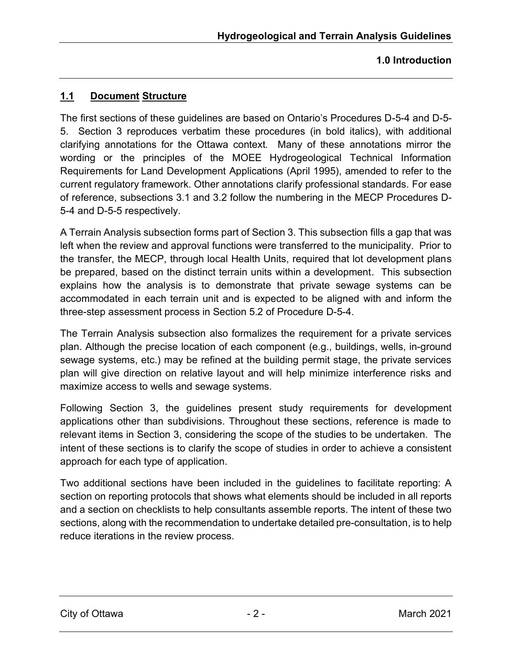### <span id="page-5-0"></span>**1.1 Document Structure**

The first sections of these guidelines are based on Ontario's Procedures D-5-4 and D-5- 5. Section 3 reproduces verbatim these procedures (in bold italics), with additional clarifying annotations for the Ottawa context. Many of these annotations mirror the wording or the principles of the MOEE Hydrogeological Technical Information Requirements for Land Development Applications (April 1995), amended to refer to the current regulatory framework. Other annotations clarify professional standards. For ease of reference, subsections 3.1 and 3.2 follow the numbering in the MECP Procedures D-5-4 and D-5-5 respectively.

A Terrain Analysis subsection forms part of Section 3. This subsection fills a gap that was left when the review and approval functions were transferred to the municipality. Prior to the transfer, the MECP, through local Health Units, required that lot development plans be prepared, based on the distinct terrain units within a development. This subsection explains how the analysis is to demonstrate that private sewage systems can be accommodated in each terrain unit and is expected to be aligned with and inform the three-step assessment process in Section 5.2 of Procedure D-5-4.

The Terrain Analysis subsection also formalizes the requirement for a private services plan. Although the precise location of each component (e.g., buildings, wells, in-ground sewage systems, etc.) may be refined at the building permit stage, the private services plan will give direction on relative layout and will help minimize interference risks and maximize access to wells and sewage systems.

Following Section 3, the guidelines present study requirements for development applications other than subdivisions. Throughout these sections, reference is made to relevant items in Section 3, considering the scope of the studies to be undertaken. The intent of these sections is to clarify the scope of studies in order to achieve a consistent approach for each type of application.

Two additional sections have been included in the guidelines to facilitate reporting: A section on reporting protocols that shows what elements should be included in all reports and a section on checklists to help consultants assemble reports. The intent of these two sections, along with the recommendation to undertake detailed pre-consultation, is to help reduce iterations in the review process.

City of Ottawa **- 2 -** 2 - March 2021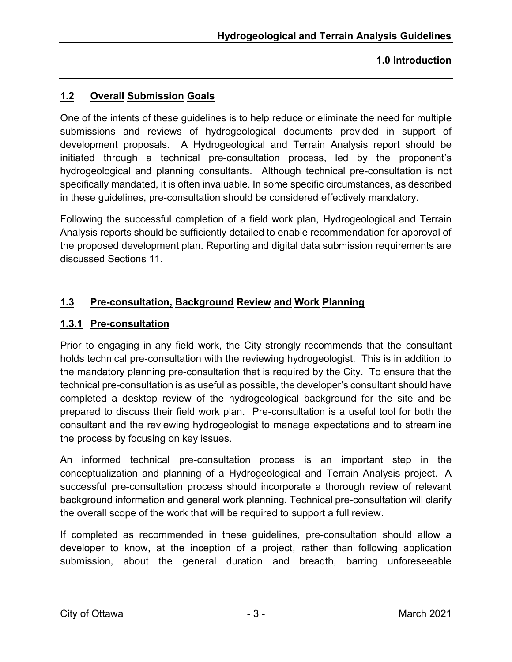# <span id="page-6-0"></span>**1.2 Overall Submission Goals**

One of the intents of these guidelines is to help reduce or eliminate the need for multiple submissions and reviews of hydrogeological documents provided in support of development proposals. A Hydrogeological and Terrain Analysis report should be initiated through a technical pre-consultation process, led by the proponent's hydrogeological and planning consultants. Although technical pre-consultation is not specifically mandated, it is often invaluable. In some specific circumstances, as described in these guidelines, pre-consultation should be considered effectively mandatory.

Following the successful completion of a field work plan, Hydrogeological and Terrain Analysis reports should be sufficiently detailed to enable recommendation for approval of the proposed development plan. Reporting and digital data submission requirements are discussed Sections 11.

## <span id="page-6-1"></span>**1.3 Pre-consultation, Background Review and Work Planning**

## <span id="page-6-2"></span>**1.3.1 Pre-consultation**

Prior to engaging in any field work, the City strongly recommends that the consultant holds technical pre-consultation with the reviewing hydrogeologist. This is in addition to the mandatory planning pre-consultation that is required by the City. To ensure that the technical pre-consultation is as useful as possible, the developer's consultant should have completed a desktop review of the hydrogeological background for the site and be prepared to discuss their field work plan. Pre-consultation is a useful tool for both the consultant and the reviewing hydrogeologist to manage expectations and to streamline the process by focusing on key issues.

An informed technical pre-consultation process is an important step in the conceptualization and planning of a Hydrogeological and Terrain Analysis project. A successful pre-consultation process should incorporate a thorough review of relevant background information and general work planning. Technical pre-consultation will clarify the overall scope of the work that will be required to support a full review.

If completed as recommended in these guidelines, pre-consultation should allow a developer to know, at the inception of a project, rather than following application submission, about the general duration and breadth, barring unforeseeable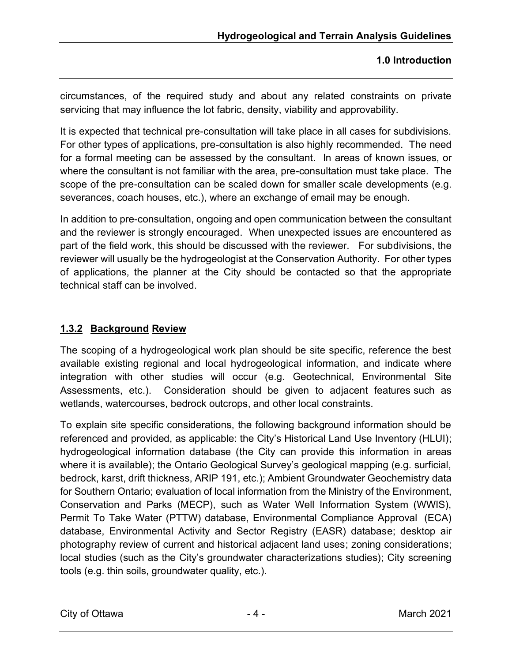circumstances, of the required study and about any related constraints on private servicing that may influence the lot fabric, density, viability and approvability.

It is expected that technical pre-consultation will take place in all cases for subdivisions. For other types of applications, pre-consultation is also highly recommended. The need for a formal meeting can be assessed by the consultant. In areas of known issues, or where the consultant is not familiar with the area, pre-consultation must take place. The scope of the pre-consultation can be scaled down for smaller scale developments (e.g. severances, coach houses, etc.), where an exchange of email may be enough.

In addition to pre-consultation, ongoing and open communication between the consultant and the reviewer is strongly encouraged. When unexpected issues are encountered as part of the field work, this should be discussed with the reviewer. For subdivisions, the reviewer will usually be the hydrogeologist at the Conservation Authority. For other types of applications, the planner at the City should be contacted so that the appropriate technical staff can be involved.

# <span id="page-7-0"></span>**1.3.2 Background Review**

The scoping of a hydrogeological work plan should be site specific, reference the best available existing regional and local hydrogeological information, and indicate where integration with other studies will occur (e.g. Geotechnical, Environmental Site Assessments, etc.). Consideration should be given to adjacent features such as wetlands, watercourses, bedrock outcrops, and other local constraints.

To explain site specific considerations, the following background information should be referenced and provided, as applicable: the City's Historical Land Use Inventory (HLUI); hydrogeological information database (the City can provide this information in areas where it is available); the Ontario Geological Survey's geological mapping (e.g. surficial, bedrock, karst, drift thickness, ARIP 191, etc.); Ambient Groundwater Geochemistry data for Southern Ontario; evaluation of local information from the Ministry of the Environment, Conservation and Parks (MECP), such as Water Well Information System (WWIS), Permit To Take Water (PTTW) database, Environmental Compliance Approval (ECA) database, Environmental Activity and Sector Registry (EASR) database; desktop air photography review of current and historical adjacent land uses; zoning considerations; local studies (such as the City's groundwater characterizations studies); City screening tools (e.g. thin soils, groundwater quality, etc.).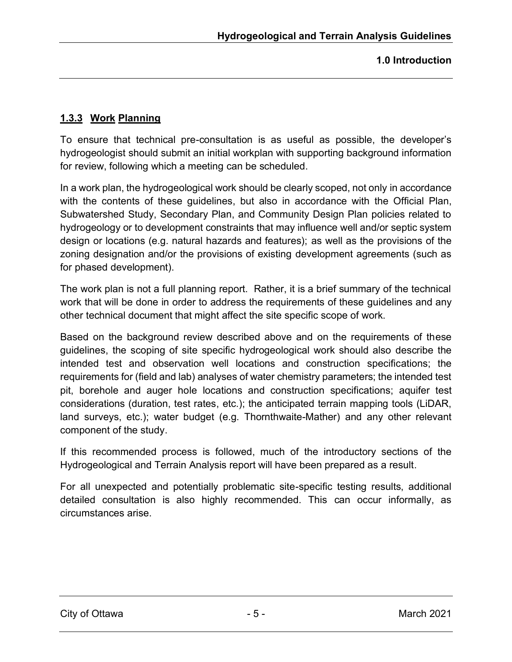### <span id="page-8-0"></span>**1.3.3 Work Planning**

To ensure that technical pre-consultation is as useful as possible, the developer's hydrogeologist should submit an initial workplan with supporting background information for review, following which a meeting can be scheduled.

In a work plan, the hydrogeological work should be clearly scoped, not only in accordance with the contents of these guidelines, but also in accordance with the Official Plan, Subwatershed Study, Secondary Plan, and Community Design Plan policies related to hydrogeology or to development constraints that may influence well and/or septic system design or locations (e.g. natural hazards and features); as well as the provisions of the zoning designation and/or the provisions of existing development agreements (such as for phased development).

The work plan is not a full planning report. Rather, it is a brief summary of the technical work that will be done in order to address the requirements of these guidelines and any other technical document that might affect the site specific scope of work.

Based on the background review described above and on the requirements of these guidelines, the scoping of site specific hydrogeological work should also describe the intended test and observation well locations and construction specifications; the requirements for (field and lab) analyses of water chemistry parameters; the intended test pit, borehole and auger hole locations and construction specifications; aquifer test considerations (duration, test rates, etc.); the anticipated terrain mapping tools (LiDAR, land surveys, etc.); water budget (e.g. Thornthwaite-Mather) and any other relevant component of the study.

If this recommended process is followed, much of the introductory sections of the Hydrogeological and Terrain Analysis report will have been prepared as a result.

For all unexpected and potentially problematic site-specific testing results, additional detailed consultation is also highly recommended. This can occur informally, as circumstances arise.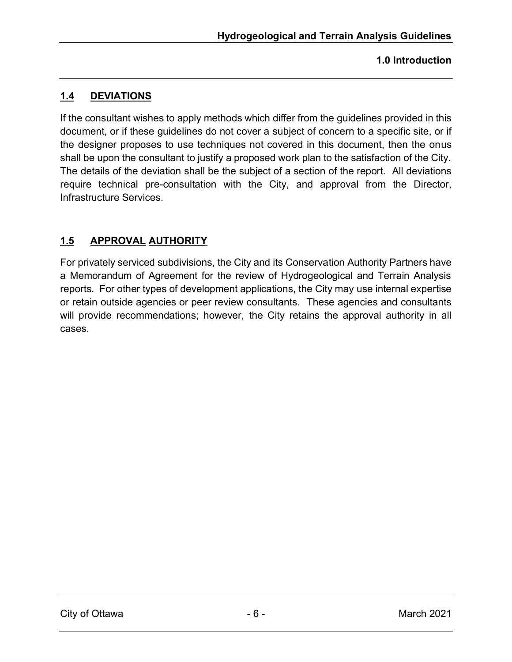# <span id="page-9-0"></span>**1.4 DEVIATIONS**

If the consultant wishes to apply methods which differ from the guidelines provided in this document, or if these guidelines do not cover a subject of concern to a specific site, or if the designer proposes to use techniques not covered in this document, then the onus shall be upon the consultant to justify a proposed work plan to the satisfaction of the City. The details of the deviation shall be the subject of a section of the report. All deviations require technical pre-consultation with the City, and approval from the Director, Infrastructure Services.

# <span id="page-9-1"></span>**1.5 APPROVAL AUTHORITY**

For privately serviced subdivisions, the City and its Conservation Authority Partners have a Memorandum of Agreement for the review of Hydrogeological and Terrain Analysis reports. For other types of development applications, the City may use internal expertise or retain outside agencies or peer review consultants. These agencies and consultants will provide recommendations; however, the City retains the approval authority in all cases.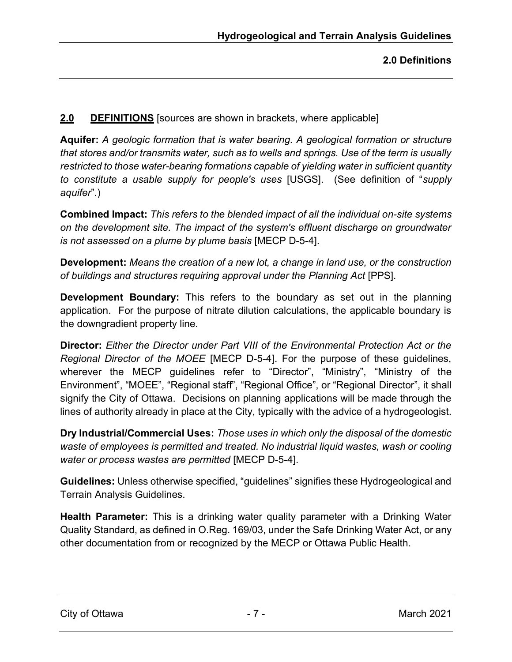#### <span id="page-10-0"></span>**2.0 DEFINITIONS** [sources are shown in brackets, where applicable]

**Aquifer:** *A geologic formation that is water bearing. A geological formation or structure that stores and/or transmits water, such as to wells and springs. Use of the term is usually restricted to those water-bearing formations capable of yielding water in sufficient quantity to constitute a usable supply for people's uses* [USGS]. (See definition of "*supply aquifer*".)

**Combined Impact:** *This refers to the blended impact of all the individual on-site systems on the development site. The impact of the system's effluent discharge on groundwater is not assessed on a plume by plume basis* [MECP D-5-4].

**Development:** *Means the creation of a new lot, a change in land use, or the construction of buildings and structures requiring approval under the Planning Act* [PPS].

**Development Boundary:** This refers to the boundary as set out in the planning application. For the purpose of nitrate dilution calculations, the applicable boundary is the downgradient property line.

**Director:** *Either the Director under Part VIII of the Environmental Protection Act or the Regional Director of the MOEE* [MECP D-5-4]. For the purpose of these guidelines, wherever the MECP guidelines refer to "Director", "Ministry", "Ministry of the Environment", "MOEE", "Regional staff", "Regional Office", or "Regional Director", it shall signify the City of Ottawa. Decisions on planning applications will be made through the lines of authority already in place at the City, typically with the advice of a hydrogeologist.

**Dry Industrial/Commercial Uses:** *Those uses in which only the disposal of the domestic waste of employees is permitted and treated. No industrial liquid wastes, wash or cooling water or process wastes are permitted* [MECP D-5-4].

**Guidelines:** Unless otherwise specified, "guidelines" signifies these Hydrogeological and Terrain Analysis Guidelines.

**Health Parameter:** This is a drinking water quality parameter with a Drinking Water Quality Standard, as defined in O.Reg. 169/03, under the Safe Drinking Water Act, or any other documentation from or recognized by the MECP or Ottawa Public Health.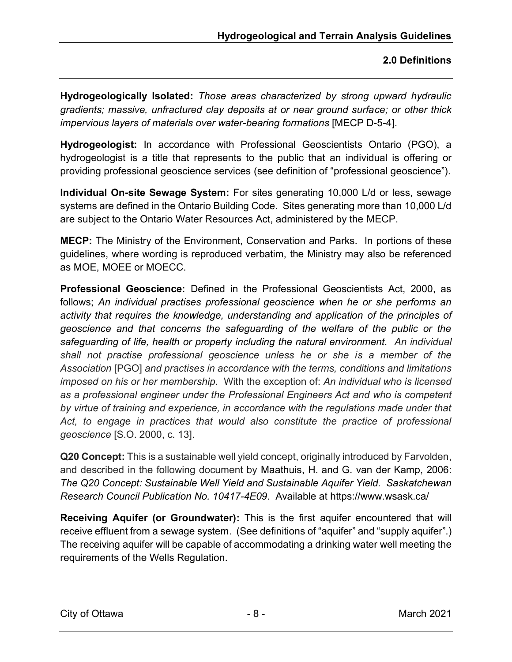**Hydrogeologically Isolated:** *Those areas characterized by strong upward hydraulic gradients; massive, unfractured clay deposits at or near ground surface; or other thick impervious layers of materials over water-bearing formations* [MECP D-5-4].

**Hydrogeologist:** In accordance with Professional Geoscientists Ontario (PGO), a hydrogeologist is a title that represents to the public that an individual is offering or providing professional geoscience services (see definition of "professional geoscience").

**Individual On-site Sewage System:** For sites generating 10,000 L/d or less, sewage systems are defined in the Ontario Building Code. Sites generating more than 10,000 L/d are subject to the Ontario Water Resources Act, administered by the MECP.

**MECP:** The Ministry of the Environment, Conservation and Parks. In portions of these guidelines, where wording is reproduced verbatim, the Ministry may also be referenced as MOE, MOEE or MOECC.

**Professional Geoscience:** Defined in the Professional Geoscientists Act, 2000, as follows; *An individual practises professional geoscience when he or she performs an activity that requires the knowledge, understanding and application of the principles of geoscience and that concerns the safeguarding of the welfare of the public or the safeguarding of life, health or property including the natural environment. An individual shall not practise professional geoscience unless he or she is a member of the Association* [PGO] *and practises in accordance with the terms, conditions and limitations imposed on his or her membership.* With the exception of: *An individual who is licensed as a professional engineer under the Professional Engineers Act and who is competent by virtue of training and experience, in accordance with the regulations made under that*  Act, to engage in practices that would also constitute the practice of professional *geoscience* [S.O. 2000, c. 13].

**Q20 Concept:** This is a sustainable well yield concept, originally introduced by Farvolden, and described in the following document by Maathuis, H. and G. van der Kamp, 2006: *The Q20 Concept: Sustainable Well Yield and Sustainable Aquifer Yield. Saskatchewan Research Council Publication No. 10417-4E09*. Available at<https://www.wsask.ca/>

**Receiving Aquifer (or Groundwater):** This is the first aquifer encountered that will receive effluent from a sewage system. (See definitions of "aquifer" and "supply aquifer".) The receiving aquifer will be capable of accommodating a drinking water well meeting the requirements of the Wells Regulation.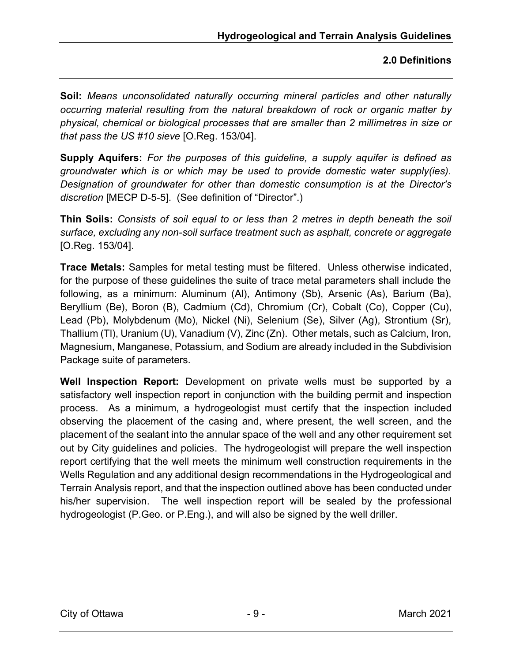**Soil:** *Means unconsolidated naturally occurring mineral particles and other naturally occurring material resulting from the natural breakdown of rock or organic matter by physical, chemical or biological processes that are smaller than 2 millimetres in size or that pass the US #10 sieve* [O.Reg. 153/04].

**Supply Aquifers:** *For the purposes of this guideline, a supply aquifer is defined as groundwater which is or which may be used to provide domestic water supply(ies). Designation of groundwater for other than domestic consumption is at the Director's discretion* [MECP D-5-5]. (See definition of "Director".)

**Thin Soils:** *Consists of soil equal to or less than 2 metres in depth beneath the soil surface, excluding any non-soil surface treatment such as asphalt, concrete or aggregate* [O.Reg. 153/04].

**Trace Metals:** Samples for metal testing must be filtered. Unless otherwise indicated, for the purpose of these guidelines the suite of trace metal parameters shall include the following, as a minimum: Aluminum (Al), Antimony (Sb), Arsenic (As), Barium (Ba), Beryllium (Be), Boron (B), Cadmium (Cd), Chromium (Cr), Cobalt (Co), Copper (Cu), Lead (Pb), Molybdenum (Mo), Nickel (Ni), Selenium (Se), Silver (Ag), Strontium (Sr), Thallium (Tl), Uranium (U), Vanadium (V), Zinc (Zn). Other metals, such as Calcium, Iron, Magnesium, Manganese, Potassium, and Sodium are already included in the Subdivision Package suite of parameters.

**Well Inspection Report:** Development on private wells must be supported by a satisfactory well inspection report in conjunction with the building permit and inspection process. As a minimum, a hydrogeologist must certify that the inspection included observing the placement of the casing and, where present, the well screen, and the placement of the sealant into the annular space of the well and any other requirement set out by City guidelines and policies. The hydrogeologist will prepare the well inspection report certifying that the well meets the minimum well construction requirements in the Wells Regulation and any additional design recommendations in the Hydrogeological and Terrain Analysis report, and that the inspection outlined above has been conducted under his/her supervision. The well inspection report will be sealed by the professional hydrogeologist (P.Geo. or P.Eng.), and will also be signed by the well driller.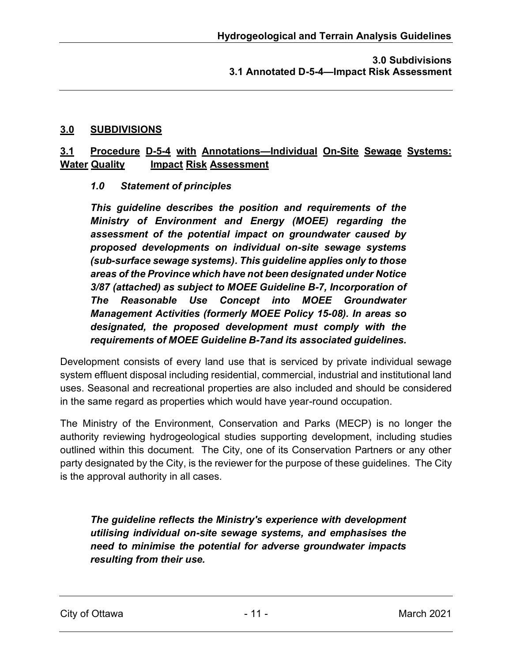#### <span id="page-14-0"></span>**3.0 SUBDIVISIONS**

### <span id="page-14-1"></span>**3.1 Procedure D-5-4 with Annotations—Individual On-Site Sewage Systems: Water Quality Impact Risk Assessment**

#### *1.0 Statement of principles*

*This guideline describes the position and requirements of the Ministry of Environment and Energy (MOEE) regarding the assessment of the potential impact on groundwater caused by proposed developments on individual on-site sewage systems (sub-surface sewage systems). This guideline applies only to those areas of the Province which have not been designated under Notice 3/87 (attached) as subject to MOEE Guideline B-7, Incorporation of The Reasonable Use Concept into MOEE Groundwater Management Activities (formerly MOEE Policy 15-08). In areas so designated, the proposed development must comply with the requirements of MOEE Guideline B-7and its associated guidelines.* 

Development consists of every land use that is serviced by private individual sewage system effluent disposal including residential, commercial, industrial and institutional land uses. Seasonal and recreational properties are also included and should be considered in the same regard as properties which would have year-round occupation.

The Ministry of the Environment, Conservation and Parks (MECP) is no longer the authority reviewing hydrogeological studies supporting development, including studies outlined within this document. The City, one of its Conservation Partners or any other party designated by the City, is the reviewer for the purpose of these guidelines. The City is the approval authority in all cases.

*The guideline reflects the Ministry's experience with development utilising individual on-site sewage systems, and emphasises the need to minimise the potential for adverse groundwater impacts resulting from their use.*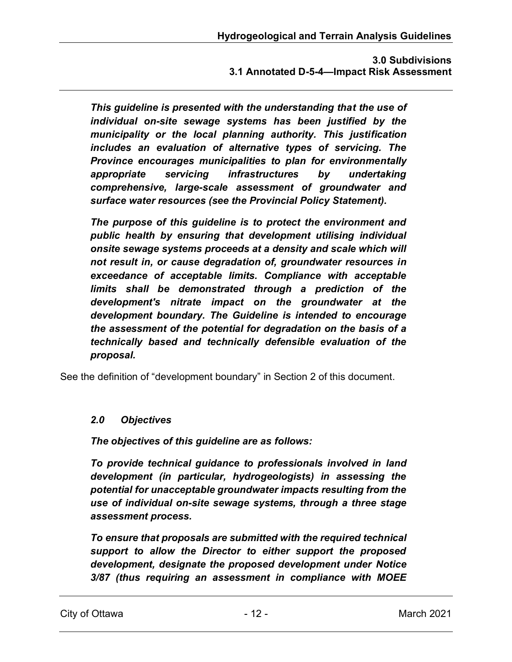*This guideline is presented with the understanding that the use of individual on-site sewage systems has been justified by the municipality or the local planning authority. This justification includes an evaluation of alternative types of servicing. The Province encourages municipalities to plan for environmentally appropriate servicing infrastructures by undertaking comprehensive, large-scale assessment of groundwater and surface water resources (see the Provincial Policy Statement).* 

*The purpose of this guideline is to protect the environment and public health by ensuring that development utilising individual onsite sewage systems proceeds at a density and scale which will not result in, or cause degradation of, groundwater resources in exceedance of acceptable limits. Compliance with acceptable limits shall be demonstrated through a prediction of the development's nitrate impact on the groundwater at the development boundary. The Guideline is intended to encourage the assessment of the potential for degradation on the basis of a technically based and technically defensible evaluation of the proposal.* 

See the definition of "development boundary" in Section 2 of this document.

### *2.0 Objectives*

*The objectives of this guideline are as follows:* 

*To provide technical guidance to professionals involved in land development (in particular, hydrogeologists) in assessing the potential for unacceptable groundwater impacts resulting from the use of individual on-site sewage systems, through a three stage assessment process.* 

*To ensure that proposals are submitted with the required technical support to allow the Director to either support the proposed development, designate the proposed development under Notice 3/87 (thus requiring an assessment in compliance with MOEE*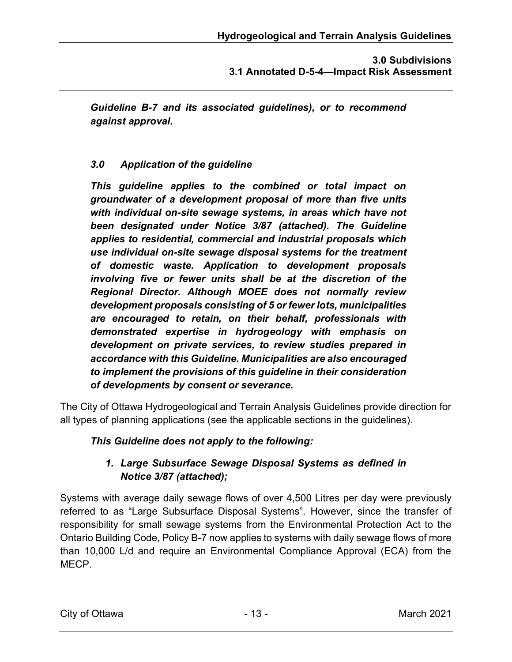*Guideline B-7 and its associated guidelines), or to recommend against approval.* 

## *3.0 Application of the guideline*

*This guideline applies to the combined or total impact on groundwater of a development proposal of more than five units with individual on-site sewage systems, in areas which have not been designated under Notice 3/87 (attached). The Guideline applies to residential, commercial and industrial proposals which use individual on-site sewage disposal systems for the treatment of domestic waste. Application to development proposals involving five or fewer units shall be at the discretion of the Regional Director. Although MOEE does not normally review development proposals consisting of 5 or fewer lots, municipalities are encouraged to retain, on their behalf, professionals with demonstrated expertise in hydrogeology with emphasis on development on private services, to review studies prepared in accordance with this Guideline. Municipalities are also encouraged to implement the provisions of this guideline in their consideration of developments by consent or severance.* 

The City of Ottawa Hydrogeological and Terrain Analysis Guidelines provide direction for all types of planning applications (see the applicable sections in the guidelines).

### *This Guideline does not apply to the following:*

### *1. Large Subsurface Sewage Disposal Systems as defined in Notice 3/87 (attached);*

Systems with average daily sewage flows of over 4,500 Litres per day were previously referred to as "Large Subsurface Disposal Systems". However, since the transfer of responsibility for small sewage systems from the Environmental Protection Act to the Ontario Building Code, Policy B-7 now applies to systems with daily sewage flows of more than 10,000 L/d and require an Environmental Compliance Approval (ECA) from the MECP.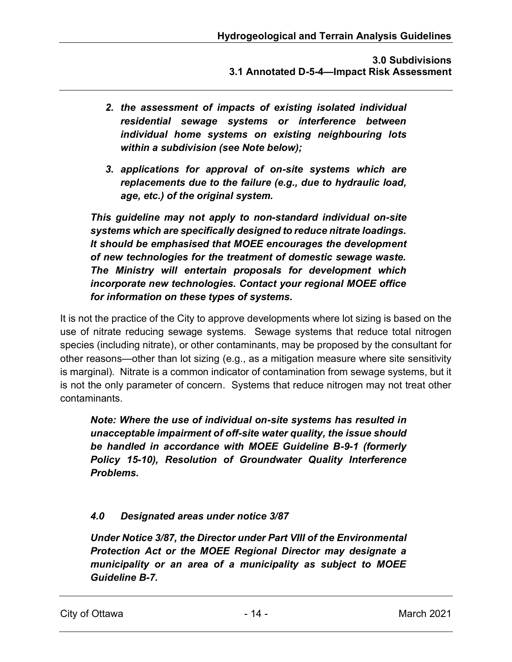- *2. the assessment of impacts of existing isolated individual residential sewage systems or interference between individual home systems on existing neighbouring lots within a subdivision (see Note below);*
- *3. applications for approval of on-site systems which are replacements due to the failure (e.g., due to hydraulic load, age, etc.) of the original system.*

*This guideline may not apply to non-standard individual on-site systems which are specifically designed to reduce nitrate loadings. It should be emphasised that MOEE encourages the development of new technologies for the treatment of domestic sewage waste. The Ministry will entertain proposals for development which incorporate new technologies. Contact your regional MOEE office for information on these types of systems.* 

It is not the practice of the City to approve developments where lot sizing is based on the use of nitrate reducing sewage systems. Sewage systems that reduce total nitrogen species (including nitrate), or other contaminants, may be proposed by the consultant for other reasons—other than lot sizing (e.g., as a mitigation measure where site sensitivity is marginal). Nitrate is a common indicator of contamination from sewage systems, but it is not the only parameter of concern. Systems that reduce nitrogen may not treat other contaminants.

*Note: Where the use of individual on-site systems has resulted in unacceptable impairment of off-site water quality, the issue should be handled in accordance with MOEE Guideline B-9-1 (formerly Policy 15-10), Resolution of Groundwater Quality Interference Problems.* 

## *4.0 Designated areas under notice 3/87*

*Under Notice 3/87, the Director under Part VIII of the Environmental Protection Act or the MOEE Regional Director may designate a municipality or an area of a municipality as subject to MOEE Guideline B-7.*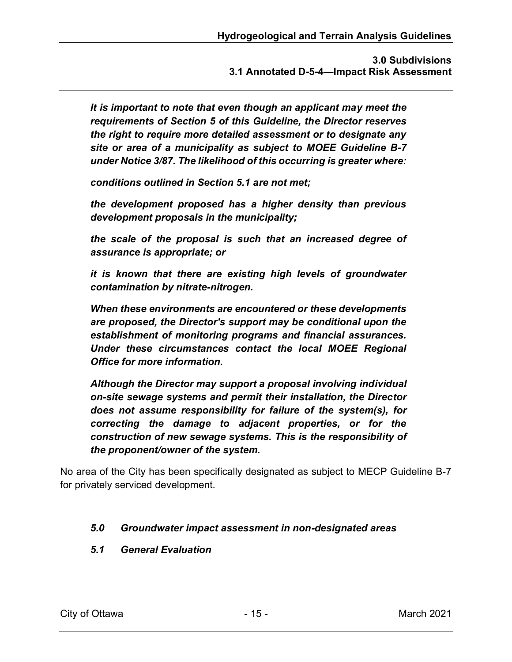*It is important to note that even though an applicant may meet the requirements of Section 5 of this Guideline, the Director reserves the right to require more detailed assessment or to designate any site or area of a municipality as subject to MOEE Guideline B-7 under Notice 3/87. The likelihood of this occurring is greater where:* 

*conditions outlined in Section 5.1 are not met;* 

*the development proposed has a higher density than previous development proposals in the municipality;* 

*the scale of the proposal is such that an increased degree of assurance is appropriate; or* 

*it is known that there are existing high levels of groundwater contamination by nitrate-nitrogen.* 

*When these environments are encountered or these developments are proposed, the Director's support may be conditional upon the establishment of monitoring programs and financial assurances. Under these circumstances contact the local MOEE Regional Office for more information.* 

*Although the Director may support a proposal involving individual on-site sewage systems and permit their installation, the Director does not assume responsibility for failure of the system(s), for correcting the damage to adjacent properties, or for the construction of new sewage systems. This is the responsibility of the proponent/owner of the system.* 

No area of the City has been specifically designated as subject to MECP Guideline B-7 for privately serviced development.

### *5.0 Groundwater impact assessment in non-designated areas*

### *5.1 General Evaluation*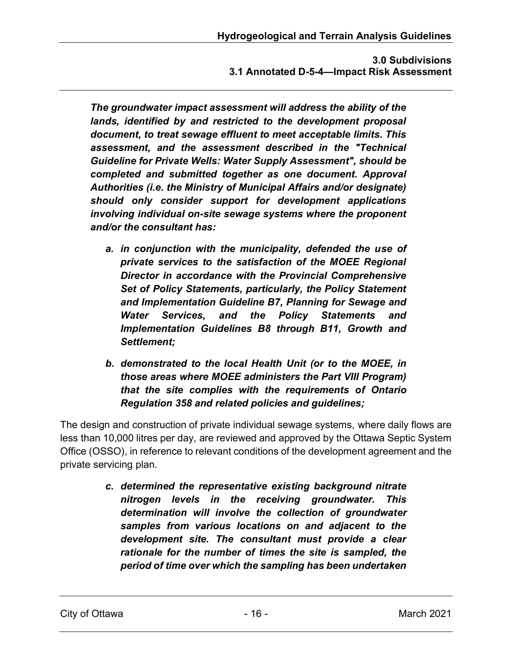*The groundwater impact assessment will address the ability of the lands, identified by and restricted to the development proposal document, to treat sewage effluent to meet acceptable limits. This assessment, and the assessment described in the "Technical Guideline for Private Wells: Water Supply Assessment", should be completed and submitted together as one document. Approval Authorities (i.e. the Ministry of Municipal Affairs and/or designate) should only consider support for development applications involving individual on-site sewage systems where the proponent and/or the consultant has:* 

- *a. in conjunction with the municipality, defended the use of private services to the satisfaction of the MOEE Regional Director in accordance with the Provincial Comprehensive Set of Policy Statements, particularly, the Policy Statement and Implementation Guideline B7, Planning for Sewage and Water Services, and the Policy Statements and Implementation Guidelines B8 through B11, Growth and Settlement;*
- *b. demonstrated to the local Health Unit (or to the MOEE, in those areas where MOEE administers the Part VIII Program) that the site complies with the requirements of Ontario Regulation 358 and related policies and guidelines;*

The design and construction of private individual sewage systems, where daily flows are less than 10,000 litres per day, are reviewed and approved by the Ottawa Septic System Office (OSSO), in reference to relevant conditions of the development agreement and the private servicing plan.

> *c. determined the representative existing background nitrate nitrogen levels in the receiving groundwater. This determination will involve the collection of groundwater samples from various locations on and adjacent to the development site. The consultant must provide a clear rationale for the number of times the site is sampled, the period of time over which the sampling has been undertaken*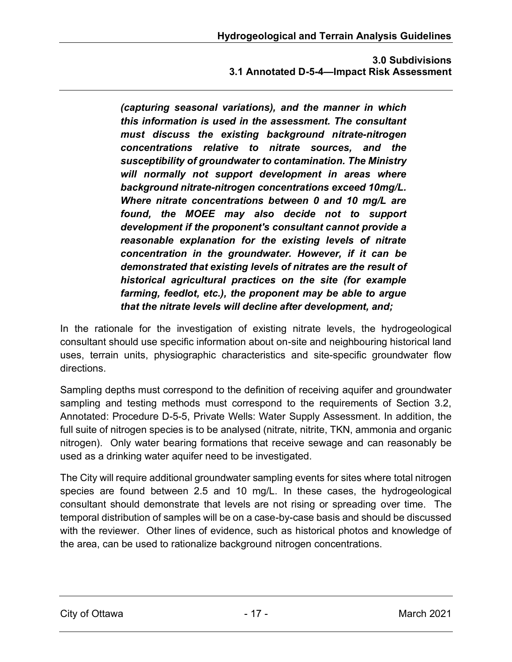*(capturing seasonal variations), and the manner in which this information is used in the assessment. The consultant must discuss the existing background nitrate-nitrogen concentrations relative to nitrate sources, and the susceptibility of groundwater to contamination. The Ministry will normally not support development in areas where background nitrate-nitrogen concentrations exceed 10mg/L. Where nitrate concentrations between 0 and 10 mg/L are found, the MOEE may also decide not to support development if the proponent's consultant cannot provide a reasonable explanation for the existing levels of nitrate concentration in the groundwater. However, if it can be demonstrated that existing levels of nitrates are the result of historical agricultural practices on the site (for example farming, feedlot, etc.), the proponent may be able to argue that the nitrate levels will decline after development, and;* 

In the rationale for the investigation of existing nitrate levels, the hydrogeological consultant should use specific information about on-site and neighbouring historical land uses, terrain units, physiographic characteristics and site-specific groundwater flow directions.

Sampling depths must correspond to the definition of receiving aquifer and groundwater sampling and testing methods must correspond to the requirements of Section 3.2, Annotated: Procedure D-5-5, Private Wells: Water Supply Assessment. In addition, the full suite of nitrogen species is to be analysed (nitrate, nitrite, TKN, ammonia and organic nitrogen). Only water bearing formations that receive sewage and can reasonably be used as a drinking water aquifer need to be investigated.

The City will require additional groundwater sampling events for sites where total nitrogen species are found between 2.5 and 10 mg/L. In these cases, the hydrogeological consultant should demonstrate that levels are not rising or spreading over time. The temporal distribution of samples will be on a case-by-case basis and should be discussed with the reviewer. Other lines of evidence, such as historical photos and knowledge of the area, can be used to rationalize background nitrogen concentrations.

City of Ottawa **- 17 - City of Ottawa** - 17 - March 2021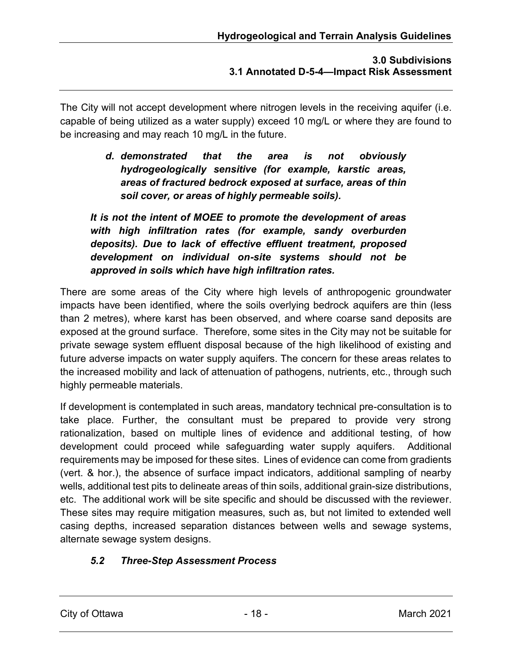The City will not accept development where nitrogen levels in the receiving aquifer (i.e. capable of being utilized as a water supply) exceed 10 mg/L or where they are found to be increasing and may reach 10 mg/L in the future.

> *d. demonstrated that the area is not obviously hydrogeologically sensitive (for example, karstic areas, areas of fractured bedrock exposed at surface, areas of thin soil cover, or areas of highly permeable soils).*

*It is not the intent of MOEE to promote the development of areas with high infiltration rates (for example, sandy overburden deposits). Due to lack of effective effluent treatment, proposed development on individual on-site systems should not be approved in soils which have high infiltration rates.* 

There are some areas of the City where high levels of anthropogenic groundwater impacts have been identified, where the soils overlying bedrock aquifers are thin (less than 2 metres), where karst has been observed, and where coarse sand deposits are exposed at the ground surface. Therefore, some sites in the City may not be suitable for private sewage system effluent disposal because of the high likelihood of existing and future adverse impacts on water supply aquifers. The concern for these areas relates to the increased mobility and lack of attenuation of pathogens, nutrients, etc., through such highly permeable materials.

If development is contemplated in such areas, mandatory technical pre-consultation is to take place. Further, the consultant must be prepared to provide very strong rationalization, based on multiple lines of evidence and additional testing, of how development could proceed while safeguarding water supply aquifers. Additional requirements may be imposed for these sites. Lines of evidence can come from gradients (vert. & hor.), the absence of surface impact indicators, additional sampling of nearby wells, additional test pits to delineate areas of thin soils, additional grain-size distributions, etc. The additional work will be site specific and should be discussed with the reviewer. These sites may require mitigation measures, such as, but not limited to extended well casing depths, increased separation distances between wells and sewage systems, alternate sewage system designs.

# *5.2 Three-Step Assessment Process*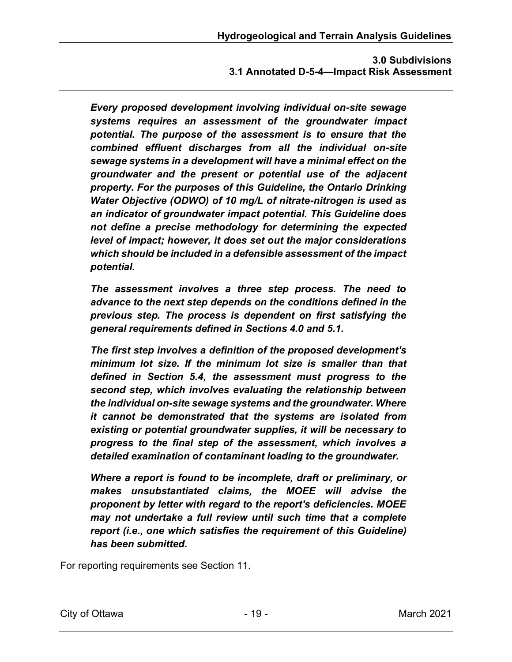*Every proposed development involving individual on-site sewage systems requires an assessment of the groundwater impact potential. The purpose of the assessment is to ensure that the combined effluent discharges from all the individual on-site sewage systems in a development will have a minimal effect on the groundwater and the present or potential use of the adjacent property. For the purposes of this Guideline, the Ontario Drinking Water Objective (ODWO) of 10 mg/L of nitrate-nitrogen is used as an indicator of groundwater impact potential. This Guideline does not define a precise methodology for determining the expected level of impact; however, it does set out the major considerations which should be included in a defensible assessment of the impact potential.* 

*The assessment involves a three step process. The need to advance to the next step depends on the conditions defined in the previous step. The process is dependent on first satisfying the general requirements defined in Sections 4.0 and 5.1.* 

*The first step involves a definition of the proposed development's minimum lot size. If the minimum lot size is smaller than that defined in Section 5.4, the assessment must progress to the second step, which involves evaluating the relationship between the individual on-site sewage systems and the groundwater. Where it cannot be demonstrated that the systems are isolated from existing or potential groundwater supplies, it will be necessary to progress to the final step of the assessment, which involves a detailed examination of contaminant loading to the groundwater.* 

*Where a report is found to be incomplete, draft or preliminary, or makes unsubstantiated claims, the MOEE will advise the proponent by letter with regard to the report's deficiencies. MOEE may not undertake a full review until such time that a complete report (i.e., one which satisfies the requirement of this Guideline) has been submitted.* 

For reporting requirements see Section 11.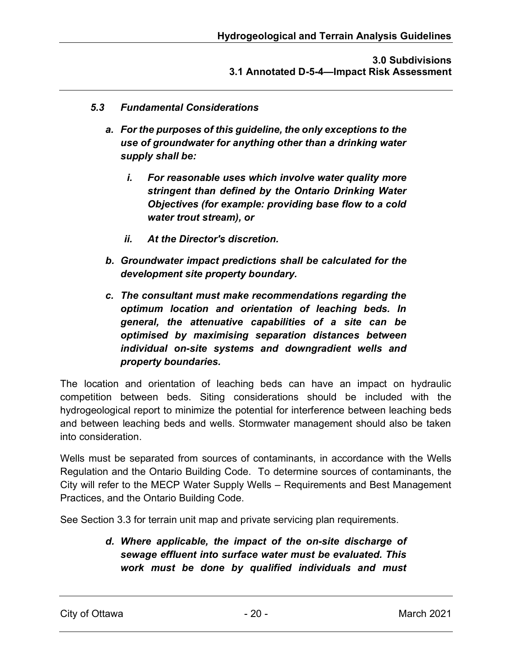#### *5.3 Fundamental Considerations*

- *a. For the purposes of this guideline, the only exceptions to the use of groundwater for anything other than a drinking water supply shall be:* 
	- *i. For reasonable uses which involve water quality more stringent than defined by the Ontario Drinking Water Objectives (for example: providing base flow to a cold water trout stream), or*
	- *ii. At the Director's discretion.*
- *b. Groundwater impact predictions shall be calculated for the development site property boundary.*
- *c. The consultant must make recommendations regarding the optimum location and orientation of leaching beds. In general, the attenuative capabilities of a site can be optimised by maximising separation distances between individual on-site systems and downgradient wells and property boundaries.*

The location and orientation of leaching beds can have an impact on hydraulic competition between beds. Siting considerations should be included with the hydrogeological report to minimize the potential for interference between leaching beds and between leaching beds and wells. Stormwater management should also be taken into consideration.

Wells must be separated from sources of contaminants, in accordance with the Wells Regulation and the Ontario Building Code. To determine sources of contaminants, the City will refer to the MECP Water Supply Wells – Requirements and Best Management Practices, and the Ontario Building Code.

See Section 3.3 for terrain unit map and private servicing plan requirements.

*d. Where applicable, the impact of the on-site discharge of sewage effluent into surface water must be evaluated. This work must be done by qualified individuals and must*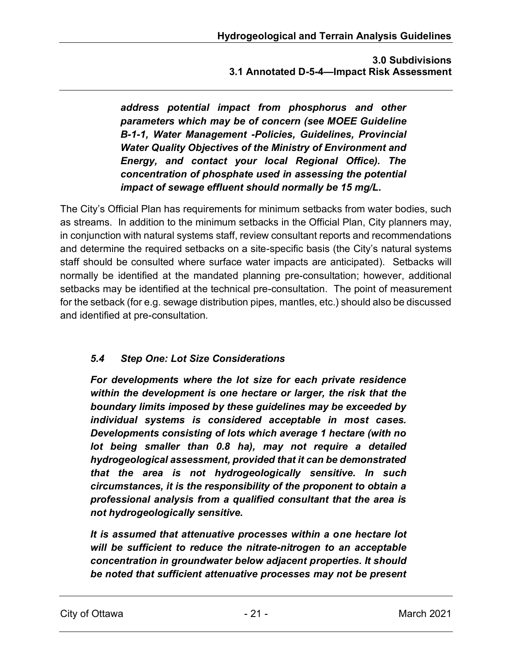*address potential impact from phosphorus and other parameters which may be of concern (see MOEE Guideline B-1-1, Water Management -Policies, Guidelines, Provincial Water Quality Objectives of the Ministry of Environment and Energy, and contact your local Regional Office). The concentration of phosphate used in assessing the potential impact of sewage effluent should normally be 15 mg/L.* 

The City's Official Plan has requirements for minimum setbacks from water bodies, such as streams. In addition to the minimum setbacks in the Official Plan, City planners may, in conjunction with natural systems staff, review consultant reports and recommendations and determine the required setbacks on a site-specific basis (the City's natural systems staff should be consulted where surface water impacts are anticipated). Setbacks will normally be identified at the mandated planning pre-consultation; however, additional setbacks may be identified at the technical pre-consultation. The point of measurement for the setback (for e.g. sewage distribution pipes, mantles, etc.) should also be discussed and identified at pre-consultation.

## *5.4 Step One: Lot Size Considerations*

*For developments where the lot size for each private residence within the development is one hectare or larger, the risk that the boundary limits imposed by these guidelines may be exceeded by individual systems is considered acceptable in most cases. Developments consisting of lots which average 1 hectare (with no lot being smaller than 0.8 ha), may not require a detailed hydrogeological assessment, provided that it can be demonstrated that the area is not hydrogeologically sensitive. In such circumstances, it is the responsibility of the proponent to obtain a professional analysis from a qualified consultant that the area is not hydrogeologically sensitive.* 

*It is assumed that attenuative processes within a one hectare lot will be sufficient to reduce the nitrate-nitrogen to an acceptable concentration in groundwater below adjacent properties. It should be noted that sufficient attenuative processes may not be present*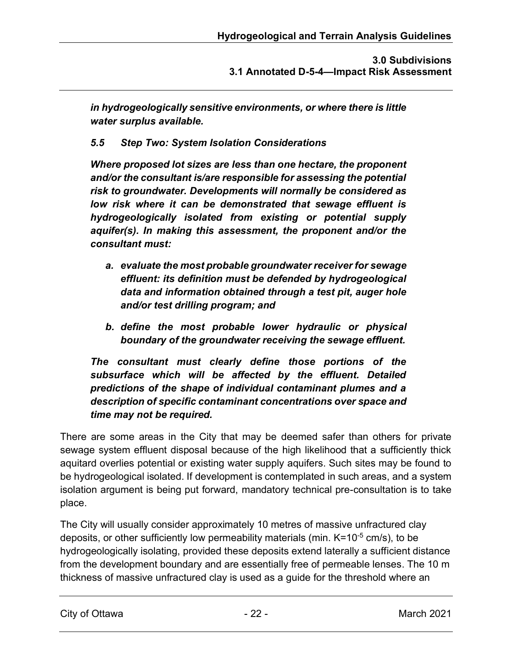*in hydrogeologically sensitive environments, or where there is little water surplus available.* 

## *5.5 Step Two: System Isolation Considerations*

*Where proposed lot sizes are less than one hectare, the proponent and/or the consultant is/are responsible for assessing the potential risk to groundwater. Developments will normally be considered as low risk where it can be demonstrated that sewage effluent is hydrogeologically isolated from existing or potential supply aquifer(s). In making this assessment, the proponent and/or the consultant must:* 

- *a. evaluate the most probable groundwater receiver for sewage effluent: its definition must be defended by hydrogeological data and information obtained through a test pit, auger hole and/or test drilling program; and*
- *b. define the most probable lower hydraulic or physical boundary of the groundwater receiving the sewage effluent.*

*The consultant must clearly define those portions of the subsurface which will be affected by the effluent. Detailed predictions of the shape of individual contaminant plumes and a description of specific contaminant concentrations over space and time may not be required.* 

There are some areas in the City that may be deemed safer than others for private sewage system effluent disposal because of the high likelihood that a sufficiently thick aquitard overlies potential or existing water supply aquifers. Such sites may be found to be hydrogeological isolated. If development is contemplated in such areas, and a system isolation argument is being put forward, mandatory technical pre-consultation is to take place.

The City will usually consider approximately 10 metres of massive unfractured clay deposits, or other sufficiently low permeability materials (min.  $K=10^{-5}$  cm/s), to be hydrogeologically isolating, provided these deposits extend laterally a sufficient distance from the development boundary and are essentially free of permeable lenses. The 10 m thickness of massive unfractured clay is used as a guide for the threshold where an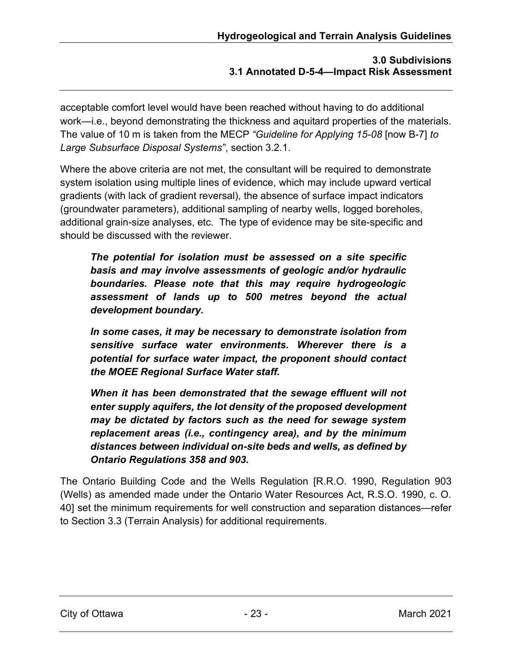acceptable comfort level would have been reached without having to do additional work—i.e., beyond demonstrating the thickness and aquitard properties of the materials. The value of 10 m is taken from the MECP *"Guideline for Applying 15-08* [now B-7] *to Large Subsurface Disposal Systems"*, section 3.2.1.

Where the above criteria are not met, the consultant will be required to demonstrate system isolation using multiple lines of evidence, which may include upward vertical gradients (with lack of gradient reversal), the absence of surface impact indicators (groundwater parameters), additional sampling of nearby wells, logged boreholes, additional grain-size analyses, etc. The type of evidence may be site-specific and should be discussed with the reviewer.

*The potential for isolation must be assessed on a site specific basis and may involve assessments of geologic and/or hydraulic boundaries. Please note that this may require hydrogeologic assessment of lands up to 500 metres beyond the actual development boundary.* 

*In some cases, it may be necessary to demonstrate isolation from sensitive surface water environments. Wherever there is a potential for surface water impact, the proponent should contact the MOEE Regional Surface Water staff.* 

*When it has been demonstrated that the sewage effluent will not enter supply aquifers, the lot density of the proposed development may be dictated by factors such as the need for sewage system replacement areas (i.e., contingency area), and by the minimum distances between individual on-site beds and wells, as defined by Ontario Regulations 358 and 903.*

The Ontario Building Code and the Wells Regulation [R.R.O. 1990, Regulation 903 (Wells) as amended made under the Ontario Water Resources Act, R.S.O. 1990, c. O. 40] set the minimum requirements for well construction and separation distances—refer to Section 3.3 (Terrain Analysis) for additional requirements.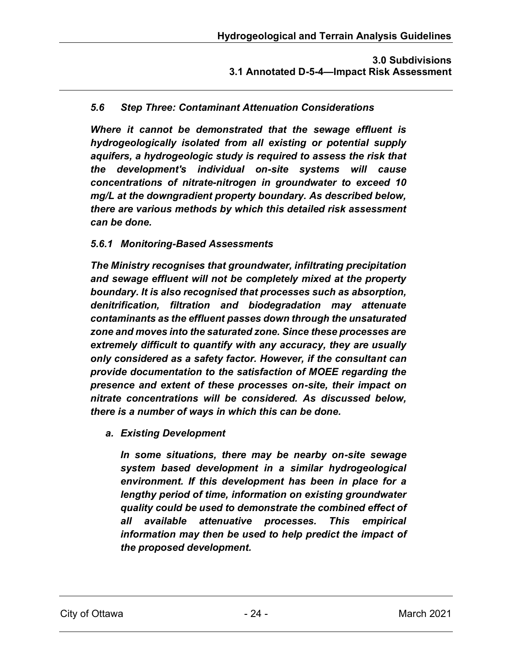#### *5.6 Step Three: Contaminant Attenuation Considerations*

*Where it cannot be demonstrated that the sewage effluent is hydrogeologically isolated from all existing or potential supply aquifers, a hydrogeologic study is required to assess the risk that the development's individual on-site systems will cause concentrations of nitrate-nitrogen in groundwater to exceed 10 mg/L at the downgradient property boundary. As described below, there are various methods by which this detailed risk assessment can be done.* 

### *5.6.1 Monitoring-Based Assessments*

*The Ministry recognises that groundwater, infiltrating precipitation and sewage effluent will not be completely mixed at the property boundary. It is also recognised that processes such as absorption, denitrification, filtration and biodegradation may attenuate contaminants as the effluent passes down through the unsaturated zone and moves into the saturated zone. Since these processes are extremely difficult to quantify with any accuracy, they are usually only considered as a safety factor. However, if the consultant can provide documentation to the satisfaction of MOEE regarding the presence and extent of these processes on-site, their impact on nitrate concentrations will be considered. As discussed below, there is a number of ways in which this can be done.* 

*a. Existing Development* 

*In some situations, there may be nearby on-site sewage system based development in a similar hydrogeological environment. If this development has been in place for a lengthy period of time, information on existing groundwater quality could be used to demonstrate the combined effect of all available attenuative processes. This empirical information may then be used to help predict the impact of the proposed development.*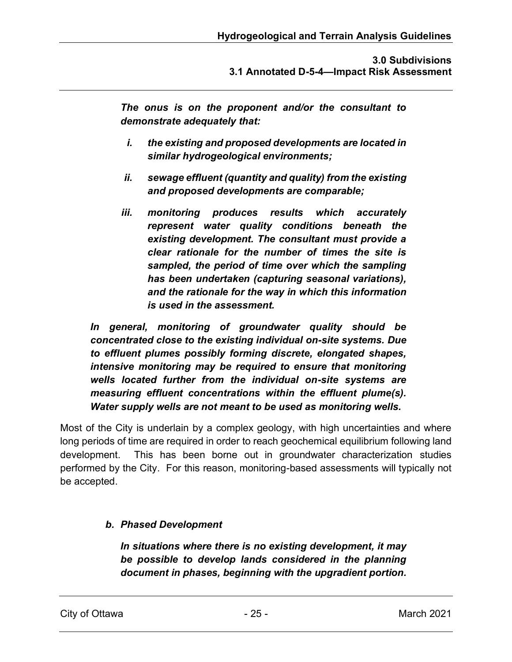*The onus is on the proponent and/or the consultant to demonstrate adequately that:* 

- *i. the existing and proposed developments are located in similar hydrogeological environments;*
- *ii. sewage effluent (quantity and quality) from the existing and proposed developments are comparable;*
- *iii. monitoring produces results which accurately represent water quality conditions beneath the existing development. The consultant must provide a clear rationale for the number of times the site is sampled, the period of time over which the sampling has been undertaken (capturing seasonal variations), and the rationale for the way in which this information is used in the assessment.*

*In general, monitoring of groundwater quality should be concentrated close to the existing individual on-site systems. Due to effluent plumes possibly forming discrete, elongated shapes, intensive monitoring may be required to ensure that monitoring wells located further from the individual on-site systems are measuring effluent concentrations within the effluent plume(s). Water supply wells are not meant to be used as monitoring wells.* 

Most of the City is underlain by a complex geology, with high uncertainties and where long periods of time are required in order to reach geochemical equilibrium following land development. This has been borne out in groundwater characterization studies performed by the City. For this reason, monitoring-based assessments will typically not be accepted.

# *b. Phased Development*

*In situations where there is no existing development, it may be possible to develop lands considered in the planning document in phases, beginning with the upgradient portion.*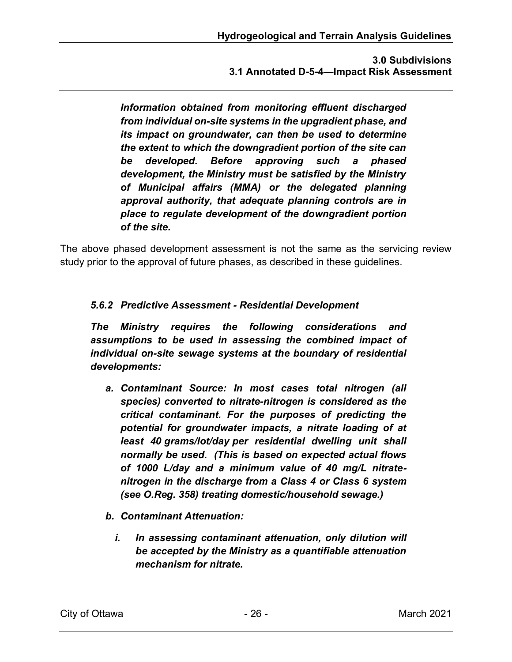*Information obtained from monitoring effluent discharged from individual on-site systems in the upgradient phase, and its impact on groundwater, can then be used to determine the extent to which the downgradient portion of the site can be developed. Before approving such a phased development, the Ministry must be satisfied by the Ministry of Municipal affairs (MMA) or the delegated planning approval authority, that adequate planning controls are in place to regulate development of the downgradient portion of the site.* 

The above phased development assessment is not the same as the servicing review study prior to the approval of future phases, as described in these guidelines.

### *5.6.2 Predictive Assessment - Residential Development*

*The Ministry requires the following considerations and assumptions to be used in assessing the combined impact of individual on-site sewage systems at the boundary of residential developments:* 

- *a. Contaminant Source: In most cases total nitrogen (all species) converted to nitrate-nitrogen is considered as the critical contaminant. For the purposes of predicting the potential for groundwater impacts, a nitrate loading of at least 40 grams/lot/day per residential dwelling unit shall normally be used. (This is based on expected actual flows of 1000 L/day and a minimum value of 40 mg/L nitratenitrogen in the discharge from a Class 4 or Class 6 system (see O.Reg. 358) treating domestic/household sewage.)*
- *b. Contaminant Attenuation:* 
	- *i. In assessing contaminant attenuation, only dilution will be accepted by the Ministry as a quantifiable attenuation mechanism for nitrate.*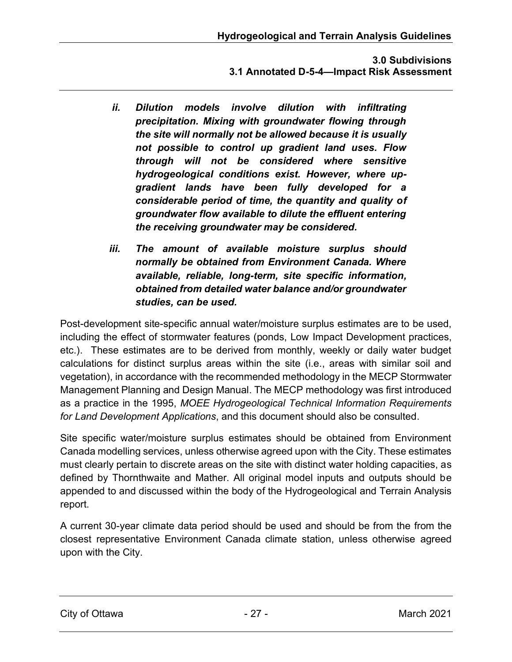- *ii. Dilution models involve dilution with infiltrating precipitation. Mixing with groundwater flowing through the site will normally not be allowed because it is usually not possible to control up gradient land uses. Flow through will not be considered where sensitive hydrogeological conditions exist. However, where upgradient lands have been fully developed for a considerable period of time, the quantity and quality of groundwater flow available to dilute the effluent entering the receiving groundwater may be considered.*
- *iii. The amount of available moisture surplus should normally be obtained from Environment Canada. Where available, reliable, long-term, site specific information, obtained from detailed water balance and/or groundwater studies, can be used.*

Post-development site-specific annual water/moisture surplus estimates are to be used, including the effect of stormwater features (ponds, Low Impact Development practices, etc.). These estimates are to be derived from monthly, weekly or daily water budget calculations for distinct surplus areas within the site (i.e., areas with similar soil and vegetation), in accordance with the recommended methodology in the MECP Stormwater Management Planning and Design Manual. The MECP methodology was first introduced as a practice in the 1995, *MOEE Hydrogeological Technical Information Requirements for Land Development Applications*, and this document should also be consulted.

Site specific water/moisture surplus estimates should be obtained from Environment Canada modelling services, unless otherwise agreed upon with the City. These estimates must clearly pertain to discrete areas on the site with distinct water holding capacities, as defined by Thornthwaite and Mather. All original model inputs and outputs should be appended to and discussed within the body of the Hydrogeological and Terrain Analysis report.

A current 30-year climate data period should be used and should be from the from the closest representative Environment Canada climate station, unless otherwise agreed upon with the City.

City of Ottawa **- 27 - Access 2021** City of Ottawa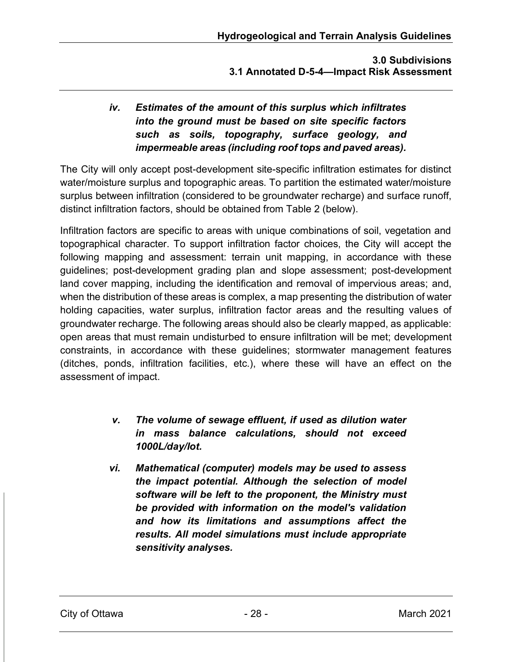### *iv. Estimates of the amount of this surplus which infiltrates into the ground must be based on site specific factors such as soils, topography, surface geology, and impermeable areas (including roof tops and paved areas).*

The City will only accept post-development site-specific infiltration estimates for distinct water/moisture surplus and topographic areas. To partition the estimated water/moisture surplus between infiltration (considered to be groundwater recharge) and surface runoff, distinct infiltration factors, should be obtained from Table 2 (below).

Infiltration factors are specific to areas with unique combinations of soil, vegetation and topographical character. To support infiltration factor choices, the City will accept the following mapping and assessment: terrain unit mapping, in accordance with these guidelines; post-development grading plan and slope assessment; post-development land cover mapping, including the identification and removal of impervious areas; and, when the distribution of these areas is complex, a map presenting the distribution of water holding capacities, water surplus, infiltration factor areas and the resulting values of groundwater recharge. The following areas should also be clearly mapped, as applicable: open areas that must remain undisturbed to ensure infiltration will be met; development constraints, in accordance with these guidelines; stormwater management features (ditches, ponds, infiltration facilities, etc.), where these will have an effect on the assessment of impact.

- *v. The volume of sewage effluent, if used as dilution water in mass balance calculations, should not exceed 1000L/day/lot.*
- *vi. Mathematical (computer) models may be used to assess the impact potential. Although the selection of model software will be left to the proponent, the Ministry must be provided with information on the model's validation and how its limitations and assumptions affect the results. All model simulations must include appropriate sensitivity analyses.*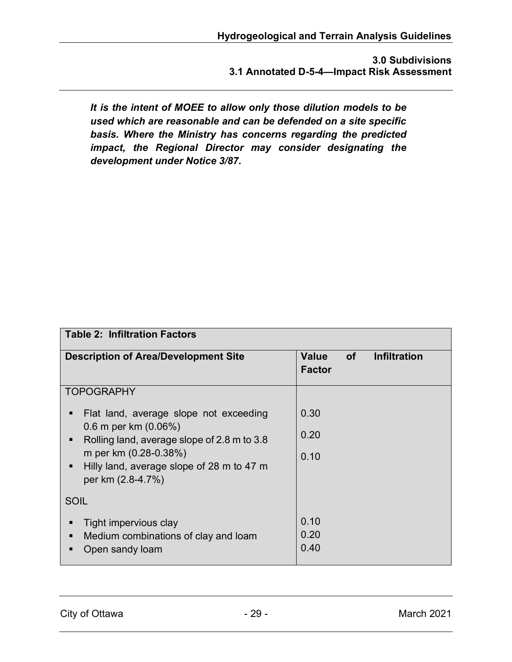*It is the intent of MOEE to allow only those dilution models to be used which are reasonable and can be defended on a site specific basis. Where the Ministry has concerns regarding the predicted impact, the Regional Director may consider designating the development under Notice 3/87.* 

| <b>Table 2: Infiltration Factors</b>                                                    |                                                            |  |  |  |
|-----------------------------------------------------------------------------------------|------------------------------------------------------------|--|--|--|
| <b>Description of Area/Development Site</b>                                             | Value<br><b>of</b><br><b>Infiltration</b><br><b>Factor</b> |  |  |  |
| <b>TOPOGRAPHY</b>                                                                       |                                                            |  |  |  |
| Flat land, average slope not exceeding<br>0.6 m per km $(0.06%)$                        | 0.30                                                       |  |  |  |
| Rolling land, average slope of 2.8 m to 3.8                                             | 0.20                                                       |  |  |  |
| m per km (0.28-0.38%)<br>Hilly land, average slope of 28 m to 47 m<br>per km (2.8-4.7%) | 0.10                                                       |  |  |  |
| <b>SOIL</b>                                                                             |                                                            |  |  |  |
| Tight impervious clay                                                                   | 0.10                                                       |  |  |  |
| Medium combinations of clay and loam<br>п                                               | 0.20<br>0.40                                               |  |  |  |
| Open sandy loam                                                                         |                                                            |  |  |  |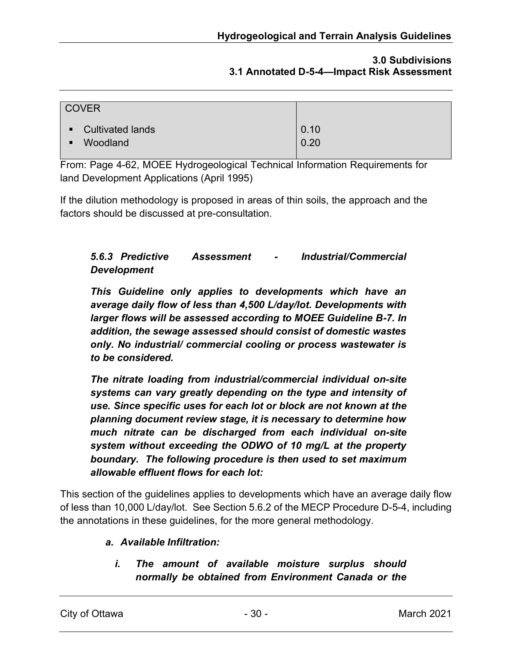| <b>COVER</b>                                                 |              |
|--------------------------------------------------------------|--------------|
| <b>Cultivated lands</b><br>/ /<br>Woodland<br>$\blacksquare$ | 0.10<br>0.20 |

From: Page 4-62, MOEE Hydrogeological Technical Information Requirements for land Development Applications (April 1995)

If the dilution methodology is proposed in areas of thin soils, the approach and the factors should be discussed at pre-consultation.

### *5.6.3 Predictive Assessment - Industrial/Commercial Development*

*This Guideline only applies to developments which have an average daily flow of less than 4,500 L/day/lot. Developments with larger flows will be assessed according to MOEE Guideline B-7. In addition, the sewage assessed should consist of domestic wastes only. No industrial/ commercial cooling or process wastewater is to be considered.* 

*The nitrate loading from industrial/commercial individual on-site systems can vary greatly depending on the type and intensity of use. Since specific uses for each lot or block are not known at the planning document review stage, it is necessary to determine how much nitrate can be discharged from each individual on-site system without exceeding the ODWO of 10 mg/L at the property boundary. The following procedure is then used to set maximum allowable effluent flows for each lot:* 

This section of the guidelines applies to developments which have an average daily flow of less than 10,000 L/day/lot. See Section 5.6.2 of the MECP Procedure D-5-4, including the annotations in these guidelines, for the more general methodology.

### *a. Available Infiltration:*

*i. The amount of available moisture surplus should normally be obtained from Environment Canada or the* 

City of Ottawa **- 30** - 30 - March 2021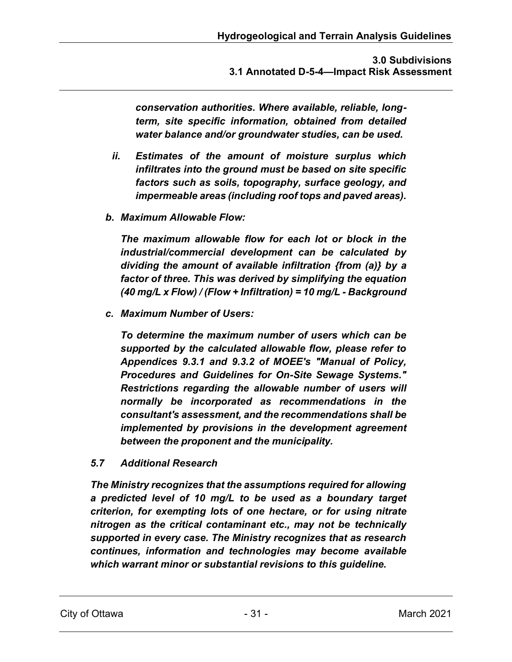*conservation authorities. Where available, reliable, longterm, site specific information, obtained from detailed water balance and/or groundwater studies, can be used.* 

- *ii. Estimates of the amount of moisture surplus which infiltrates into the ground must be based on site specific factors such as soils, topography, surface geology, and impermeable areas (including roof tops and paved areas).*
- *b. Maximum Allowable Flow:*

*The maximum allowable flow for each lot or block in the industrial/commercial development can be calculated by dividing the amount of available infiltration {from (a)} by a factor of three. This was derived by simplifying the equation (40 mg/L x Flow) / (Flow + Infiltration) = 10 mg/L - Background* 

*c. Maximum Number of Users:* 

*To determine the maximum number of users which can be supported by the calculated allowable flow, please refer to Appendices 9.3.1 and 9.3.2 of MOEE's "Manual of Policy, Procedures and Guidelines for On-Site Sewage Systems." Restrictions regarding the allowable number of users will normally be incorporated as recommendations in the consultant's assessment, and the recommendations shall be implemented by provisions in the development agreement between the proponent and the municipality.* 

*5.7 Additional Research* 

*The Ministry recognizes that the assumptions required for allowing a predicted level of 10 mg/L to be used as a boundary target criterion, for exempting lots of one hectare, or for using nitrate nitrogen as the critical contaminant etc., may not be technically supported in every case. The Ministry recognizes that as research continues, information and technologies may become available which warrant minor or substantial revisions to this guideline.*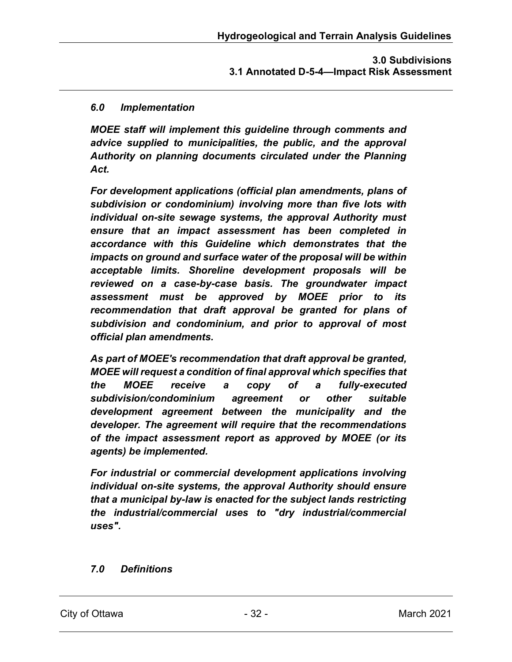#### *6.0 Implementation*

*MOEE staff will implement this guideline through comments and advice supplied to municipalities, the public, and the approval Authority on planning documents circulated under the Planning Act.* 

*For development applications (official plan amendments, plans of subdivision or condominium) involving more than five lots with individual on-site sewage systems, the approval Authority must ensure that an impact assessment has been completed in accordance with this Guideline which demonstrates that the impacts on ground and surface water of the proposal will be within acceptable limits. Shoreline development proposals will be reviewed on a case-by-case basis. The groundwater impact assessment must be approved by MOEE prior to its recommendation that draft approval be granted for plans of subdivision and condominium, and prior to approval of most official plan amendments.* 

*As part of MOEE's recommendation that draft approval be granted, MOEE will request a condition of final approval which specifies that the MOEE receive a copy of a fully-executed subdivision/condominium agreement or other suitable development agreement between the municipality and the developer. The agreement will require that the recommendations of the impact assessment report as approved by MOEE (or its agents) be implemented.* 

*For industrial or commercial development applications involving individual on-site systems, the approval Authority should ensure that a municipal by-law is enacted for the subject lands restricting the industrial/commercial uses to "dry industrial/commercial uses".*

### *7.0 Definitions*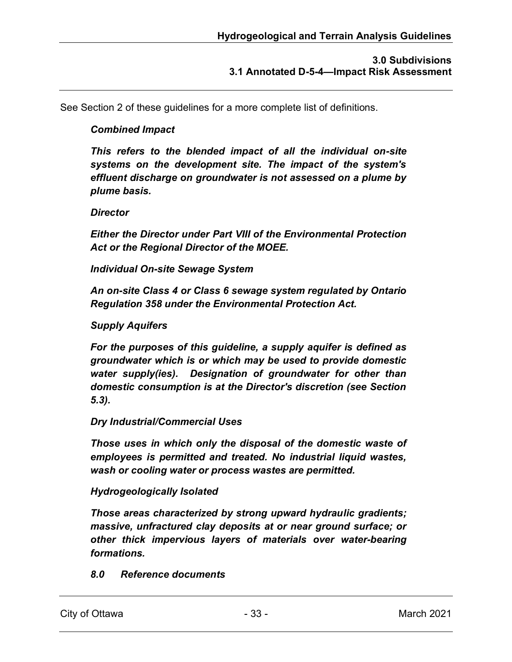See Section 2 of these guidelines for a more complete list of definitions.

### *Combined Impact*

*This refers to the blended impact of all the individual on-site systems on the development site. The impact of the system's effluent discharge on groundwater is not assessed on a plume by plume basis.* 

#### *Director*

*Either the Director under Part VIII of the Environmental Protection Act or the Regional Director of the MOEE.* 

### *Individual On-site Sewage System*

*An on-site Class 4 or Class 6 sewage system regulated by Ontario Regulation 358 under the Environmental Protection Act.* 

### *Supply Aquifers*

*For the purposes of this guideline, a supply aquifer is defined as groundwater which is or which may be used to provide domestic water supply(ies). Designation of groundwater for other than domestic consumption is at the Director's discretion (see Section 5.3).* 

### *Dry Industrial/Commercial Uses*

*Those uses in which only the disposal of the domestic waste of employees is permitted and treated. No industrial liquid wastes, wash or cooling water or process wastes are permitted.* 

### *Hydrogeologically Isolated*

*Those areas characterized by strong upward hydraulic gradients; massive, unfractured clay deposits at or near ground surface; or other thick impervious layers of materials over water-bearing formations.* 

### *8.0 Reference documents*

City of Ottawa **- 33 - March 2021**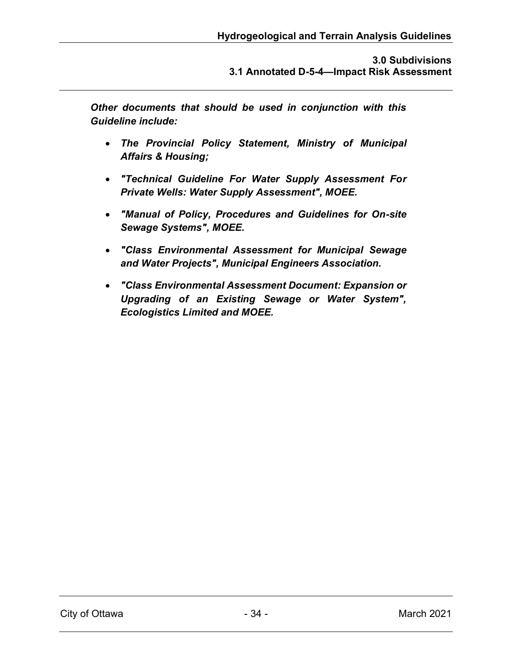*Other documents that should be used in conjunction with this Guideline include:* 

- *The Provincial Policy Statement, Ministry of Municipal Affairs & Housing;*
- *"Technical Guideline For Water Supply Assessment For Private Wells: Water Supply Assessment", MOEE.*
- *"Manual of Policy, Procedures and Guidelines for On-site Sewage Systems", MOEE.*
- *"Class Environmental Assessment for Municipal Sewage and Water Projects", Municipal Engineers Association.*
- *"Class Environmental Assessment Document: Expansion or Upgrading of an Existing Sewage or Water System", Ecologistics Limited and MOEE.*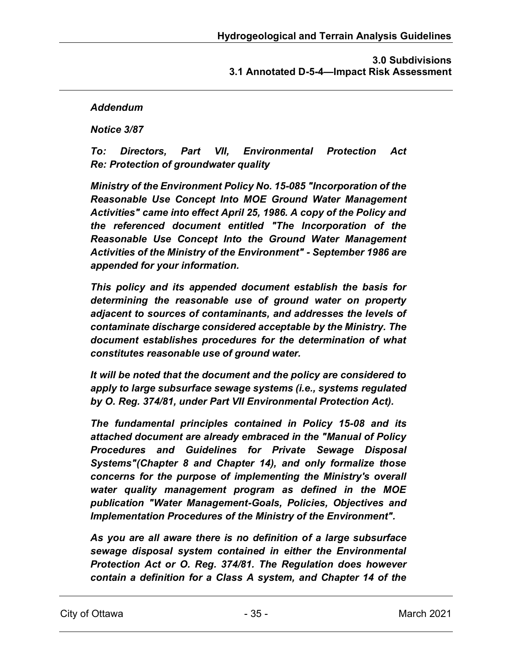#### *Addendum*

*Notice 3/87* 

*To: Directors, Part VII, Environmental Protection Act Re: Protection of groundwater quality* 

*Ministry of the Environment Policy No. 15-08[5](https://www.ontario.ca/#foot_note5) "Incorporation of the Reasonable Use Concept Into MOE Ground Water Management Activities" came into effect April 25, 1986. A copy of the Policy and the referenced document entitled "The Incorporation of the Reasonable Use Concept Into the Ground Water Management Activities of the Ministry of the Environment" - September 1986 are appended for your information.* 

*This policy and its appended document establish the basis for determining the reasonable use of ground water on property adjacent to sources of contaminants, and addresses the levels of contaminate discharge considered acceptable by the Ministry. The document establishes procedures for the determination of what constitutes reasonable use of ground water.* 

*It will be noted that the document and the policy are considered to apply to large subsurface sewage systems (i.e., systems regulated by O. Reg. 374/81, under Part VII Environmental Protection Act).* 

*The fundamental principles contained in Policy 15-08 and its attached document are already embraced in the "Manual of Policy Procedures and Guidelines for Private Sewage Disposal Systems"(Chapter 8 and Chapter 14), and only formalize those concerns for the purpose of implementing the Ministry's overall water quality management program as defined in the MOE publication "Water Management-Goals, Policies, Objectives and Implementation Procedures of the Ministry of the Environment".* 

*As you are all aware there is no definition of a large subsurface sewage disposal system contained in either the Environmental Protection Act or O. Reg. 374/81. The Regulation does however contain a definition for a Class A system, and Chapter 14 of the*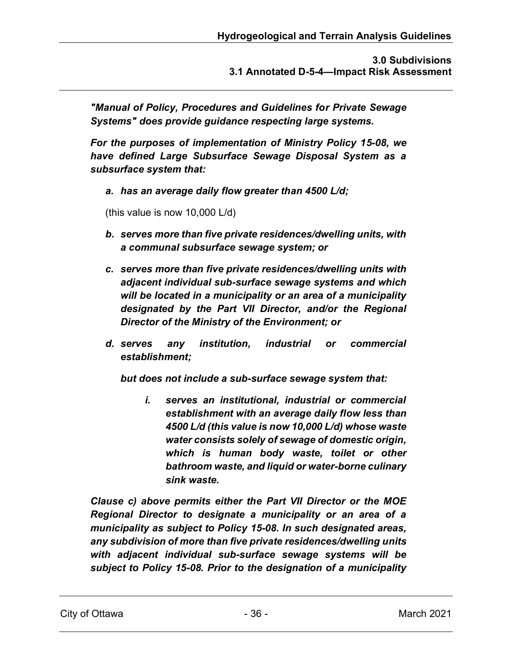*"Manual of Policy, Procedures and Guidelines for Private Sewage Systems" does provide guidance respecting large systems.* 

*For the purposes of implementation of Ministry Policy 15-08, we have defined Large Subsurface Sewage Disposal System as a subsurface system that:* 

*a. has an average daily flow greater than 4500 L/d;* 

(this value is now 10,000 L/d)

- *b. serves more than five private residences/dwelling units, with a communal subsurface sewage system; or*
- *c. serves more than five private residences/dwelling units with adjacent individual sub-surface sewage systems and which will be located in a municipality or an area of a municipality designated by the Part VII Director, and/or the Regional Director of the Ministry of the Environment; or*
- *d. serves any institution, industrial or commercial establishment;*

*but does not include a sub-surface sewage system that:* 

*i. serves an institutional, industrial or commercial establishment with an average daily flow less than 4500 L/d (this value is now 10,000 L/d) whose waste water consists solely of sewage of domestic origin, which is human body waste, toilet or other bathroom waste, and liquid or water-borne culinary sink waste.* 

*Clause c) above permits either the Part VII Director or the MOE Regional Director to designate a municipality or an area of a municipality as subject to Policy 15-08. In such designated areas, any subdivision of more than five private residences/dwelling units with adjacent individual sub-surface sewage systems will be subject to Policy 15-08. Prior to the designation of a municipality*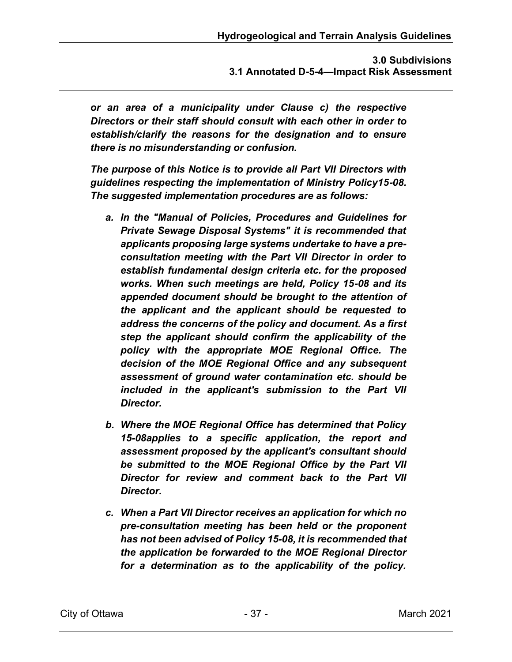*or an area of a municipality under Clause c) the respective Directors or their staff should consult with each other in order to establish/clarify the reasons for the designation and to ensure there is no misunderstanding or confusion.* 

*The purpose of this Notice is to provide all Part VII Directors with guidelines respecting the implementation of Ministry Policy15-08. The suggested implementation procedures are as follows:* 

- *a. In the "Manual of Policies, Procedures and Guidelines for Private Sewage Disposal Systems" it is recommended that applicants proposing large systems undertake to have a preconsultation meeting with the Part VII Director in order to establish fundamental design criteria etc. for the proposed works. When such meetings are held, Policy 15-08 and its appended document should be brought to the attention of the applicant and the applicant should be requested to address the concerns of the policy and document. As a first step the applicant should confirm the applicability of the policy with the appropriate MOE Regional Office. The decision of the MOE Regional Office and any subsequent assessment of ground water contamination etc. should be included in the applicant's submission to the Part VII Director.*
- *b. Where the MOE Regional Office has determined that Policy 15-08applies to a specific application, the report and assessment proposed by the applicant's consultant should be submitted to the MOE Regional Office by the Part VII Director for review and comment back to the Part VII Director.*
- *c. When a Part VII Director receives an application for which no pre-consultation meeting has been held or the proponent has not been advised of Policy 15-08, it is recommended that the application be forwarded to the MOE Regional Director for a determination as to the applicability of the policy.*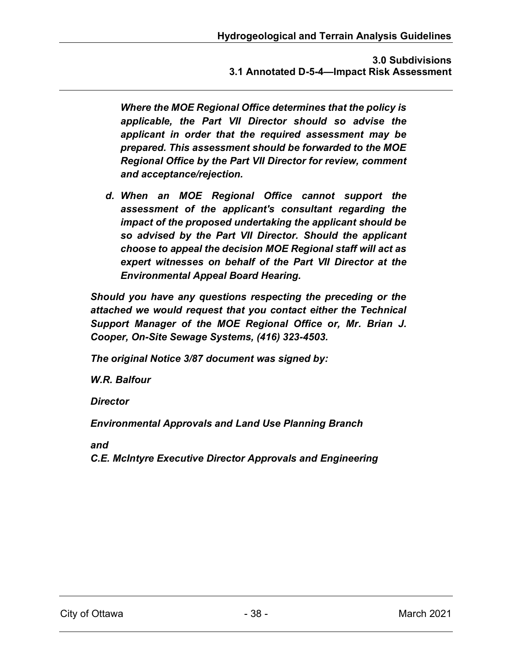*Where the MOE Regional Office determines that the policy is applicable, the Part VII Director should so advise the applicant in order that the required assessment may be prepared. This assessment should be forwarded to the MOE Regional Office by the Part VII Director for review, comment and acceptance/rejection.* 

*d. When an MOE Regional Office cannot support the assessment of the applicant's consultant regarding the impact of the proposed undertaking the applicant should be so advised by the Part VII Director. Should the applicant choose to appeal the decision MOE Regional staff will act as expert witnesses on behalf of the Part VII Director at the Environmental Appeal Board Hearing.* 

*Should you have any questions respecting the preceding or the attached we would request that you contact either the Technical Support Manager of the MOE Regional Office or, Mr. Brian J. Cooper, On-Site Sewage Systems, (416) 323-4503.*

*The original Notice 3/87 document was signed by:* 

*W.R. Balfour* 

*Director* 

*Environmental Approvals and Land Use Planning Branch* 

*and* 

*C.E. McIntyre Executive Director Approvals and Engineering*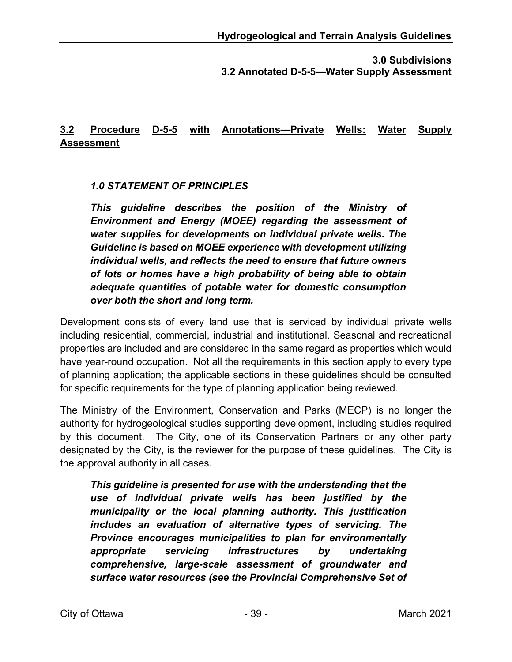# **3.2 Procedure D-5-5 with Annotations—Private Wells: Water Supply Assessment**

# *1.0 STATEMENT OF PRINCIPLES*

*This guideline describes the position of the Ministry of Environment and Energy (MOEE) regarding the assessment of water supplies for developments on individual private wells. The Guideline is based on MOEE experience with development utilizing individual wells, and reflects the need to ensure that future owners of lots or homes have a high probability of being able to obtain adequate quantities of potable water for domestic consumption over both the short and long term.* 

Development consists of every land use that is serviced by individual private wells including residential, commercial, industrial and institutional. Seasonal and recreational properties are included and are considered in the same regard as properties which would have year-round occupation. Not all the requirements in this section apply to every type of planning application; the applicable sections in these guidelines should be consulted for specific requirements for the type of planning application being reviewed.

The Ministry of the Environment, Conservation and Parks (MECP) is no longer the authority for hydrogeological studies supporting development, including studies required by this document. The City, one of its Conservation Partners or any other party designated by the City, is the reviewer for the purpose of these guidelines. The City is the approval authority in all cases.

*This guideline is presented for use with the understanding that the use of individual private wells has been justified by the municipality or the local planning authority. This justification includes an evaluation of alternative types of servicing. The Province encourages municipalities to plan for environmentally appropriate servicing infrastructures by undertaking comprehensive, large-scale assessment of groundwater and surface water resources (see the Provincial Comprehensive Set of*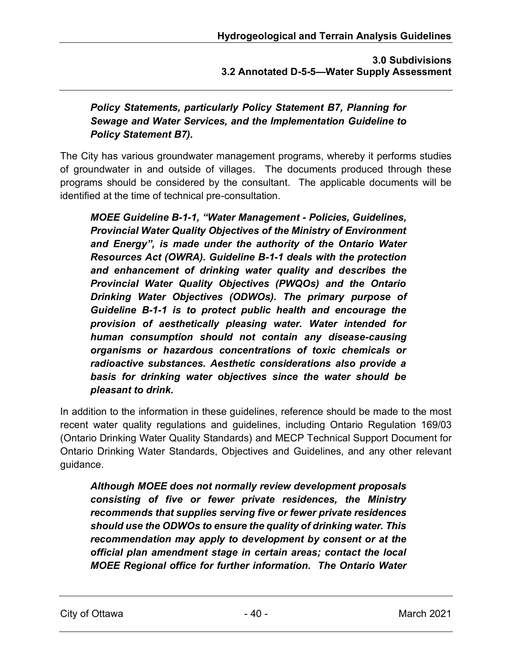# *Policy Statements, particularly Policy Statement B7, Planning for Sewage and Water Services, and the Implementation Guideline to Policy Statement B7).*

The City has various groundwater management programs, whereby it performs studies of groundwater in and outside of villages. The documents produced through these programs should be considered by the consultant. The applicable documents will be identified at the time of technical pre-consultation.

*MOEE Guideline B-1-1, "Water Management - Policies, Guidelines, Provincial Water Quality Objectives of the Ministry of Environment and Energy", is made under the authority of the Ontario Water Resources Act (OWRA). Guideline B-1-1 deals with the protection and enhancement of drinking water quality and describes the Provincial Water Quality Objectives (PWQOs) and the Ontario Drinking Water Objectives (ODWOs). The primary purpose of Guideline B-1-1 is to protect public health and encourage the provision of aesthetically pleasing water. Water intended for human consumption should not contain any disease-causing organisms or hazardous concentrations of toxic chemicals or radioactive substances. Aesthetic considerations also provide a basis for drinking water objectives since the water should be pleasant to drink.* 

In addition to the information in these guidelines, reference should be made to the most recent water quality regulations and guidelines, including Ontario Regulation 169/03 (Ontario Drinking Water Quality Standards) and MECP Technical Support Document for Ontario Drinking Water Standards, Objectives and Guidelines, and any other relevant guidance.

*Although MOEE does not normally review development proposals consisting of five or fewer private residences, the Ministry recommends that supplies serving five or fewer private residences should use the ODWOs to ensure the quality of drinking water. This recommendation may apply to development by consent or at the official plan amendment stage in certain areas; contact the local MOEE Regional office for further information. The Ontario Water*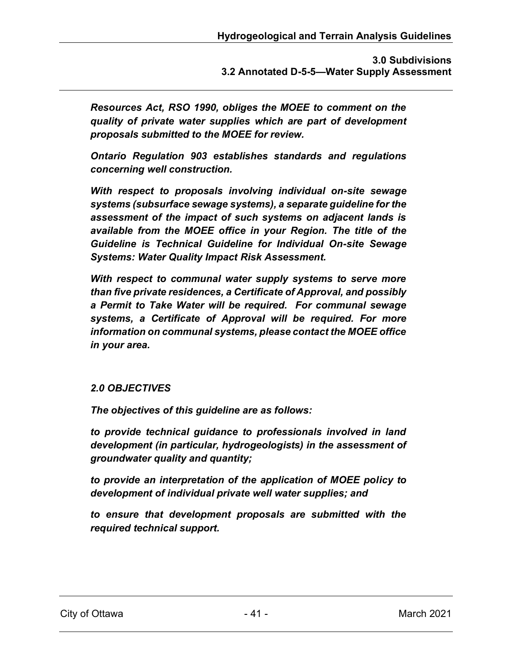*Resources Act, RSO 1990, obliges the MOEE to comment on the quality of private water supplies which are part of development proposals submitted to the MOEE for review.* 

*Ontario Regulation 903 establishes standards and regulations concerning well construction.* 

*With respect to proposals involving individual on-site sewage systems (subsurface sewage systems), a separate guideline for the assessment of the impact of such systems on adjacent lands is available from the MOEE office in your Region. The title of the Guideline is Technical Guideline for Individual On-site Sewage Systems: Water Quality Impact Risk Assessment.* 

*With respect to communal water supply systems to serve more than five private residences, a Certificate of Approval, and possibly a Permit to Take Water will be required. For communal sewage systems, a Certificate of Approval will be required. For more information on communal systems, please contact the MOEE office in your area.* 

## *2.0 OBJECTIVES*

*The objectives of this guideline are as follows:* 

*to provide technical guidance to professionals involved in land development (in particular, hydrogeologists) in the assessment of groundwater quality and quantity;* 

*to provide an interpretation of the application of MOEE policy to development of individual private well water supplies; and* 

*to ensure that development proposals are submitted with the required technical support.*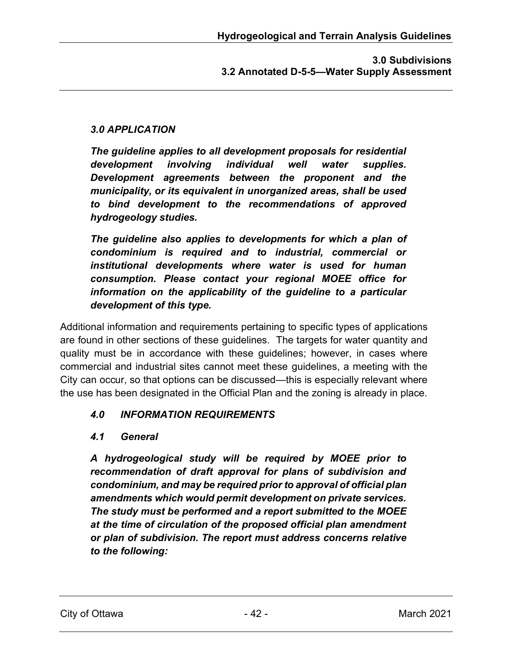# *3.0 APPLICATION*

*The guideline applies to all development proposals for residential development involving individual well water supplies. Development agreements between the proponent and the municipality, or its equivalent in unorganized areas, shall be used to bind development to the recommendations of approved hydrogeology studies.* 

*The guideline also applies to developments for which a plan of condominium is required and to industrial, commercial or institutional developments where water is used for human consumption. Please contact your regional MOEE office for information on the applicability of the guideline to a particular development of this type.* 

Additional information and requirements pertaining to specific types of applications are found in other sections of these guidelines. The targets for water quantity and quality must be in accordance with these guidelines; however, in cases where commercial and industrial sites cannot meet these guidelines, a meeting with the City can occur, so that options can be discussed—this is especially relevant where the use has been designated in the Official Plan and the zoning is already in place.

# *4.0 INFORMATION REQUIREMENTS*

# *4.1 General*

*A hydrogeological study will be required by MOEE prior to recommendation of draft approval for plans of subdivision and condominium, and may be required prior to approval of official plan amendments which would permit development on private services. The study must be performed and a report submitted to the MOEE at the time of circulation of the proposed official plan amendment or plan of subdivision. The report must address concerns relative to the following:*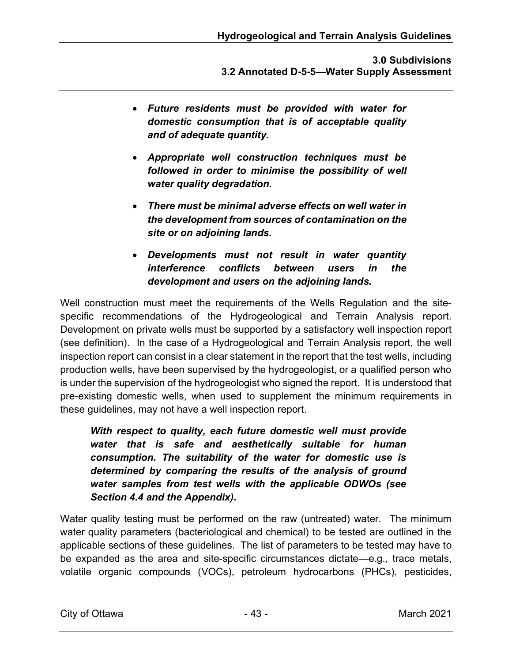- *Future residents must be provided with water for domestic consumption that is of acceptable quality and of adequate quantity.*
- *Appropriate well construction techniques must be followed in order to minimise the possibility of well water quality degradation.*
- *There must be minimal adverse effects on well water in the development from sources of contamination on the site or on adjoining lands.*
- *Developments must not result in water quantity interference conflicts between users in the development and users on the adjoining lands.*

Well construction must meet the requirements of the Wells Regulation and the sitespecific recommendations of the Hydrogeological and Terrain Analysis report. Development on private wells must be supported by a satisfactory well inspection report (see definition). In the case of a Hydrogeological and Terrain Analysis report, the well inspection report can consist in a clear statement in the report that the test wells, including production wells, have been supervised by the hydrogeologist, or a qualified person who is under the supervision of the hydrogeologist who signed the report. It is understood that pre-existing domestic wells, when used to supplement the minimum requirements in these guidelines, may not have a well inspection report.

*With respect to quality, each future domestic well must provide water that is safe and aesthetically suitable for human consumption. The suitability of the water for domestic use is determined by comparing the results of the analysis of ground water samples from test wells with the applicable ODWOs (see Section 4.4 and the Appendix).* 

Water quality testing must be performed on the raw (untreated) water. The minimum water quality parameters (bacteriological and chemical) to be tested are outlined in the applicable sections of these guidelines. The list of parameters to be tested may have to be expanded as the area and site-specific circumstances dictate—e.g., trace metals, volatile organic compounds (VOCs), petroleum hydrocarbons (PHCs), pesticides,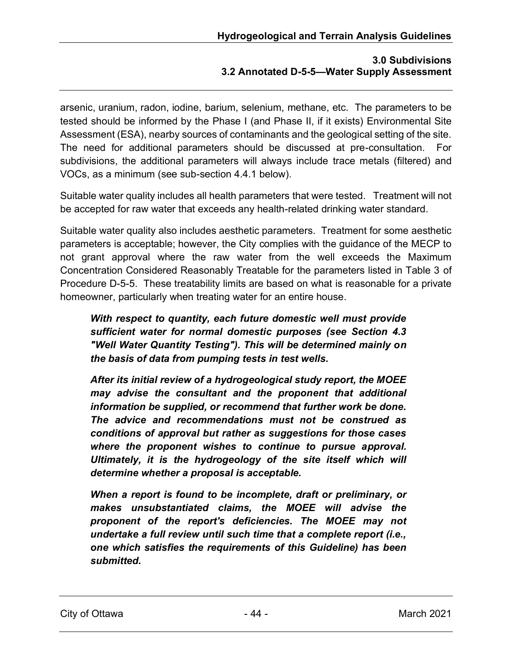arsenic, uranium, radon, iodine, barium, selenium, methane, etc. The parameters to be tested should be informed by the Phase I (and Phase II, if it exists) Environmental Site Assessment (ESA), nearby sources of contaminants and the geological setting of the site. The need for additional parameters should be discussed at pre-consultation. For subdivisions, the additional parameters will always include trace metals (filtered) and VOCs, as a minimum (see sub-section 4.4.1 below).

Suitable water quality includes all health parameters that were tested. Treatment will not be accepted for raw water that exceeds any health-related drinking water standard.

Suitable water quality also includes aesthetic parameters. Treatment for some aesthetic parameters is acceptable; however, the City complies with the guidance of the MECP to not grant approval where the raw water from the well exceeds the Maximum Concentration Considered Reasonably Treatable for the parameters listed in Table 3 of Procedure D-5-5. These treatability limits are based on what is reasonable for a private homeowner, particularly when treating water for an entire house.

*With respect to quantity, each future domestic well must provide sufficient water for normal domestic purposes (see Section 4.3 "Well Water Quantity Testing"). This will be determined mainly on the basis of data from pumping tests in test wells.* 

*After its initial review of a hydrogeological study report, the MOEE may advise the consultant and the proponent that additional information be supplied, or recommend that further work be done. The advice and recommendations must not be construed as conditions of approval but rather as suggestions for those cases where the proponent wishes to continue to pursue approval. Ultimately, it is the hydrogeology of the site itself which will determine whether a proposal is acceptable.* 

*When a report is found to be incomplete, draft or preliminary, or makes unsubstantiated claims, the MOEE will advise the proponent of the report's deficiencies. The MOEE may not undertake a full review until such time that a complete report (i.e., one which satisfies the requirements of this Guideline) has been submitted.* 

City of Ottawa **- 44 -** All City of Ottawa - 44 - All City of Ottawa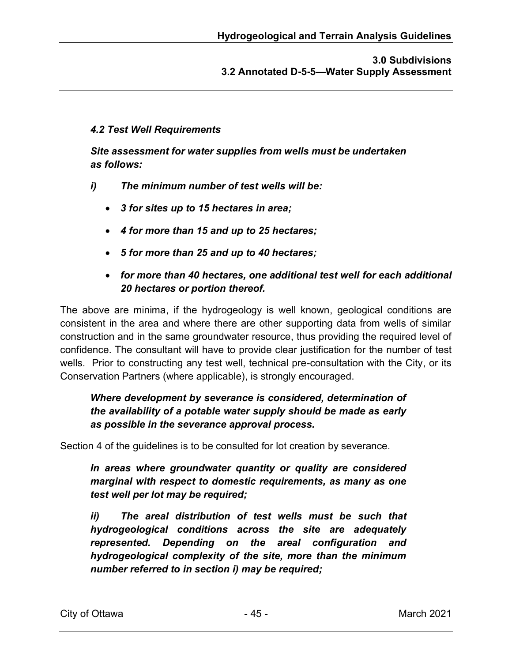### *4.2 Test Well Requirements*

*Site assessment for water supplies from wells must be undertaken as follows:* 

- *i) The minimum number of test wells will be:* 
	- *3 for sites up to 15 hectares in area;*
	- *4 for more than 15 and up to 25 hectares;*
	- *5 for more than 25 and up to 40 hectares;*
	- *for more than 40 hectares, one additional test well for each additional 20 hectares or portion thereof.*

The above are minima, if the hydrogeology is well known, geological conditions are consistent in the area and where there are other supporting data from wells of similar construction and in the same groundwater resource, thus providing the required level of confidence. The consultant will have to provide clear justification for the number of test wells. Prior to constructing any test well, technical pre-consultation with the City, or its Conservation Partners (where applicable), is strongly encouraged.

### *Where development by severance is considered, determination of the availability of a potable water supply should be made as early as possible in the severance approval process.*

Section 4 of the guidelines is to be consulted for lot creation by severance.

*In areas where groundwater quantity or quality are considered marginal with respect to domestic requirements, as many as one test well per lot may be required;* 

*ii) The areal distribution of test wells must be such that hydrogeological conditions across the site are adequately represented. Depending on the areal configuration and hydrogeological complexity of the site, more than the minimum number referred to in section i) may be required;*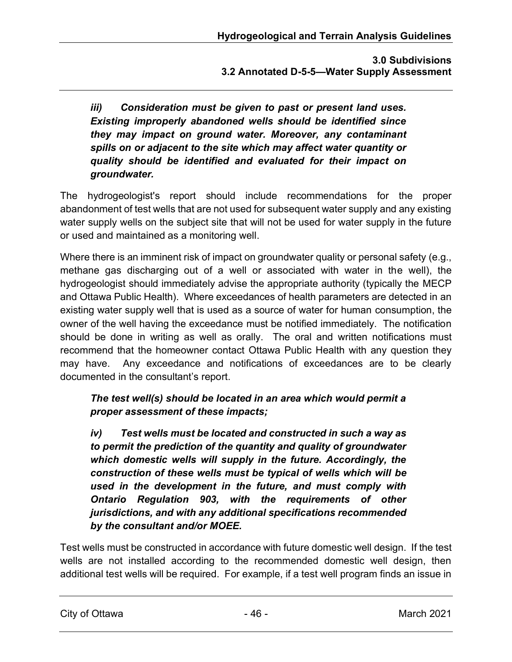*iii) Consideration must be given to past or present land uses. Existing improperly abandoned wells should be identified since they may impact on ground water. Moreover, any contaminant spills on or adjacent to the site which may affect water quantity or quality should be identified and evaluated for their impact on groundwater.* 

The hydrogeologist's report should include recommendations for the proper abandonment of test wells that are not used for subsequent water supply and any existing water supply wells on the subject site that will not be used for water supply in the future or used and maintained as a monitoring well.

Where there is an imminent risk of impact on groundwater quality or personal safety (e.g., methane gas discharging out of a well or associated with water in the well), the hydrogeologist should immediately advise the appropriate authority (typically the MECP and Ottawa Public Health). Where exceedances of health parameters are detected in an existing water supply well that is used as a source of water for human consumption, the owner of the well having the exceedance must be notified immediately. The notification should be done in writing as well as orally. The oral and written notifications must recommend that the homeowner contact Ottawa Public Health with any question they may have. Any exceedance and notifications of exceedances are to be clearly documented in the consultant's report.

## *The test well(s) should be located in an area which would permit a proper assessment of these impacts;*

*iv) Test wells must be located and constructed in such a way as to permit the prediction of the quantity and quality of groundwater which domestic wells will supply in the future. Accordingly, the construction of these wells must be typical of wells which will be used in the development in the future, and must comply with Ontario Regulation 903, with the requirements of other jurisdictions, and with any additional specifications recommended by the consultant and/or MOEE.* 

Test wells must be constructed in accordance with future domestic well design. If the test wells are not installed according to the recommended domestic well design, then additional test wells will be required. For example, if a test well program finds an issue in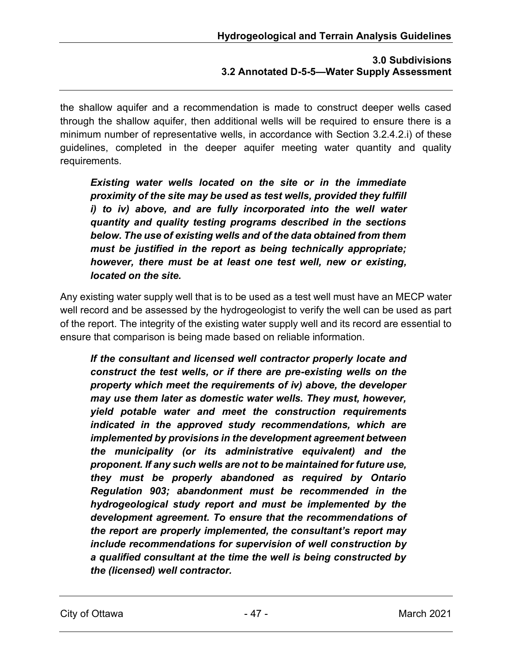the shallow aquifer and a recommendation is made to construct deeper wells cased through the shallow aquifer, then additional wells will be required to ensure there is a minimum number of representative wells, in accordance with Section 3.2.4.2.i) of these guidelines, completed in the deeper aquifer meeting water quantity and quality requirements.

*Existing water wells located on the site or in the immediate proximity of the site may be used as test wells, provided they fulfill i) to iv) above, and are fully incorporated into the well water quantity and quality testing programs described in the sections below. The use of existing wells and of the data obtained from them must be justified in the report as being technically appropriate; however, there must be at least one test well, new or existing, located on the site.* 

Any existing water supply well that is to be used as a test well must have an MECP water well record and be assessed by the hydrogeologist to verify the well can be used as part of the report. The integrity of the existing water supply well and its record are essential to ensure that comparison is being made based on reliable information.

*If the consultant and licensed well contractor properly locate and construct the test wells, or if there are pre-existing wells on the property which meet the requirements of iv) above, the developer may use them later as domestic water wells. They must, however, yield potable water and meet the construction requirements indicated in the approved study recommendations, which are implemented by provisions in the development agreement between the municipality (or its administrative equivalent) and the proponent. If any such wells are not to be maintained for future use, they must be properly abandoned as required by Ontario Regulation 903; abandonment must be recommended in the hydrogeological study report and must be implemented by the development agreement. To ensure that the recommendations of the report are properly implemented, the consultant's report may include recommendations for supervision of well construction by a qualified consultant at the time the well is being constructed by the (licensed) well contractor.*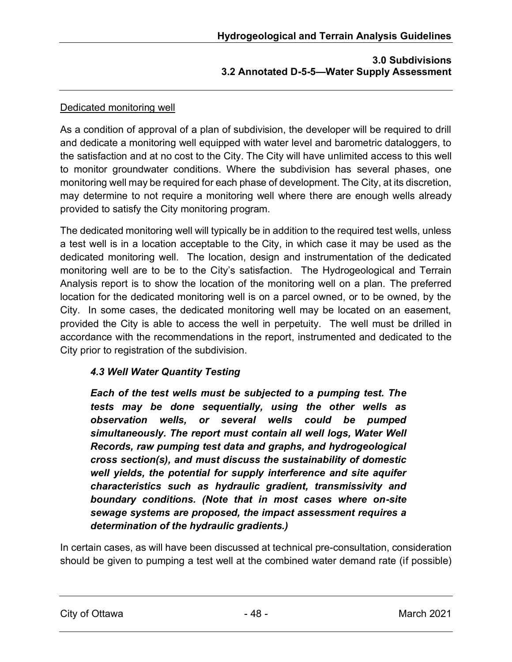### Dedicated monitoring well

As a condition of approval of a plan of subdivision, the developer will be required to drill and dedicate a monitoring well equipped with water level and barometric dataloggers, to the satisfaction and at no cost to the City. The City will have unlimited access to this well to monitor groundwater conditions. Where the subdivision has several phases, one monitoring well may be required for each phase of development. The City, at its discretion, may determine to not require a monitoring well where there are enough wells already provided to satisfy the City monitoring program.

The dedicated monitoring well will typically be in addition to the required test wells, unless a test well is in a location acceptable to the City, in which case it may be used as the dedicated monitoring well. The location, design and instrumentation of the dedicated monitoring well are to be to the City's satisfaction. The Hydrogeological and Terrain Analysis report is to show the location of the monitoring well on a plan. The preferred location for the dedicated monitoring well is on a parcel owned, or to be owned, by the City. In some cases, the dedicated monitoring well may be located on an easement, provided the City is able to access the well in perpetuity. The well must be drilled in accordance with the recommendations in the report, instrumented and dedicated to the City prior to registration of the subdivision.

## *4.3 Well Water Quantity Testing*

*Each of the test wells must be subjected to a pumping test. The tests may be done sequentially, using the other wells as observation wells, or several wells could be pumped simultaneously. The report must contain all well logs, Water Well Records, raw pumping test data and graphs, and hydrogeological cross section(s), and must discuss the sustainability of domestic well yields, the potential for supply interference and site aquifer characteristics such as hydraulic gradient, transmissivity and boundary conditions. (Note that in most cases where on-site sewage systems are proposed, the impact assessment requires a determination of the hydraulic gradients.)* 

In certain cases, as will have been discussed at technical pre-consultation, consideration should be given to pumping a test well at the combined water demand rate (if possible)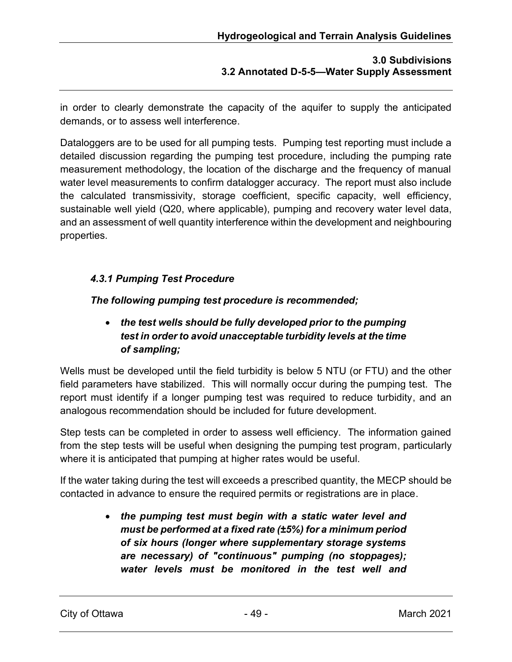in order to clearly demonstrate the capacity of the aquifer to supply the anticipated demands, or to assess well interference.

Dataloggers are to be used for all pumping tests. Pumping test reporting must include a detailed discussion regarding the pumping test procedure, including the pumping rate measurement methodology, the location of the discharge and the frequency of manual water level measurements to confirm datalogger accuracy. The report must also include the calculated transmissivity, storage coefficient, specific capacity, well efficiency, sustainable well yield (Q20, where applicable), pumping and recovery water level data, and an assessment of well quantity interference within the development and neighbouring properties.

# *4.3.1 Pumping Test Procedure*

## *The following pumping test procedure is recommended;*

## • *the test wells should be fully developed prior to the pumping test in order to avoid unacceptable turbidity levels at the time of sampling;*

Wells must be developed until the field turbidity is below 5 NTU (or FTU) and the other field parameters have stabilized. This will normally occur during the pumping test. The report must identify if a longer pumping test was required to reduce turbidity, and an analogous recommendation should be included for future development.

Step tests can be completed in order to assess well efficiency. The information gained from the step tests will be useful when designing the pumping test program, particularly where it is anticipated that pumping at higher rates would be useful.

If the water taking during the test will exceeds a prescribed quantity, the MECP should be contacted in advance to ensure the required permits or registrations are in place.

> • *the pumping test must begin with a static water level and must be performed at a fixed rate (±5%) for a minimum period of six hours (longer where supplementary storage systems are necessary) of "continuous" pumping (no stoppages); water levels must be monitored in the test well and*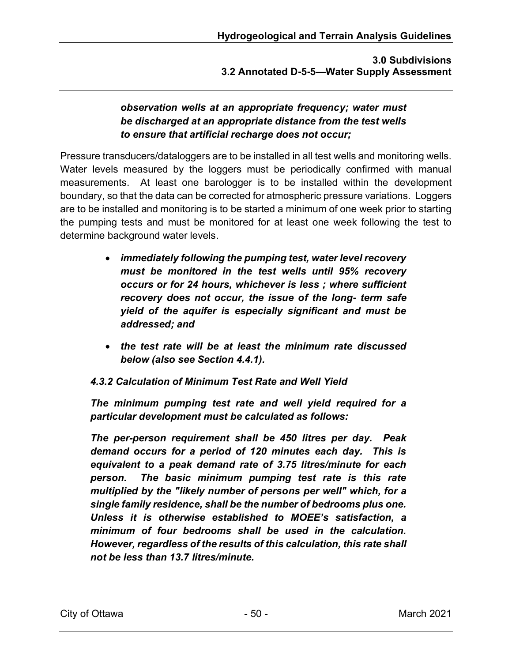*observation wells at an appropriate frequency; water must be discharged at an appropriate distance from the test wells to ensure that artificial recharge does not occur;* 

Pressure transducers/dataloggers are to be installed in all test wells and monitoring wells. Water levels measured by the loggers must be periodically confirmed with manual measurements. At least one barologger is to be installed within the development boundary, so that the data can be corrected for atmospheric pressure variations. Loggers are to be installed and monitoring is to be started a minimum of one week prior to starting the pumping tests and must be monitored for at least one week following the test to determine background water levels.

- *immediately following the pumping test, water level recovery must be monitored in the test wells until 95% recovery occurs or for 24 hours, whichever is less ; where sufficient recovery does not occur, the issue of the long- term safe yield of the aquifer is especially significant and must be addressed; and*
- *the test rate will be at least the minimum rate discussed below (also see Section 4.4.1).*

# *4.3.2 Calculation of Minimum Test Rate and Well Yield*

*The minimum pumping test rate and well yield required for a particular development must be calculated as follows:* 

*The per-person requirement shall be 450 litres per day. Peak demand occurs for a period of 120 minutes each day. This is equivalent to a peak demand rate of 3.75 litres/minute for each person. The basic minimum pumping test rate is this rate multiplied by the "likely number of persons per well" which, for a single family residence, shall be the number of bedrooms plus one. Unless it is otherwise established to MOEE's satisfaction, a minimum of four bedrooms shall be used in the calculation. However, regardless of the results of this calculation, this rate shall not be less than 13.7 litres/minute.*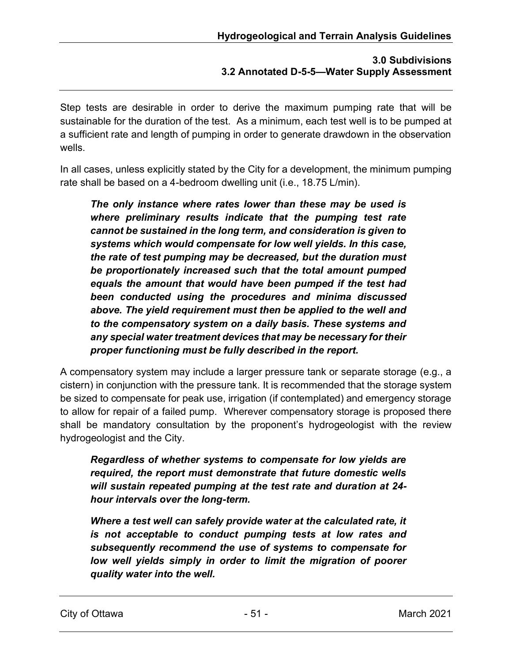Step tests are desirable in order to derive the maximum pumping rate that will be sustainable for the duration of the test. As a minimum, each test well is to be pumped at a sufficient rate and length of pumping in order to generate drawdown in the observation wells.

In all cases, unless explicitly stated by the City for a development, the minimum pumping rate shall be based on a 4-bedroom dwelling unit (i.e., 18.75 L/min).

*The only instance where rates lower than these may be used is where preliminary results indicate that the pumping test rate cannot be sustained in the long term, and consideration is given to systems which would compensate for low well yields. In this case, the rate of test pumping may be decreased, but the duration must be proportionately increased such that the total amount pumped equals the amount that would have been pumped if the test had been conducted using the procedures and minima discussed above. The yield requirement must then be applied to the well and to the compensatory system on a daily basis. These systems and any special water treatment devices that may be necessary for their proper functioning must be fully described in the report.* 

A compensatory system may include a larger pressure tank or separate storage (e.g., a cistern) in conjunction with the pressure tank. It is recommended that the storage system be sized to compensate for peak use, irrigation (if contemplated) and emergency storage to allow for repair of a failed pump. Wherever compensatory storage is proposed there shall be mandatory consultation by the proponent's hydrogeologist with the review hydrogeologist and the City.

*Regardless of whether systems to compensate for low yields are required, the report must demonstrate that future domestic wells will sustain repeated pumping at the test rate and duration at 24 hour intervals over the long-term.* 

*Where a test well can safely provide water at the calculated rate, it is not acceptable to conduct pumping tests at low rates and subsequently recommend the use of systems to compensate for low well yields simply in order to limit the migration of poorer quality water into the well.*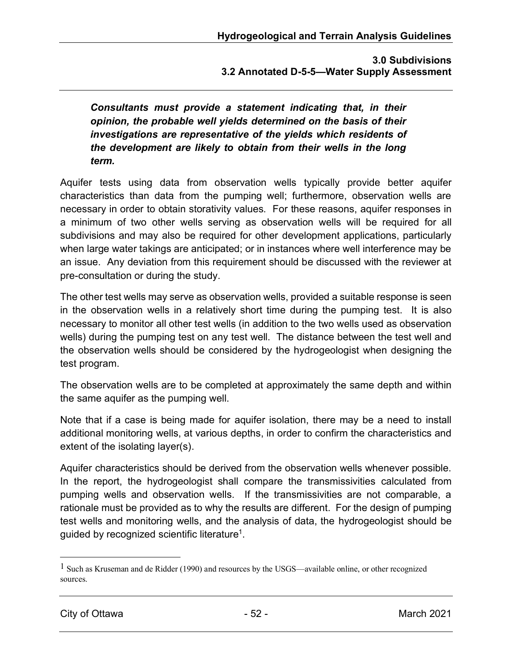*Consultants must provide a statement indicating that, in their opinion, the probable well yields determined on the basis of their investigations are representative of the yields which residents of the development are likely to obtain from their wells in the long term.* 

Aquifer tests using data from observation wells typically provide better aquifer characteristics than data from the pumping well; furthermore, observation wells are necessary in order to obtain storativity values. For these reasons, aquifer responses in a minimum of two other wells serving as observation wells will be required for all subdivisions and may also be required for other development applications, particularly when large water takings are anticipated; or in instances where well interference may be an issue. Any deviation from this requirement should be discussed with the reviewer at pre-consultation or during the study.

The other test wells may serve as observation wells, provided a suitable response is seen in the observation wells in a relatively short time during the pumping test. It is also necessary to monitor all other test wells (in addition to the two wells used as observation wells) during the pumping test on any test well. The distance between the test well and the observation wells should be considered by the hydrogeologist when designing the test program.

The observation wells are to be completed at approximately the same depth and within the same aquifer as the pumping well.

Note that if a case is being made for aquifer isolation, there may be a need to install additional monitoring wells, at various depths, in order to confirm the characteristics and extent of the isolating layer(s).

Aquifer characteristics should be derived from the observation wells whenever possible. In the report, the hydrogeologist shall compare the transmissivities calculated from pumping wells and observation wells. If the transmissivities are not comparable, a rationale must be provided as to why the results are different. For the design of pumping test wells and monitoring wells, and the analysis of data, the hydrogeologist should be guided by recognized scientific literature $^{\rm 1}$ .

<sup>1</sup> Such as Kruseman and de Ridder (1990) and resources by the USGS—available online, or other recognized sources.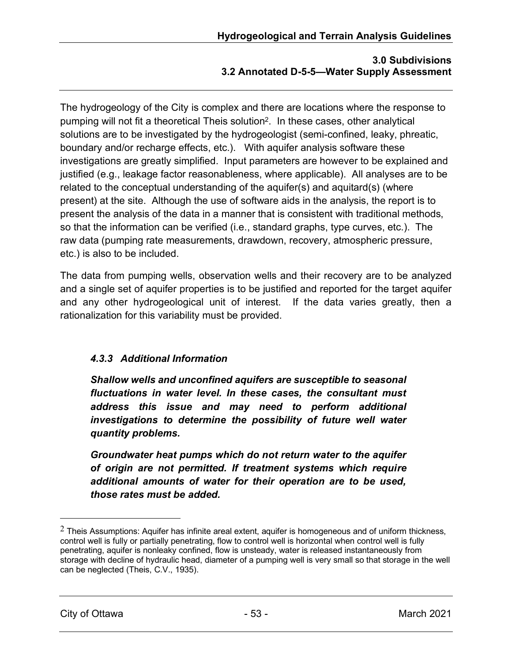The hydrogeology of the City is complex and there are locations where the response to pumping will not fit a theoretical Theis solution<sup>2</sup>. In these cases, other analytical solutions are to be investigated by the hydrogeologist (semi-confined, leaky, phreatic, boundary and/or recharge effects, etc.). With aquifer analysis software these investigations are greatly simplified. Input parameters are however to be explained and justified (e.g., leakage factor reasonableness, where applicable). All analyses are to be related to the conceptual understanding of the aquifer(s) and aquitard(s) (where present) at the site. Although the use of software aids in the analysis, the report is to present the analysis of the data in a manner that is consistent with traditional methods, so that the information can be verified (i.e., standard graphs, type curves, etc.). The raw data (pumping rate measurements, drawdown, recovery, atmospheric pressure, etc.) is also to be included.

The data from pumping wells, observation wells and their recovery are to be analyzed and a single set of aquifer properties is to be justified and reported for the target aquifer and any other hydrogeological unit of interest. If the data varies greatly, then a rationalization for this variability must be provided.

# *4.3.3 Additional Information*

*Shallow wells and unconfined aquifers are susceptible to seasonal fluctuations in water level. In these cases, the consultant must address this issue and may need to perform additional investigations to determine the possibility of future well water quantity problems.* 

*Groundwater heat pumps which do not return water to the aquifer of origin are not permitted. If treatment systems which require additional amounts of water for their operation are to be used, those rates must be added.* 

 $2$  Theis Assumptions: Aquifer has infinite areal extent, aquifer is homogeneous and of uniform thickness, control well is fully or partially penetrating, flow to control well is horizontal when control well is fully penetrating, aquifer is nonleaky confined, flow is unsteady, water is released instantaneously from storage with decline of hydraulic head, diameter of a pumping well is very small so that storage in the well can be neglected (Theis, C.V., 1935).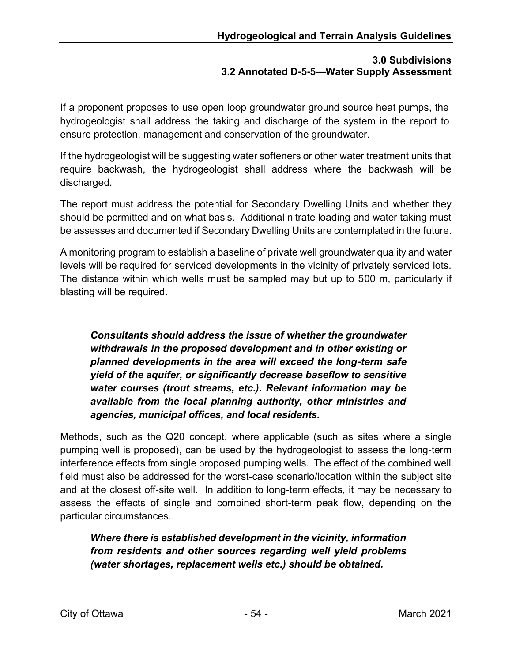If a proponent proposes to use open loop groundwater ground source heat pumps, the hydrogeologist shall address the taking and discharge of the system in the report to ensure protection, management and conservation of the groundwater.

If the hydrogeologist will be suggesting water softeners or other water treatment units that require backwash, the hydrogeologist shall address where the backwash will be discharged.

The report must address the potential for Secondary Dwelling Units and whether they should be permitted and on what basis. Additional nitrate loading and water taking must be assesses and documented if Secondary Dwelling Units are contemplated in the future.

A monitoring program to establish a baseline of private well groundwater quality and water levels will be required for serviced developments in the vicinity of privately serviced lots. The distance within which wells must be sampled may but up to 500 m, particularly if blasting will be required.

*Consultants should address the issue of whether the groundwater withdrawals in the proposed development and in other existing or planned developments in the area will exceed the long-term safe yield of the aquifer, or significantly decrease baseflow to sensitive water courses (trout streams, etc.). Relevant information may be available from the local planning authority, other ministries and agencies, municipal offices, and local residents.* 

Methods, such as the Q20 concept, where applicable (such as sites where a single pumping well is proposed), can be used by the hydrogeologist to assess the long-term interference effects from single proposed pumping wells. The effect of the combined well field must also be addressed for the worst-case scenario/location within the subject site and at the closest off-site well. In addition to long-term effects, it may be necessary to assess the effects of single and combined short-term peak flow, depending on the particular circumstances.

*Where there is established development in the vicinity, information from residents and other sources regarding well yield problems (water shortages, replacement wells etc.) should be obtained.*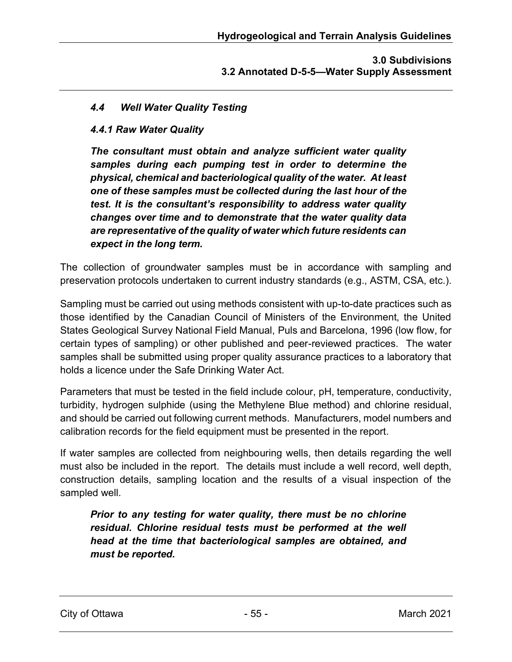## *4.4 Well Water Quality Testing*

## *4.4.1 Raw Water Quality*

*The consultant must obtain and analyze sufficient water quality samples during each pumping test in order to determine the physical, chemical and bacteriological quality of the water. At least one of these samples must be collected during the last hour of the test. It is the consultant's responsibility to address water quality changes over time and to demonstrate that the water quality data are representative of the quality of water which future residents can expect in the long term.* 

The collection of groundwater samples must be in accordance with sampling and preservation protocols undertaken to current industry standards (e.g., ASTM, CSA, etc.).

Sampling must be carried out using methods consistent with up-to-date practices such as those identified by the Canadian Council of Ministers of the Environment, the United States Geological Survey National Field Manual, Puls and Barcelona, 1996 (low flow, for certain types of sampling) or other published and peer-reviewed practices. The water samples shall be submitted using proper quality assurance practices to a laboratory that holds a licence under the Safe Drinking Water Act.

Parameters that must be tested in the field include colour, pH, temperature, conductivity, turbidity, hydrogen sulphide (using the Methylene Blue method) and chlorine residual, and should be carried out following current methods. Manufacturers, model numbers and calibration records for the field equipment must be presented in the report.

If water samples are collected from neighbouring wells, then details regarding the well must also be included in the report. The details must include a well record, well depth, construction details, sampling location and the results of a visual inspection of the sampled well.

*Prior to any testing for water quality, there must be no chlorine residual. Chlorine residual tests must be performed at the well head at the time that bacteriological samples are obtained, and must be reported.*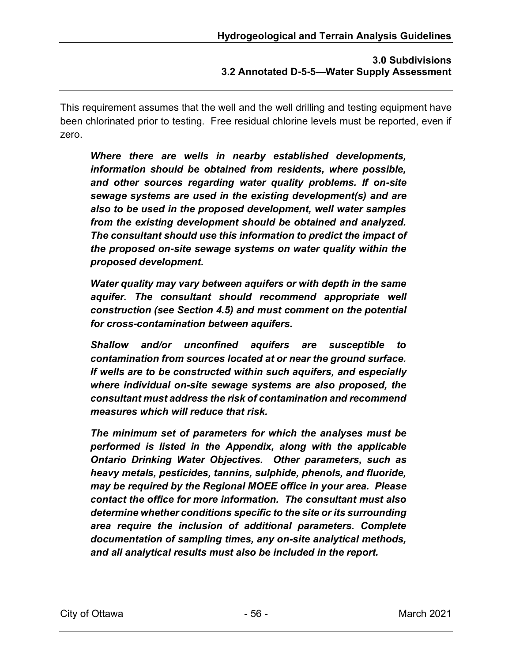This requirement assumes that the well and the well drilling and testing equipment have been chlorinated prior to testing. Free residual chlorine levels must be reported, even if zero.

*Where there are wells in nearby established developments, information should be obtained from residents, where possible, and other sources regarding water quality problems. If on-site sewage systems are used in the existing development(s) and are also to be used in the proposed development, well water samples from the existing development should be obtained and analyzed. The consultant should use this information to predict the impact of the proposed on-site sewage systems on water quality within the proposed development.* 

*Water quality may vary between aquifers or with depth in the same*  aquifer. The consultant should recommend appropriate well *construction (see Section 4.5) and must comment on the potential for cross-contamination between aquifers.* 

*Shallow and/or unconfined aquifers are susceptible to contamination from sources located at or near the ground surface. If wells are to be constructed within such aquifers, and especially where individual on-site sewage systems are also proposed, the consultant must address the risk of contamination and recommend measures which will reduce that risk.* 

*The minimum set of parameters for which the analyses must be performed is listed in the Appendix, along with the applicable Ontario Drinking Water Objectives. Other parameters, such as heavy metals, pesticides, tannins, sulphide, phenols, and fluoride, may be required by the Regional MOEE office in your area. Please contact the office for more information. The consultant must also determine whether conditions specific to the site or its surrounding area require the inclusion of additional parameters. Complete documentation of sampling times, any on-site analytical methods, and all analytical results must also be included in the report.* 

City of Ottawa **- 56 - March 2021**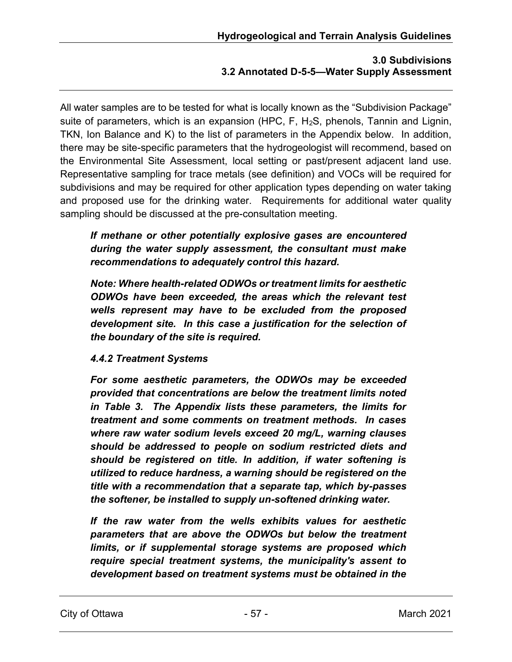All water samples are to be tested for what is locally known as the "Subdivision Package" suite of parameters, which is an expansion (HPC,  $F$ ,  $H_2S$ , phenols, Tannin and Lignin, TKN, Ion Balance and K) to the list of parameters in the Appendix below. In addition, there may be site-specific parameters that the hydrogeologist will recommend, based on the Environmental Site Assessment, local setting or past/present adjacent land use. Representative sampling for trace metals (see definition) and VOCs will be required for subdivisions and may be required for other application types depending on water taking and proposed use for the drinking water. Requirements for additional water quality sampling should be discussed at the pre-consultation meeting.

*If methane or other potentially explosive gases are encountered during the water supply assessment, the consultant must make recommendations to adequately control this hazard.* 

*Note: Where health-related ODWOs or treatment limits for aesthetic ODWOs have been exceeded, the areas which the relevant test wells represent may have to be excluded from the proposed development site. In this case a justification for the selection of the boundary of the site is required.* 

## *4.4.2 Treatment Systems*

*For some aesthetic parameters, the ODWOs may be exceeded provided that concentrations are below the treatment limits noted in Table 3. The Appendix lists these parameters, the limits for treatment and some comments on treatment methods. In cases where raw water sodium levels exceed 20 mg/L, warning clauses should be addressed to people on sodium restricted diets and should be registered on title. In addition, if water softening is utilized to reduce hardness, a warning should be registered on the title with a recommendation that a separate tap, which by-passes the softener, be installed to supply un-softened drinking water.* 

*If the raw water from the wells exhibits values for aesthetic parameters that are above the ODWOs but below the treatment limits, or if supplemental storage systems are proposed which require special treatment systems, the municipality's assent to development based on treatment systems must be obtained in the*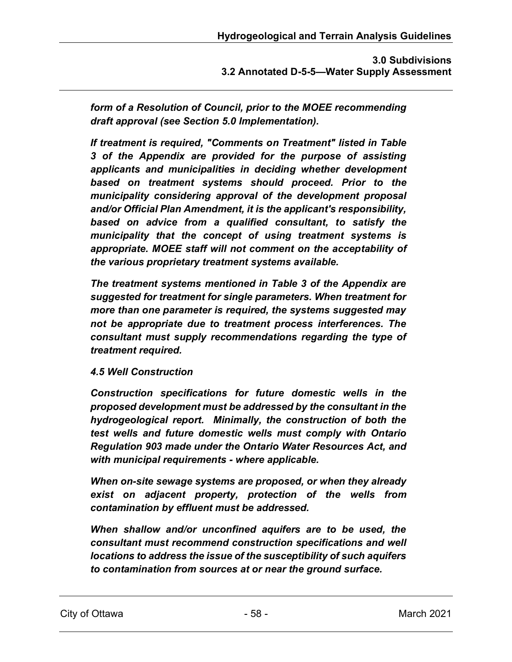*form of a Resolution of Council, prior to the MOEE recommending draft approval (see Section 5.0 Implementation).* 

*If treatment is required, "Comments on Treatment" listed in Table 3 of the Appendix are provided for the purpose of assisting applicants and municipalities in deciding whether development based on treatment systems should proceed. Prior to the municipality considering approval of the development proposal and/or Official Plan Amendment, it is the applicant's responsibility, based on advice from a qualified consultant, to satisfy the municipality that the concept of using treatment systems is appropriate. MOEE staff will not comment on the acceptability of the various proprietary treatment systems available.* 

*The treatment systems mentioned in Table 3 of the Appendix are suggested for treatment for single parameters. When treatment for more than one parameter is required, the systems suggested may not be appropriate due to treatment process interferences. The consultant must supply recommendations regarding the type of treatment required.* 

## *4.5 Well Construction*

*Construction specifications for future domestic wells in the proposed development must be addressed by the consultant in the hydrogeological report. Minimally, the construction of both the test wells and future domestic wells must comply with Ontario Regulation 903 made under the Ontario Water Resources Act, and with municipal requirements - where applicable.* 

*When on-site sewage systems are proposed, or when they already exist on adjacent property, protection of the wells from contamination by effluent must be addressed.* 

*When shallow and/or unconfined aquifers are to be used, the consultant must recommend construction specifications and well locations to address the issue of the susceptibility of such aquifers to contamination from sources at or near the ground surface.*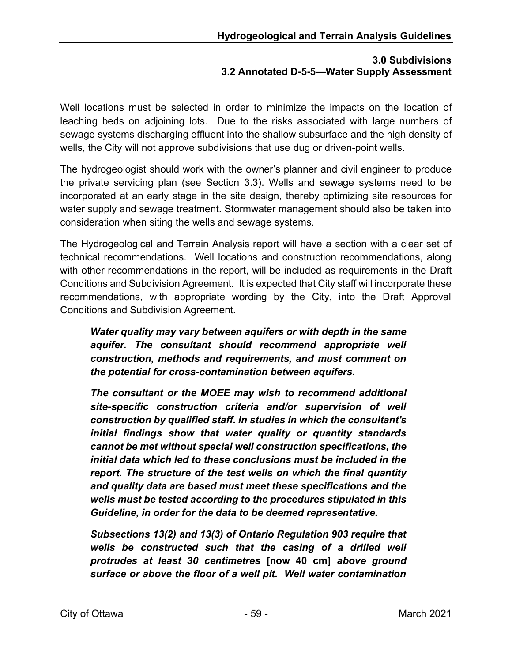Well locations must be selected in order to minimize the impacts on the location of leaching beds on adjoining lots. Due to the risks associated with large numbers of sewage systems discharging effluent into the shallow subsurface and the high density of wells, the City will not approve subdivisions that use dug or driven-point wells.

The hydrogeologist should work with the owner's planner and civil engineer to produce the private servicing plan (see Section 3.3). Wells and sewage systems need to be incorporated at an early stage in the site design, thereby optimizing site resources for water supply and sewage treatment. Stormwater management should also be taken into consideration when siting the wells and sewage systems.

The Hydrogeological and Terrain Analysis report will have a section with a clear set of technical recommendations. Well locations and construction recommendations, along with other recommendations in the report, will be included as requirements in the Draft Conditions and Subdivision Agreement. It is expected that City staff will incorporate these recommendations, with appropriate wording by the City, into the Draft Approval Conditions and Subdivision Agreement.

*Water quality may vary between aquifers or with depth in the same aquifer. The consultant should recommend appropriate well construction, methods and requirements, and must comment on the potential for cross-contamination between aquifers.* 

*The consultant or the MOEE may wish to recommend additional site-specific construction criteria and/or supervision of well construction by qualified staff. In studies in which the consultant's initial findings show that water quality or quantity standards cannot be met without special well construction specifications, the initial data which led to these conclusions must be included in the report. The structure of the test wells on which the final quantity and quality data are based must meet these specifications and the wells must be tested according to the procedures stipulated in this Guideline, in order for the data to be deemed representative.* 

*Subsections 13(2) and 13(3) of Ontario Regulation 903 require that wells be constructed such that the casing of a drilled well protrudes at least 30 centimetres* **[now 40 cm]** *above ground surface or above the floor of a well pit. Well water contamination*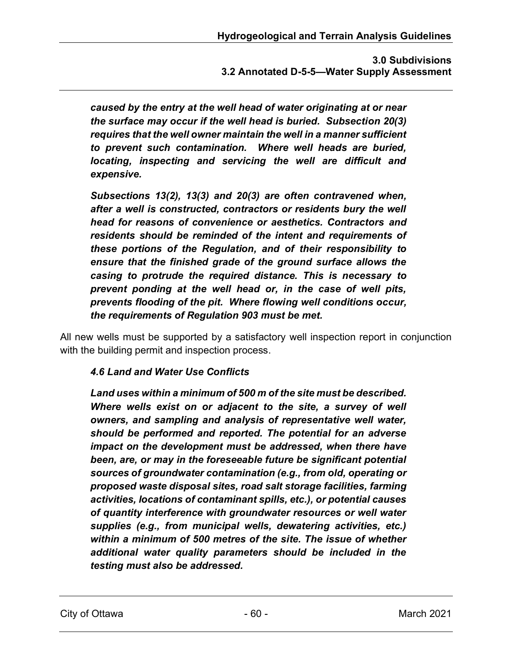*caused by the entry at the well head of water originating at or near the surface may occur if the well head is buried. Subsection 20(3) requires that the well owner maintain the well in a manner sufficient to prevent such contamination. Where well heads are buried, locating, inspecting and servicing the well are difficult and expensive.* 

*Subsections 13(2), 13(3) and 20(3) are often contravened when,*  after a well is constructed, contractors or residents bury the well *head for reasons of convenience or aesthetics. Contractors and residents should be reminded of the intent and requirements of these portions of the Regulation, and of their responsibility to ensure that the finished grade of the ground surface allows the casing to protrude the required distance. This is necessary to prevent ponding at the well head or, in the case of well pits, prevents flooding of the pit. Where flowing well conditions occur, the requirements of Regulation 903 must be met.* 

All new wells must be supported by a satisfactory well inspection report in conjunction with the building permit and inspection process.

## *4.6 Land and Water Use Conflicts*

*Land uses within a minimum of 500 m of the site must be described. Where wells exist on or adjacent to the site, a survey of well owners, and sampling and analysis of representative well water, should be performed and reported. The potential for an adverse impact on the development must be addressed, when there have been, are, or may in the foreseeable future be significant potential sources of groundwater contamination (e.g., from old, operating or proposed waste disposal sites, road salt storage facilities, farming activities, locations of contaminant spills, etc.), or potential causes of quantity interference with groundwater resources or well water supplies (e.g., from municipal wells, dewatering activities, etc.) within a minimum of 500 metres of the site. The issue of whether additional water quality parameters should be included in the testing must also be addressed.*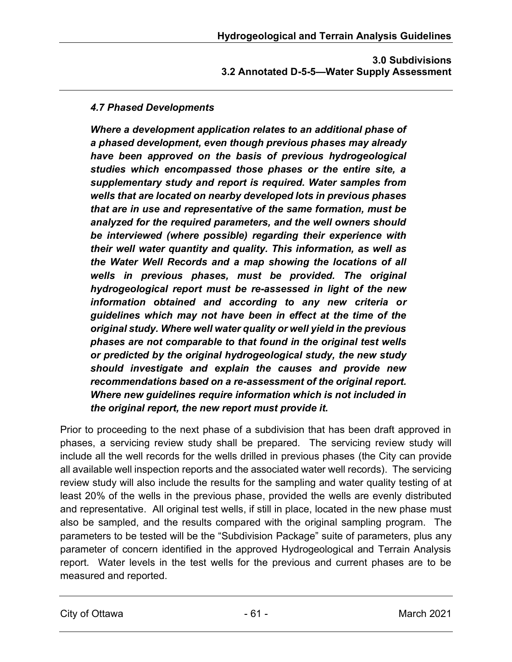### *4.7 Phased Developments*

*Where a development application relates to an additional phase of a phased development, even though previous phases may already have been approved on the basis of previous hydrogeological studies which encompassed those phases or the entire site, a supplementary study and report is required. Water samples from wells that are located on nearby developed lots in previous phases that are in use and representative of the same formation, must be analyzed for the required parameters, and the well owners should be interviewed (where possible) regarding their experience with their well water quantity and quality. This information, as well as the Water Well Records and a map showing the locations of all wells in previous phases, must be provided. The original hydrogeological report must be re-assessed in light of the new information obtained and according to any new criteria or guidelines which may not have been in effect at the time of the original study. Where well water quality or well yield in the previous phases are not comparable to that found in the original test wells or predicted by the original hydrogeological study, the new study should investigate and explain the causes and provide new recommendations based on a re-assessment of the original report. Where new guidelines require information which is not included in the original report, the new report must provide it.* 

Prior to proceeding to the next phase of a subdivision that has been draft approved in phases, a servicing review study shall be prepared. The servicing review study will include all the well records for the wells drilled in previous phases (the City can provide all available well inspection reports and the associated water well records). The servicing review study will also include the results for the sampling and water quality testing of at least 20% of the wells in the previous phase, provided the wells are evenly distributed and representative. All original test wells, if still in place, located in the new phase must also be sampled, and the results compared with the original sampling program. The parameters to be tested will be the "Subdivision Package" suite of parameters, plus any parameter of concern identified in the approved Hydrogeological and Terrain Analysis report. Water levels in the test wells for the previous and current phases are to be measured and reported.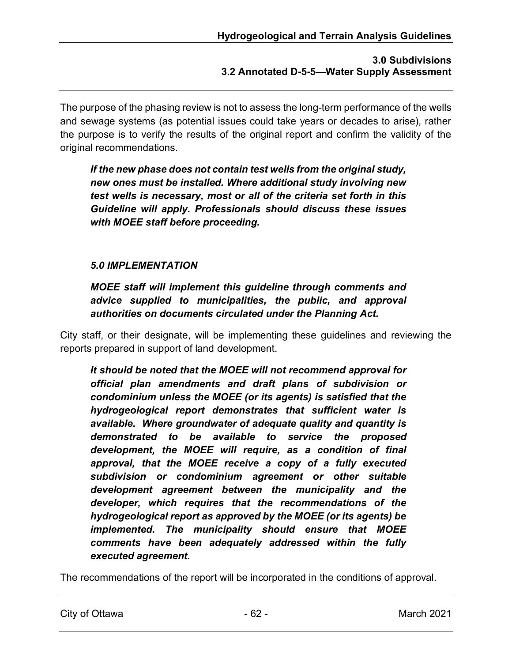The purpose of the phasing review is not to assess the long-term performance of the wells and sewage systems (as potential issues could take years or decades to arise), rather the purpose is to verify the results of the original report and confirm the validity of the original recommendations.

*If the new phase does not contain test wells from the original study, new ones must be installed. Where additional study involving new test wells is necessary, most or all of the criteria set forth in this Guideline will apply. Professionals should discuss these issues with MOEE staff before proceeding.* 

## *5.0 IMPLEMENTATION*

*MOEE staff will implement this guideline through comments and advice supplied to municipalities, the public, and approval authorities on documents circulated under the Planning Act.* 

City staff, or their designate, will be implementing these guidelines and reviewing the reports prepared in support of land development.

*It should be noted that the MOEE will not recommend approval for official plan amendments and draft plans of subdivision or condominium unless the MOEE (or its agents) is satisfied that the hydrogeological report demonstrates that sufficient water is available. Where groundwater of adequate quality and quantity is demonstrated to be available to service the proposed development, the MOEE will require, as a condition of final approval, that the MOEE receive a copy of a fully executed subdivision or condominium agreement or other suitable development agreement between the municipality and the developer, which requires that the recommendations of the hydrogeological report as approved by the MOEE (or its agents) be implemented. The municipality should ensure that MOEE comments have been adequately addressed within the fully executed agreement.* 

The recommendations of the report will be incorporated in the conditions of approval.

City of Ottawa  $-62 -$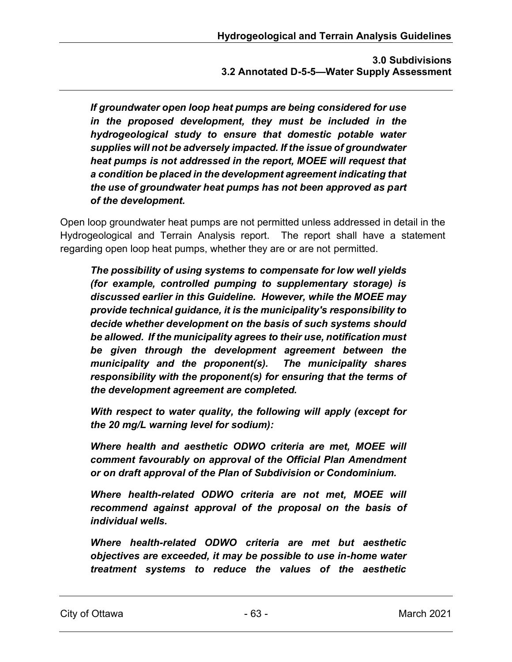*If groundwater open loop heat pumps are being considered for use in the proposed development, they must be included in the hydrogeological study to ensure that domestic potable water supplies will not be adversely impacted. If the issue of groundwater heat pumps is not addressed in the report, MOEE will request that a condition be placed in the development agreement indicating that the use of groundwater heat pumps has not been approved as part of the development.* 

Open loop groundwater heat pumps are not permitted unless addressed in detail in the Hydrogeological and Terrain Analysis report. The report shall have a statement regarding open loop heat pumps, whether they are or are not permitted.

*The possibility of using systems to compensate for low well yields (for example, controlled pumping to supplementary storage) is discussed earlier in this Guideline. However, while the MOEE may provide technical guidance, it is the municipality's responsibility to decide whether development on the basis of such systems should be allowed. If the municipality agrees to their use, notification must be given through the development agreement between the municipality and the proponent(s). The municipality shares responsibility with the proponent(s) for ensuring that the terms of the development agreement are completed.* 

*With respect to water quality, the following will apply (except for the 20 mg/L warning level for sodium):* 

*Where health and aesthetic ODWO criteria are met, MOEE will comment favourably on approval of the Official Plan Amendment or on draft approval of the Plan of Subdivision or Condominium.* 

*Where health-related ODWO criteria are not met, MOEE will recommend against approval of the proposal on the basis of individual wells.* 

*Where health-related ODWO criteria are met but aesthetic objectives are exceeded, it may be possible to use in-home water treatment systems to reduce the values of the aesthetic*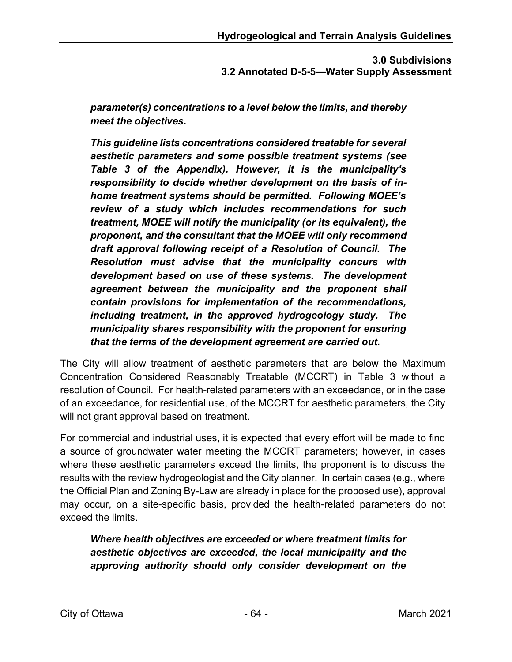*parameter(s) concentrations to a level below the limits, and thereby meet the objectives.* 

*This guideline lists concentrations considered treatable for several aesthetic parameters and some possible treatment systems (see Table 3 of the Appendix). However, it is the municipality's responsibility to decide whether development on the basis of inhome treatment systems should be permitted. Following MOEE's review of a study which includes recommendations for such treatment, MOEE will notify the municipality (or its equivalent), the proponent, and the consultant that the MOEE will only recommend draft approval following receipt of a Resolution of Council. The Resolution must advise that the municipality concurs with development based on use of these systems. The development agreement between the municipality and the proponent shall contain provisions for implementation of the recommendations, including treatment, in the approved hydrogeology study. The municipality shares responsibility with the proponent for ensuring that the terms of the development agreement are carried out.* 

The City will allow treatment of aesthetic parameters that are below the Maximum Concentration Considered Reasonably Treatable (MCCRT) in Table 3 without a resolution of Council. For health-related parameters with an exceedance, or in the case of an exceedance, for residential use, of the MCCRT for aesthetic parameters, the City will not grant approval based on treatment.

For commercial and industrial uses, it is expected that every effort will be made to find a source of groundwater water meeting the MCCRT parameters; however, in cases where these aesthetic parameters exceed the limits, the proponent is to discuss the results with the review hydrogeologist and the City planner. In certain cases (e.g., where the Official Plan and Zoning By-Law are already in place for the proposed use), approval may occur, on a site-specific basis, provided the health-related parameters do not exceed the limits.

*Where health objectives are exceeded or where treatment limits for aesthetic objectives are exceeded, the local municipality and the approving authority should only consider development on the*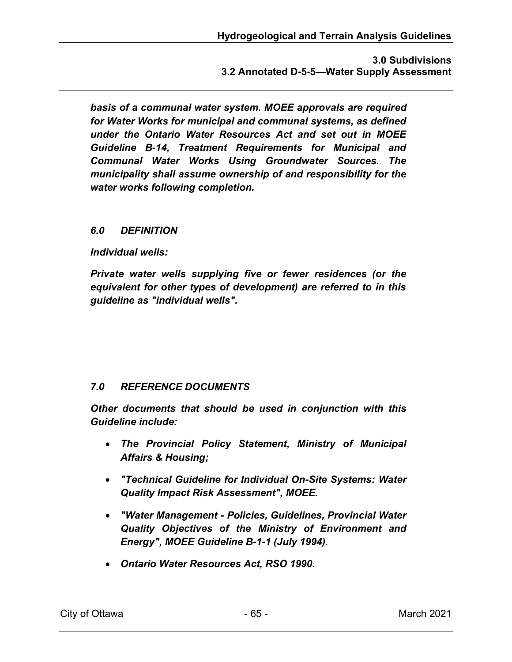*basis of a communal water system. MOEE approvals are required for Water Works for municipal and communal systems, as defined under the Ontario Water Resources Act and set out in MOEE Guideline B-14, Treatment Requirements for Municipal and Communal Water Works Using Groundwater Sources. The municipality shall assume ownership of and responsibility for the water works following completion.*

## *6.0 DEFINITION*

*Individual wells:* 

*Private water wells supplying five or fewer residences (or the equivalent for other types of development) are referred to in this guideline as "individual wells".* 

# *7.0 REFERENCE DOCUMENTS*

*Other documents that should be used in conjunction with this Guideline include:* 

- *The Provincial Policy Statement, Ministry of Municipal Affairs & Housing;*
- *"Technical Guideline for Individual On-Site Systems: Water Quality Impact Risk Assessment", MOEE.*
- *"Water Management Policies, Guidelines, Provincial Water Quality Objectives of the Ministry of Environment and Energy", MOEE Guideline B-1-1 (July 1994).*
- *Ontario Water Resources Act, RSO 1990.*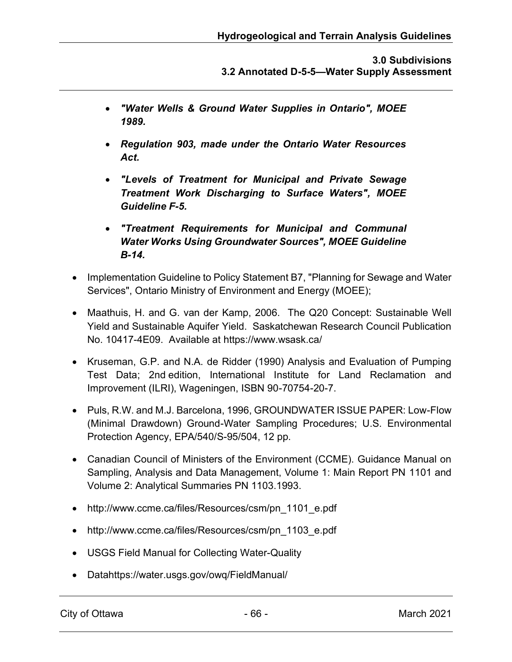- *"Water Wells & Ground Water Supplies in Ontario", MOEE 1989.*
- *Regulation 903, made under the Ontario Water Resources Act.*
- *"Levels of Treatment for Municipal and Private Sewage Treatment Work Discharging to Surface Waters", MOEE Guideline F-5.*
- *"Treatment Requirements for Municipal and Communal Water Works Using Groundwater Sources", MOEE Guideline B-14.*
- Implementation Guideline to Policy Statement B7, "Planning for Sewage and Water Services", Ontario Ministry of Environment and Energy (MOEE);
- Maathuis, H. and G. van der Kamp, 2006. The Q20 Concept: Sustainable Well Yield and Sustainable Aquifer Yield. Saskatchewan Research Council Publication No. 10417-4E09. Available at<https://www.wsask.ca/>
- [Kruseman, G.P. and N.A. de Ridder \(1990\) Analysis and Evaluation of Pumping](http://www.hydrology.nl/images/docs/dutch/key/Kruseman_and_De_Ridder_2000.pdf)  Test Data; 2nd edition, International Institute for Land Reclamation and Improvement (ILRI), Wageningen, ISBN 90-70754-20-7.
- Puls, R.W. and M.J. Barcelona, 1996, GROUNDWATER ISSUE PAPER: Low-Flow (Minimal Drawdown) Ground-Water Sampling Procedures; U.S. Environmental Protection Agency, EPA/540/S-95/504, 12 pp.
- Canadian Council of Ministers of the Environment (CCME). Guidance Manual on Sampling, Analysis and Data Management, Volume 1: Main Report PN 1101 and Volume 2: Analytical Summaries PN 1103.1993.
- [http://www.ccme.ca/files/Resources/csm/pn\\_1101\\_e.pdf](http://www.ccme.ca/files/Resources/csm/pn_1101_e.pdf)
- [http://www.ccme.ca/files/Resources/csm/pn\\_1103\\_e.pdf](http://www.ccme.ca/files/Resources/csm/pn_1103_e.pdf)
- USGS Field Manual for Collecting Water-Quality
- Data<https://water.usgs.gov/owq/FieldManual/>

City of Ottawa **- 66 -** City of Ottawa - 66 - March 2021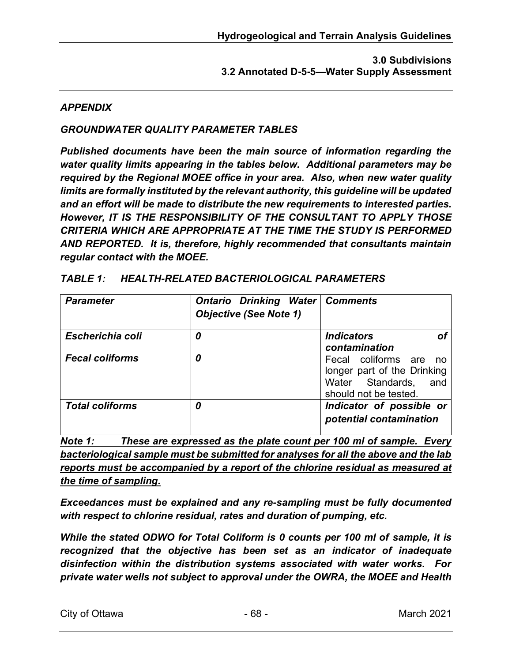### *APPENDIX*

## *GROUNDWATER QUALITY PARAMETER TABLES*

*Published documents have been the main source of information regarding the water quality limits appearing in the tables below. Additional parameters may be required by the Regional MOEE office in your area. Also, when new water quality limits are formally instituted by the relevant authority, this guideline will be updated and an effort will be made to distribute the new requirements to interested parties. However, IT IS THE RESPONSIBILITY OF THE CONSULTANT TO APPLY THOSE CRITERIA WHICH ARE APPROPRIATE AT THE TIME THE STUDY IS PERFORMED AND REPORTED. It is, therefore, highly recommended that consultants maintain regular contact with the MOEE.*

| <b>Parameter</b>       | <b>Ontario Drinking Water</b><br><b>Objective (See Note 1)</b> | <b>Comments</b>                                                                                           |
|------------------------|----------------------------------------------------------------|-----------------------------------------------------------------------------------------------------------|
| Escherichia coli       | 0                                                              | <i><b>Indicators</b></i><br>Ωf<br>contamination                                                           |
| Eecal coliforms        | 0                                                              | Fecal coliforms are<br>no<br>longer part of the Drinking<br>Water Standards, and<br>should not be tested. |
| <b>Total coliforms</b> | 0                                                              | Indicator of possible or<br>potential contamination                                                       |

|  | TABLE 1: HEALTH-RELATED BACTERIOLOGICAL PARAMETERS |
|--|----------------------------------------------------|
|--|----------------------------------------------------|

*Note 1: These are expressed as the plate count per 100 ml of sample. Every bacteriological sample must be submitted for analyses for all the above and the lab reports must be accompanied by a report of the chlorine residual as measured at the time of sampling.* 

*Exceedances must be explained and any re-sampling must be fully documented with respect to chlorine residual, rates and duration of pumping, etc.* 

*While the stated ODWO for Total Coliform is 0 counts per 100 ml of sample, it is recognized that the objective has been set as an indicator of inadequate disinfection within the distribution systems associated with water works. For private water wells not subject to approval under the OWRA, the MOEE and Health*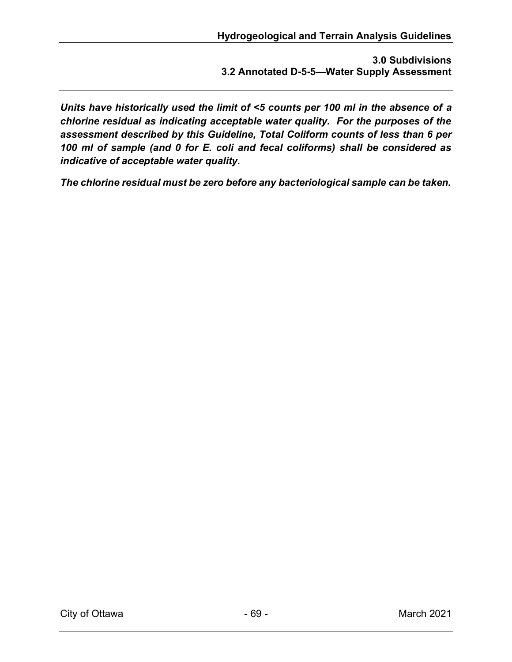*Units have historically used the limit of <5 counts per 100 ml in the absence of a chlorine residual as indicating acceptable water quality. For the purposes of the assessment described by this Guideline, Total Coliform counts of less than 6 per 100 ml of sample (and 0 for E. coli and fecal coliforms) shall be considered as indicative of acceptable water quality.* 

*The chlorine residual must be zero before any bacteriological sample can be taken.*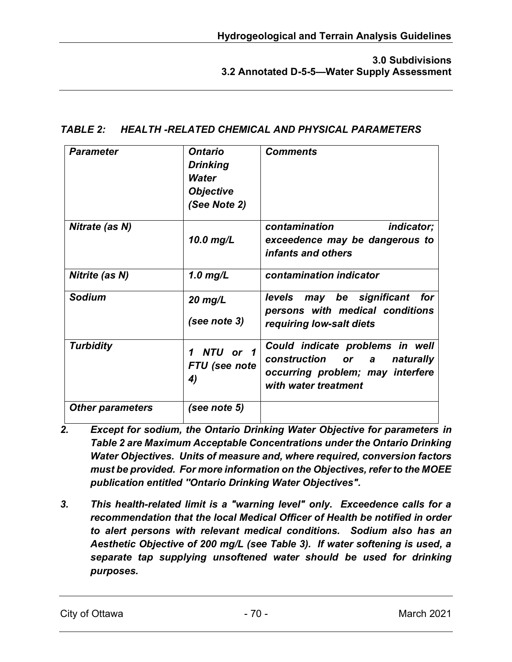### *TABLE 2: HEALTH -RELATED CHEMICAL AND PHYSICAL PARAMETERS*

| <b>Parameter</b>        | <b>Ontario</b><br><b>Drinking</b><br><b>Water</b><br><b>Objective</b><br>(See Note 2) | <b>Comments</b>                                                                                                               |
|-------------------------|---------------------------------------------------------------------------------------|-------------------------------------------------------------------------------------------------------------------------------|
| Nitrate (as N)          | 10.0 mg/L                                                                             | contamination<br>indicator;<br>exceedence may be dangerous to<br>infants and others                                           |
| Nitrite (as N)          | 1.0 $mg/L$                                                                            | contamination indicator                                                                                                       |
| <b>Sodium</b>           | $20$ mg/L<br>(see note 3)                                                             | may be significant<br>levels<br>for<br>persons with medical conditions<br>requiring low-salt diets                            |
| <b>Turbidity</b>        | NTU or 1<br>1<br>FTU (see note<br>4)                                                  | Could indicate problems in well<br>construction or a<br>naturally<br>occurring problem; may interfere<br>with water treatment |
| <b>Other parameters</b> | (see note 5)                                                                          |                                                                                                                               |

- *2. Except for sodium, the Ontario Drinking Water Objective for parameters in Table 2 are Maximum Acceptable Concentrations under the Ontario Drinking Water Objectives. Units of measure and, where required, conversion factors must be provided. For more information on the Objectives, refer to the MOEE publication entitled ''Ontario Drinking Water Objectives".*
- *3. This health-related limit is a "warning level" only. Exceedence calls for a recommendation that the local Medical Officer of Health be notified in order to alert persons with relevant medical conditions. Sodium also has an Aesthetic Objective of 200 mg/L (see Table 3). If water softening is used, a separate tap supplying unsoftened water should be used for drinking purposes.*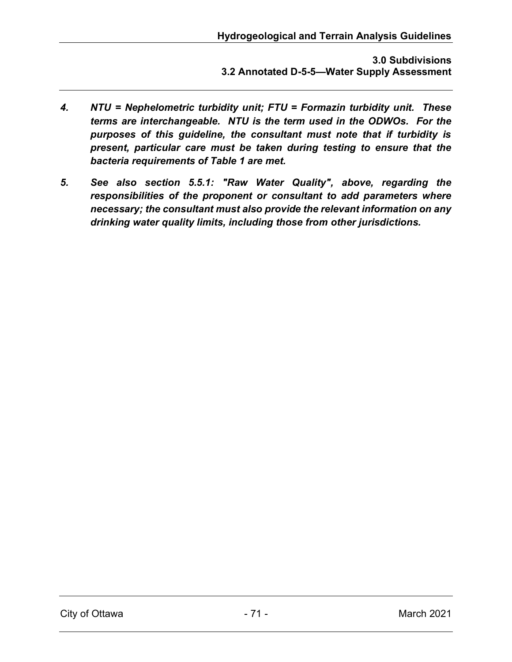- *4. NTU = Nephelometric turbidity unit; FTU = Formazin turbidity unit. These terms are interchangeable. NTU is the term used in the ODWOs. For the purposes of this guideline, the consultant must note that if turbidity is present, particular care must be taken during testing to ensure that the bacteria requirements of Table 1 are met.*
- *5. See also section 5.5.1: "Raw Water Quality", above, regarding the responsibilities of the proponent or consultant to add parameters where necessary; the consultant must also provide the relevant information on any drinking water quality limits, including those from other jurisdictions.*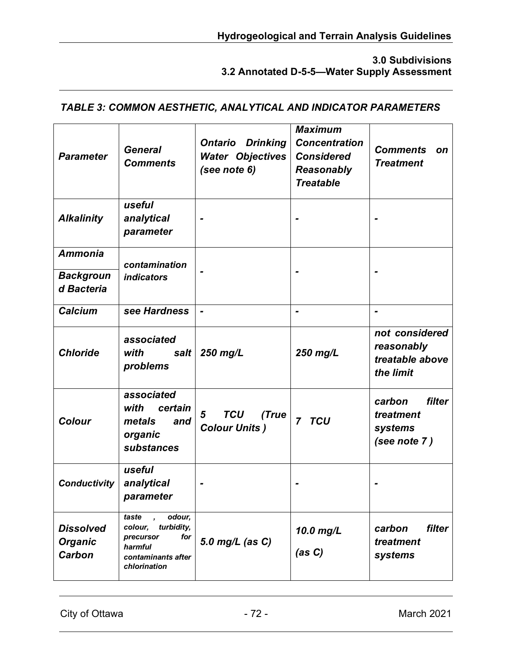# *TABLE 3: COMMON AESTHETIC, ANALYTICAL AND INDICATOR PARAMETERS*

| <b>Parameter</b>                                    | <b>General</b><br><b>Comments</b>                                                                             | <b>Ontario Drinking</b><br><b>Water Objectives</b><br>(see note 6) | <b>Maximum</b><br><b>Concentration</b><br><b>Considered</b><br><b>Reasonably</b><br><b>Treatable</b> | <b>Comments</b><br><b>on</b><br><b>Treatment</b>             |
|-----------------------------------------------------|---------------------------------------------------------------------------------------------------------------|--------------------------------------------------------------------|------------------------------------------------------------------------------------------------------|--------------------------------------------------------------|
| <b>Alkalinity</b>                                   | useful<br>analytical<br>parameter                                                                             |                                                                    |                                                                                                      |                                                              |
| <b>Ammonia</b>                                      | contamination                                                                                                 |                                                                    |                                                                                                      |                                                              |
| <b>Backgroun</b><br>d Bacteria                      | <i>indicators</i>                                                                                             |                                                                    |                                                                                                      |                                                              |
| <b>Calcium</b>                                      | see Hardness                                                                                                  |                                                                    |                                                                                                      |                                                              |
| <b>Chloride</b>                                     | associated<br>with<br>salt<br>problems                                                                        | 250 mg/L                                                           | 250 mg/L                                                                                             | not considered<br>reasonably<br>treatable above<br>the limit |
| <b>Colour</b>                                       | associated<br>with<br>certain<br>metals<br>and<br>organic<br>substances                                       | 5<br><b>TCU</b><br>(True<br><b>Colour Units)</b>                   | <b>TCU</b><br>$\overline{7}$                                                                         | filter<br>carbon<br>treatment<br>systems<br>(see note 7)     |
| <b>Conductivity</b>                                 | useful<br>analytical<br>parameter                                                                             |                                                                    |                                                                                                      |                                                              |
| <b>Dissolved</b><br><b>Organic</b><br><b>Carbon</b> | odour,<br>taste<br>turbidity,<br>colour,<br>precursor<br>for<br>harmful<br>contaminants after<br>chlorination | $5.0$ mg/L (as C)                                                  | 10.0 mg/L<br>(as C)                                                                                  | filter<br>carbon<br>treatment<br>systems                     |

City of Ottawa **- 72 - City of Ottawa** - 72 - March 2021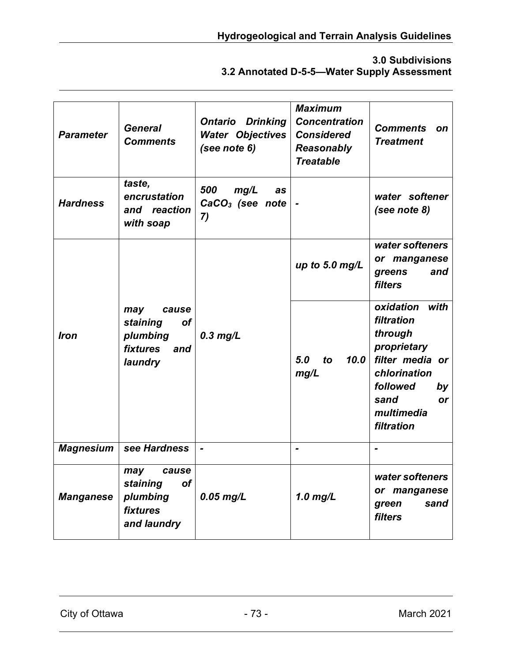| <b>Parameter</b>                                                                                      | <b>General</b><br><b>Comments</b>                                            | <b>Ontario</b><br>Drinking<br><b>Water Objectives</b><br>(see note 6) | <b>Maximum</b><br><b>Concentration</b><br><b>Considered</b><br><b>Reasonably</b><br><b>Treatable</b>                                                     | <b>Comments</b><br>on<br><b>Treatment</b>                   |
|-------------------------------------------------------------------------------------------------------|------------------------------------------------------------------------------|-----------------------------------------------------------------------|----------------------------------------------------------------------------------------------------------------------------------------------------------|-------------------------------------------------------------|
| <b>Hardness</b>                                                                                       | taste,<br>encrustation<br>and reaction<br>with soap                          | 500<br>mg/L<br>as<br>CaCO <sub>3</sub> (see note<br>7)                | $\blacksquare$                                                                                                                                           | water softener<br>(see note 8)                              |
|                                                                                                       |                                                                              |                                                                       | up to $5.0$ mg/L                                                                                                                                         | water softeners<br>or manganese<br>greens<br>and<br>filters |
| may<br>cause<br>staining<br>of<br>plumbing<br><b>Iron</b><br>$0.3$ mg/L<br>fixtures<br>and<br>laundry |                                                                              | 10.0<br>5.0<br>to<br>mg/L                                             | oxidation<br>with<br>filtration<br>through<br>proprietary<br>filter media or<br>chlorination<br>followed<br>by<br>sand<br>or<br>multimedia<br>filtration |                                                             |
| <b>Magnesium</b>                                                                                      | see Hardness                                                                 |                                                                       | $\blacksquare$                                                                                                                                           |                                                             |
| <b>Manganese</b>                                                                                      | may<br>cause<br><b>of</b><br>staining<br>plumbing<br>fixtures<br>and laundry | $0.05$ mg/L                                                           | $1.0$ mg/L                                                                                                                                               | water softeners<br>or manganese<br>sand<br>green<br>filters |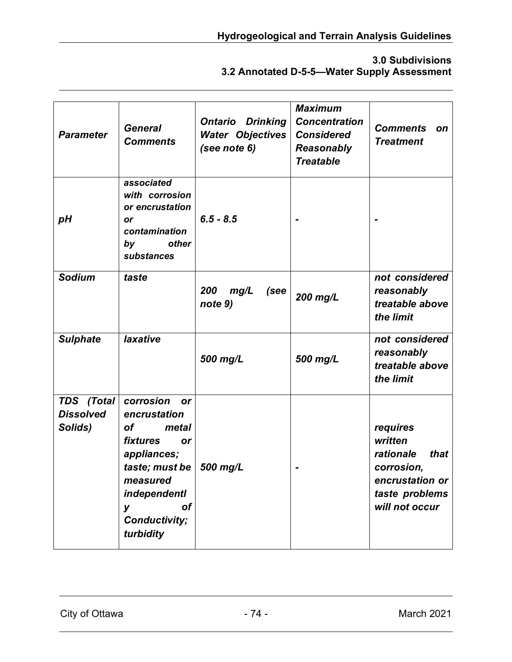| <b>Parameter</b>                                    | <b>General</b><br><b>Comments</b>                                                                                                                                                    | <b>Ontario</b><br>Drinking<br><b>Water Objectives</b><br>(see note 6) | <b>Maximum</b><br><b>Concentration</b><br><b>Considered</b><br><b>Reasonably</b><br><b>Treatable</b> | <b>Comments</b><br>on<br><b>Treatment</b>                                                                     |
|-----------------------------------------------------|--------------------------------------------------------------------------------------------------------------------------------------------------------------------------------------|-----------------------------------------------------------------------|------------------------------------------------------------------------------------------------------|---------------------------------------------------------------------------------------------------------------|
| pH                                                  | associated<br>with corrosion<br>or encrustation<br>or<br>contamination<br>other<br>by<br>substances                                                                                  | $6.5 - 8.5$                                                           | $\blacksquare$                                                                                       |                                                                                                               |
| <b>Sodium</b>                                       | taste                                                                                                                                                                                | 200<br>mg/L<br>(see<br>note 9)                                        | 200 mg/L                                                                                             | not considered<br>reasonably<br>treatable above<br>the limit                                                  |
| <b>Sulphate</b>                                     | laxative                                                                                                                                                                             | 500 mg/L                                                              | 500 mg/L                                                                                             | not considered<br>reasonably<br>treatable above<br>the limit                                                  |
| <b>TDS</b><br>(Total<br><b>Dissolved</b><br>Solids) | corrosion<br>or<br>encrustation<br><b>of</b><br>metal<br>fixtures<br>or<br>appliances;<br>taste; must be<br>measured<br>independentl<br><b>of</b><br>У<br>Conductivity;<br>turbidity | 500 mg/L                                                              |                                                                                                      | requires<br>written<br>rationale<br>that<br>corrosion,<br>encrustation or<br>taste problems<br>will not occur |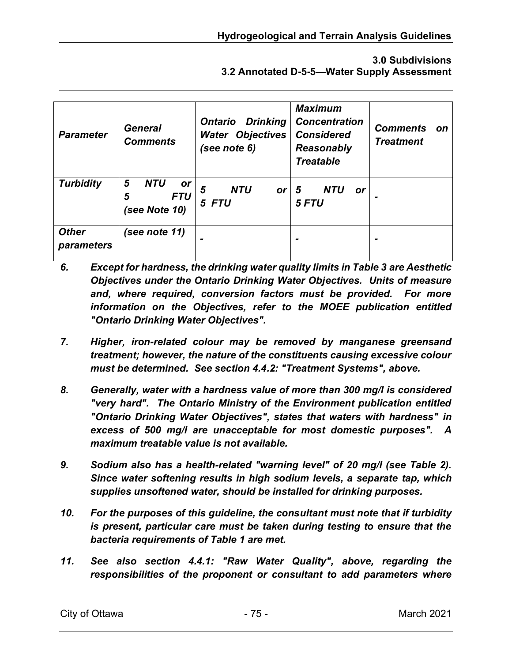| <b>Parameter</b>           | <b>General</b><br><b>Comments</b>                                | <b>Ontario</b> Drinking<br><b>Water Objectives</b><br>(see note 6) | <b>Maximum</b><br><b>Concentration</b><br><b>Considered</b><br><b>Reasonably</b><br><b>Treatable</b> | <b>Comments</b><br><b>on</b><br><b>Treatment</b> |
|----------------------------|------------------------------------------------------------------|--------------------------------------------------------------------|------------------------------------------------------------------------------------------------------|--------------------------------------------------|
| <b>Turbidity</b>           | 5<br><b>NTU</b><br><b>or</b><br><b>FTU</b><br>5<br>(see Note 10) | 5<br><b>NTU</b><br><b>or</b><br>5 FTU                              | <b>NTU</b><br>$5^{\circ}$<br>or<br>5 FTU                                                             |                                                  |
| <b>Other</b><br>parameters | (see note 11)                                                    |                                                                    |                                                                                                      |                                                  |

- *6. Except for hardness, the drinking water quality limits in Table 3 are Aesthetic Objectives under the Ontario Drinking Water Objectives. Units of measure and, where required, conversion factors must be provided. For more information on the Objectives, refer to the MOEE publication entitled "Ontario Drinking Water Objectives".*
- *7. Higher, iron-related colour may be removed by manganese greensand treatment; however, the nature of the constituents causing excessive colour must be determined. See section 4.4.2: "Treatment Systems", above.*
- *8. Generally, water with a hardness value of more than 300 mg/l is considered "very hard". The Ontario Ministry of the Environment publication entitled "Ontario Drinking Water Objectives", states that waters with hardness" in excess of 500 mg/l are unacceptable for most domestic purposes". A maximum treatable value is not available.*
- *9. Sodium also has a health-related "warning level" of 20 mg/l (see Table 2). Since water softening results in high sodium levels, a separate tap, which supplies unsoftened water, should be installed for drinking purposes.*
- *10. For the purposes of this guideline, the consultant must note that if turbidity is present, particular care must be taken during testing to ensure that the bacteria requirements of Table 1 are met.*
- *11. See also section 4.4.1: "Raw Water Quality", above, regarding the responsibilities of the proponent or consultant to add parameters where*

City of Ottawa **- 75 - Access 10 Access** 10 Access 10 Access 10 Access 10 Access 10 Access 10 Access 10 Access 10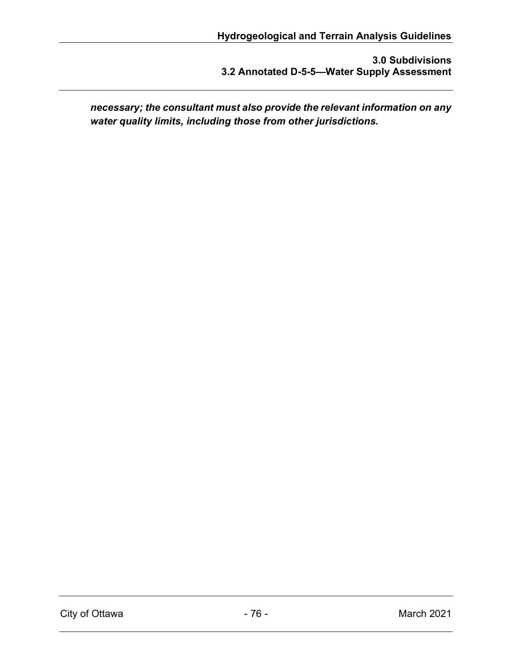*necessary; the consultant must also provide the relevant information on any water quality limits, including those from other jurisdictions.*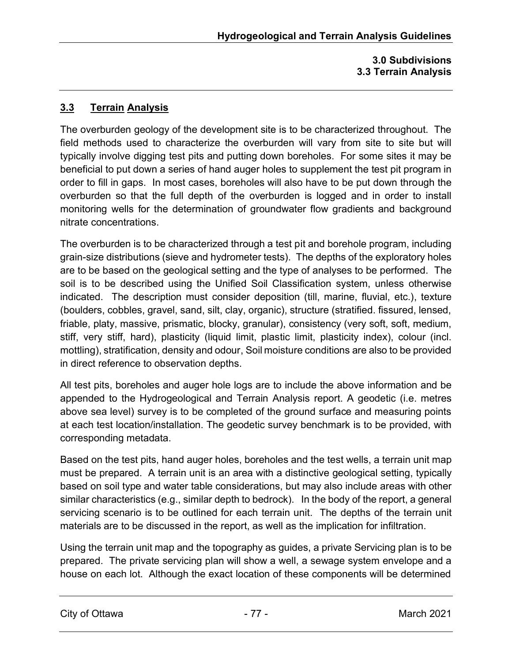**3.0 Subdivisions 3.3 Terrain Analysis**

# **3.3 Terrain Analysis**

The overburden geology of the development site is to be characterized throughout. The field methods used to characterize the overburden will vary from site to site but will typically involve digging test pits and putting down boreholes. For some sites it may be beneficial to put down a series of hand auger holes to supplement the test pit program in order to fill in gaps. In most cases, boreholes will also have to be put down through the overburden so that the full depth of the overburden is logged and in order to install monitoring wells for the determination of groundwater flow gradients and background nitrate concentrations.

The overburden is to be characterized through a test pit and borehole program, including grain-size distributions (sieve and hydrometer tests). The depths of the exploratory holes are to be based on the geological setting and the type of analyses to be performed. The soil is to be described using the Unified Soil Classification system, unless otherwise indicated. The description must consider deposition (till, marine, fluvial, etc.), texture (boulders, cobbles, gravel, sand, silt, clay, organic), structure (stratified. fissured, lensed, friable, platy, massive, prismatic, blocky, granular), consistency (very soft, soft, medium, stiff, very stiff, hard), plasticity (liquid limit, plastic limit, plasticity index), colour (incl. mottling), stratification, density and odour, Soil moisture conditions are also to be provided in direct reference to observation depths.

All test pits, boreholes and auger hole logs are to include the above information and be appended to the Hydrogeological and Terrain Analysis report. A geodetic (i.e. metres above sea level) survey is to be completed of the ground surface and measuring points at each test location/installation. The geodetic survey benchmark is to be provided, with corresponding metadata.

Based on the test pits, hand auger holes, boreholes and the test wells, a terrain unit map must be prepared. A terrain unit is an area with a distinctive geological setting, typically based on soil type and water table considerations, but may also include areas with other similar characteristics (e.g., similar depth to bedrock). In the body of the report, a general servicing scenario is to be outlined for each terrain unit. The depths of the terrain unit materials are to be discussed in the report, as well as the implication for infiltration.

Using the terrain unit map and the topography as guides, a private Servicing plan is to be prepared. The private servicing plan will show a well, a sewage system envelope and a house on each lot. Although the exact location of these components will be determined

City of Ottawa **- 77 - City of Ottawa** - 77 - March 2021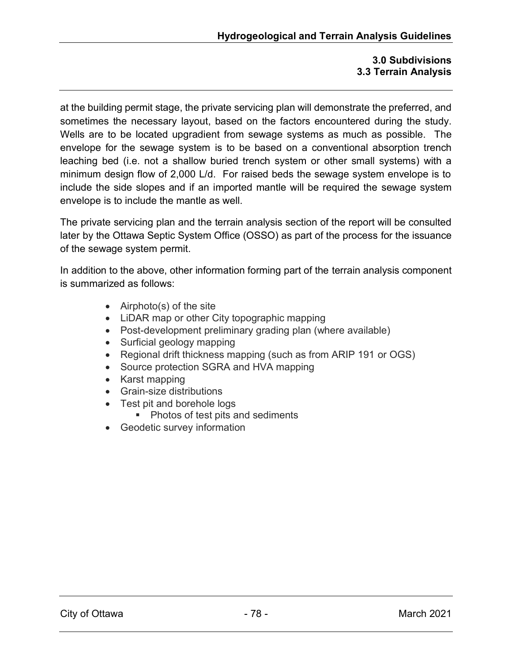#### **3.0 Subdivisions 3.3 Terrain Analysis**

at the building permit stage, the private servicing plan will demonstrate the preferred, and sometimes the necessary layout, based on the factors encountered during the study. Wells are to be located upgradient from sewage systems as much as possible. The envelope for the sewage system is to be based on a conventional absorption trench leaching bed (i.e. not a shallow buried trench system or other small systems) with a minimum design flow of 2,000 L/d. For raised beds the sewage system envelope is to include the side slopes and if an imported mantle will be required the sewage system envelope is to include the mantle as well.

The private servicing plan and the terrain analysis section of the report will be consulted later by the Ottawa Septic System Office (OSSO) as part of the process for the issuance of the sewage system permit.

In addition to the above, other information forming part of the terrain analysis component is summarized as follows:

- Airphoto(s) of the site
- LiDAR map or other City topographic mapping
- Post-development preliminary grading plan (where available)
- Surficial geology mapping
- Regional drift thickness mapping (such as from ARIP 191 or OGS)
- Source protection SGRA and HVA mapping
- Karst mapping
- Grain-size distributions
- Test pit and borehole logs
	- Photos of test pits and sediments
- Geodetic survey information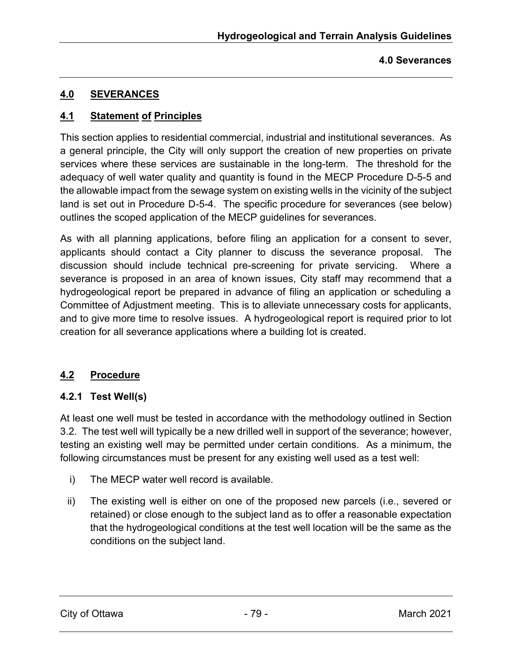**4.0 Severances**

### **4.0 SEVERANCES**

#### **4.1 Statement of Principles**

This section applies to residential commercial, industrial and institutional severances. As a general principle, the City will only support the creation of new properties on private services where these services are sustainable in the long-term. The threshold for the adequacy of well water quality and quantity is found in the MECP Procedure D-5-5 and the allowable impact from the sewage system on existing wells in the vicinity of the subject land is set out in Procedure D-5-4. The specific procedure for severances (see below) outlines the scoped application of the MECP guidelines for severances.

As with all planning applications, before filing an application for a consent to sever, applicants should contact a City planner to discuss the severance proposal. The discussion should include technical pre-screening for private servicing. Where a severance is proposed in an area of known issues, City staff may recommend that a hydrogeological report be prepared in advance of filing an application or scheduling a Committee of Adjustment meeting. This is to alleviate unnecessary costs for applicants, and to give more time to resolve issues. A hydrogeological report is required prior to lot creation for all severance applications where a building lot is created.

## **4.2 Procedure**

#### **4.2.1 Test Well(s)**

At least one well must be tested in accordance with the methodology outlined in Section 3.2. The test well will typically be a new drilled well in support of the severance; however, testing an existing well may be permitted under certain conditions. As a minimum, the following circumstances must be present for any existing well used as a test well:

- i) The MECP water well record is available.
- ii) The existing well is either on one of the proposed new parcels (i.e., severed or retained) or close enough to the subject land as to offer a reasonable expectation that the hydrogeological conditions at the test well location will be the same as the conditions on the subject land.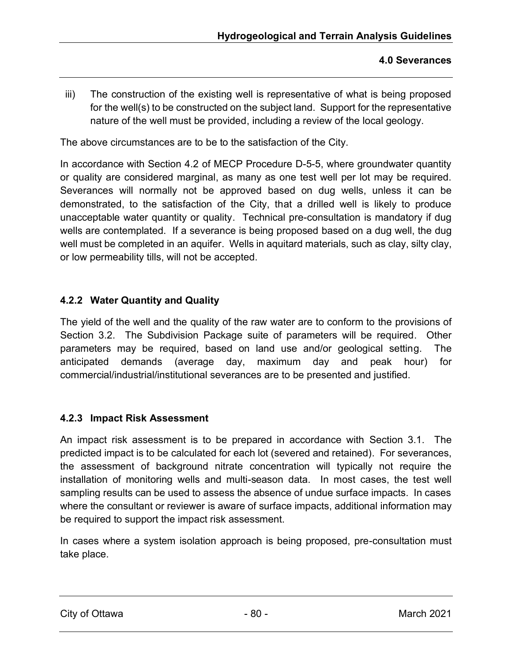iii) The construction of the existing well is representative of what is being proposed for the well(s) to be constructed on the subject land. Support for the representative nature of the well must be provided, including a review of the local geology.

The above circumstances are to be to the satisfaction of the City.

In accordance with Section 4.2 of MECP Procedure D-5-5, where groundwater quantity or quality are considered marginal, as many as one test well per lot may be required. Severances will normally not be approved based on dug wells, unless it can be demonstrated, to the satisfaction of the City, that a drilled well is likely to produce unacceptable water quantity or quality. Technical pre-consultation is mandatory if dug wells are contemplated. If a severance is being proposed based on a dug well, the dug well must be completed in an aquifer. Wells in aquitard materials, such as clay, silty clay, or low permeability tills, will not be accepted.

# **4.2.2 Water Quantity and Quality**

The yield of the well and the quality of the raw water are to conform to the provisions of Section 3.2. The Subdivision Package suite of parameters will be required. Other parameters may be required, based on land use and/or geological setting. The anticipated demands (average day, maximum day and peak hour) for commercial/industrial/institutional severances are to be presented and justified.

## **4.2.3 Impact Risk Assessment**

An impact risk assessment is to be prepared in accordance with Section 3.1. The predicted impact is to be calculated for each lot (severed and retained). For severances, the assessment of background nitrate concentration will typically not require the installation of monitoring wells and multi-season data. In most cases, the test well sampling results can be used to assess the absence of undue surface impacts. In cases where the consultant or reviewer is aware of surface impacts, additional information may be required to support the impact risk assessment.

In cases where a system isolation approach is being proposed, pre-consultation must take place.

City of Ottawa **- 80** - March 2021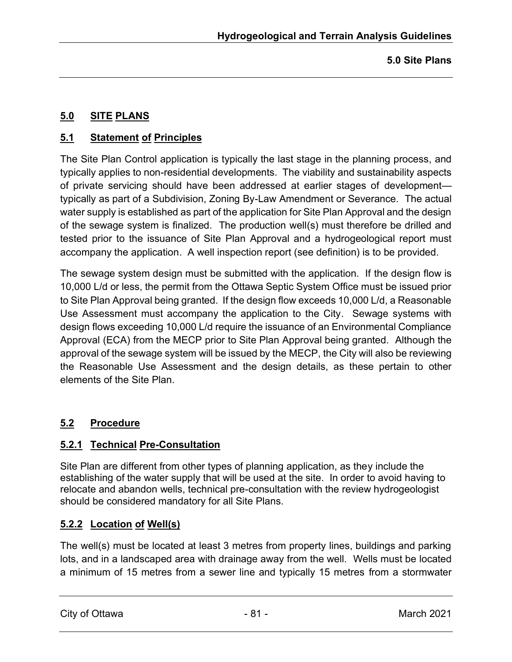**5.0 Site Plans**

# **5.0 SITE PLANS**

# **5.1 Statement of Principles**

The Site Plan Control application is typically the last stage in the planning process, and typically applies to non-residential developments. The viability and sustainability aspects of private servicing should have been addressed at earlier stages of development typically as part of a Subdivision, Zoning By-Law Amendment or Severance. The actual water supply is established as part of the application for Site Plan Approval and the design of the sewage system is finalized. The production well(s) must therefore be drilled and tested prior to the issuance of Site Plan Approval and a hydrogeological report must accompany the application. A well inspection report (see definition) is to be provided.

The sewage system design must be submitted with the application. If the design flow is 10,000 L/d or less, the permit from the Ottawa Septic System Office must be issued prior to Site Plan Approval being granted. If the design flow exceeds 10,000 L/d, a Reasonable Use Assessment must accompany the application to the City. Sewage systems with design flows exceeding 10,000 L/d require the issuance of an Environmental Compliance Approval (ECA) from the MECP prior to Site Plan Approval being granted. Although the approval of the sewage system will be issued by the MECP, the City will also be reviewing the Reasonable Use Assessment and the design details, as these pertain to other elements of the Site Plan.

# **5.2 Procedure**

# **5.2.1 Technical Pre-Consultation**

Site Plan are different from other types of planning application, as they include the establishing of the water supply that will be used at the site. In order to avoid having to relocate and abandon wells, technical pre-consultation with the review hydrogeologist should be considered mandatory for all Site Plans.

# **5.2.2 Location of Well(s)**

The well(s) must be located at least 3 metres from property lines, buildings and parking lots, and in a landscaped area with drainage away from the well. Wells must be located a minimum of 15 metres from a sewer line and typically 15 metres from a stormwater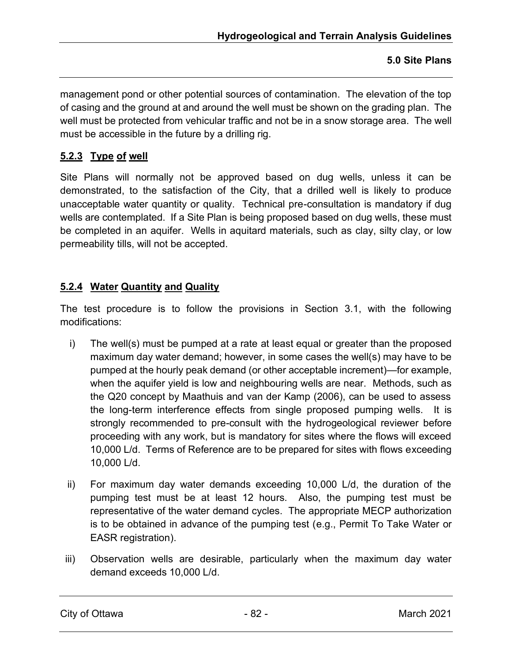#### **5.0 Site Plans**

management pond or other potential sources of contamination. The elevation of the top of casing and the ground at and around the well must be shown on the grading plan. The well must be protected from vehicular traffic and not be in a snow storage area. The well must be accessible in the future by a drilling rig.

# **5.2.3 Type of well**

Site Plans will normally not be approved based on dug wells, unless it can be demonstrated, to the satisfaction of the City, that a drilled well is likely to produce unacceptable water quantity or quality. Technical pre-consultation is mandatory if dug wells are contemplated. If a Site Plan is being proposed based on dug wells, these must be completed in an aquifer. Wells in aquitard materials, such as clay, silty clay, or low permeability tills, will not be accepted.

# **5.2.4 Water Quantity and Quality**

The test procedure is to follow the provisions in Section 3.1, with the following modifications:

- i) The well(s) must be pumped at a rate at least equal or greater than the proposed maximum day water demand; however, in some cases the well(s) may have to be pumped at the hourly peak demand (or other acceptable increment)—for example, when the aquifer yield is low and neighbouring wells are near. Methods, such as the Q20 concept by Maathuis and van der Kamp (2006), can be used to assess the long-term interference effects from single proposed pumping wells. It is strongly recommended to pre-consult with the hydrogeological reviewer before proceeding with any work, but is mandatory for sites where the flows will exceed 10,000 L/d. Terms of Reference are to be prepared for sites with flows exceeding 10,000 L/d.
- ii) For maximum day water demands exceeding 10,000 L/d, the duration of the pumping test must be at least 12 hours. Also, the pumping test must be representative of the water demand cycles. The appropriate MECP authorization is to be obtained in advance of the pumping test (e.g., Permit To Take Water or EASR registration).
- iii) Observation wells are desirable, particularly when the maximum day water demand exceeds 10,000 L/d.

City of Ottawa **- 82** - City of Ottawa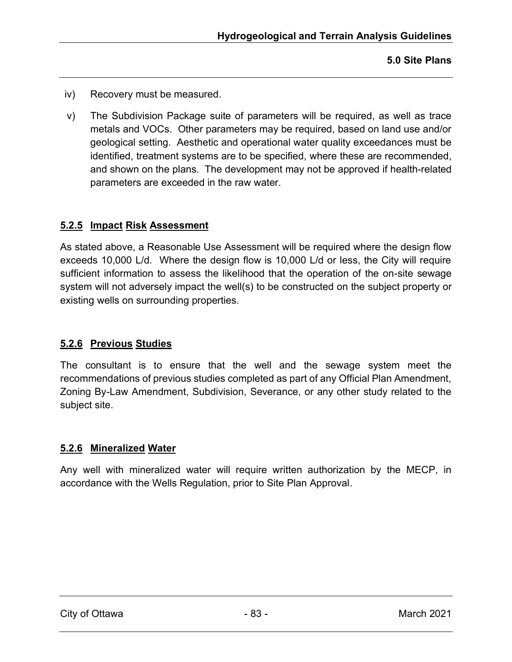**5.0 Site Plans**

- iv) Recovery must be measured.
- v) The Subdivision Package suite of parameters will be required, as well as trace metals and VOCs. Other parameters may be required, based on land use and/or geological setting. Aesthetic and operational water quality exceedances must be identified, treatment systems are to be specified, where these are recommended, and shown on the plans. The development may not be approved if health-related parameters are exceeded in the raw water.

### **5.2.5 Impact Risk Assessment**

As stated above, a Reasonable Use Assessment will be required where the design flow exceeds 10,000 L/d. Where the design flow is 10,000 L/d or less, the City will require sufficient information to assess the likelihood that the operation of the on-site sewage system will not adversely impact the well(s) to be constructed on the subject property or existing wells on surrounding properties.

## **5.2.6 Previous Studies**

The consultant is to ensure that the well and the sewage system meet the recommendations of previous studies completed as part of any Official Plan Amendment, Zoning By-Law Amendment, Subdivision, Severance, or any other study related to the subject site.

## **5.2.6 Mineralized Water**

Any well with mineralized water will require written authorization by the MECP, in accordance with the Wells Regulation, prior to Site Plan Approval.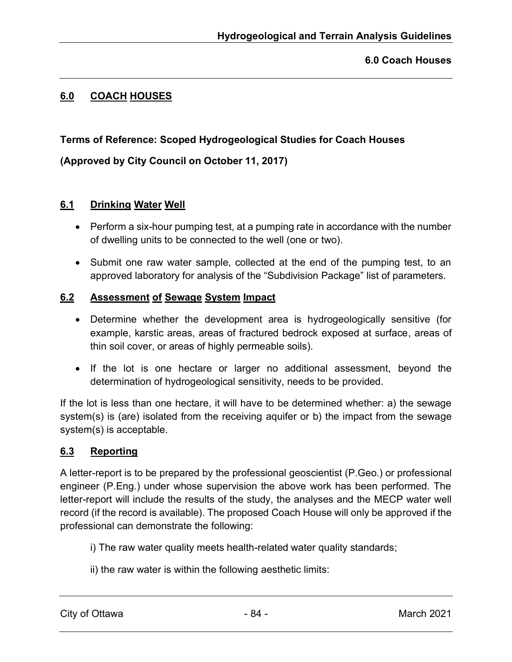**6.0 Coach Houses**

## **6.0 COACH HOUSES**

## **Terms of Reference: Scoped Hydrogeological Studies for Coach Houses**

## **(Approved by City Council on October 11, 2017)**

### **6.1 Drinking Water Well**

- Perform a six-hour pumping test, at a pumping rate in accordance with the number of dwelling units to be connected to the well (one or two).
- Submit one raw water sample, collected at the end of the pumping test, to an approved laboratory for analysis of the "Subdivision Package" list of parameters.

### **6.2 Assessment of Sewage System Impact**

- Determine whether the development area is hydrogeologically sensitive (for example, karstic areas, areas of fractured bedrock exposed at surface, areas of thin soil cover, or areas of highly permeable soils).
- If the lot is one hectare or larger no additional assessment, beyond the determination of hydrogeological sensitivity, needs to be provided.

If the lot is less than one hectare, it will have to be determined whether: a) the sewage system(s) is (are) isolated from the receiving aquifer or b) the impact from the sewage system(s) is acceptable.

#### **6.3 Reporting**

A letter-report is to be prepared by the professional geoscientist (P.Geo.) or professional engineer (P.Eng.) under whose supervision the above work has been performed. The letter-report will include the results of the study, the analyses and the MECP water well record (if the record is available). The proposed Coach House will only be approved if the professional can demonstrate the following:

- i) The raw water quality meets health-related water quality standards;
- ii) the raw water is within the following aesthetic limits:

City of Ottawa **- 84 - Access 10 Access** 10 Access 10 Access 10 Access 10 Access 10 Access 10 Access 10 Access 10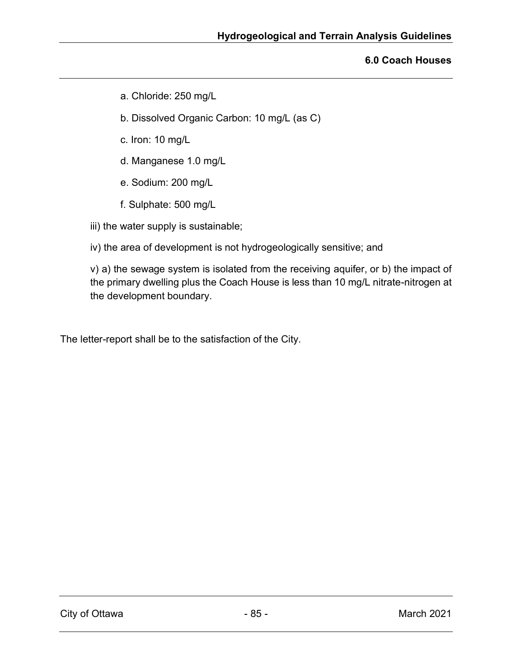## **6.0 Coach Houses**

a. Chloride: 250 mg/L

b. Dissolved Organic Carbon: 10 mg/L (as C)

c. Iron: 10 mg/L

- d. Manganese 1.0 mg/L
- e. Sodium: 200 mg/L
- f. Sulphate: 500 mg/L

iii) the water supply is sustainable;

iv) the area of development is not hydrogeologically sensitive; and

v) a) the sewage system is isolated from the receiving aquifer, or b) the impact of the primary dwelling plus the Coach House is less than 10 mg/L nitrate-nitrogen at the development boundary.

The letter-report shall be to the satisfaction of the City.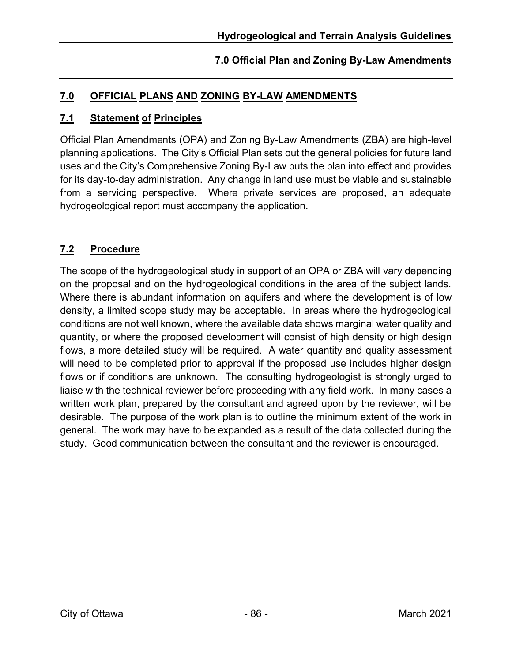## **7.0 Official Plan and Zoning By-Law Amendments**

## **7.0 OFFICIAL PLANS AND ZONING BY-LAW AMENDMENTS**

#### **7.1 Statement of Principles**

Official Plan Amendments (OPA) and Zoning By-Law Amendments (ZBA) are high-level planning applications. The City's Official Plan sets out the general policies for future land uses and the City's Comprehensive Zoning By-Law puts the plan into effect and provides for its day-to-day administration. Any change in land use must be viable and sustainable from a servicing perspective. Where private services are proposed, an adequate hydrogeological report must accompany the application.

### **7.2 Procedure**

The scope of the hydrogeological study in support of an OPA or ZBA will vary depending on the proposal and on the hydrogeological conditions in the area of the subject lands. Where there is abundant information on aquifers and where the development is of low density, a limited scope study may be acceptable. In areas where the hydrogeological conditions are not well known, where the available data shows marginal water quality and quantity, or where the proposed development will consist of high density or high design flows, a more detailed study will be required. A water quantity and quality assessment will need to be completed prior to approval if the proposed use includes higher design flows or if conditions are unknown. The consulting hydrogeologist is strongly urged to liaise with the technical reviewer before proceeding with any field work. In many cases a written work plan, prepared by the consultant and agreed upon by the reviewer, will be desirable. The purpose of the work plan is to outline the minimum extent of the work in general. The work may have to be expanded as a result of the data collected during the study. Good communication between the consultant and the reviewer is encouraged.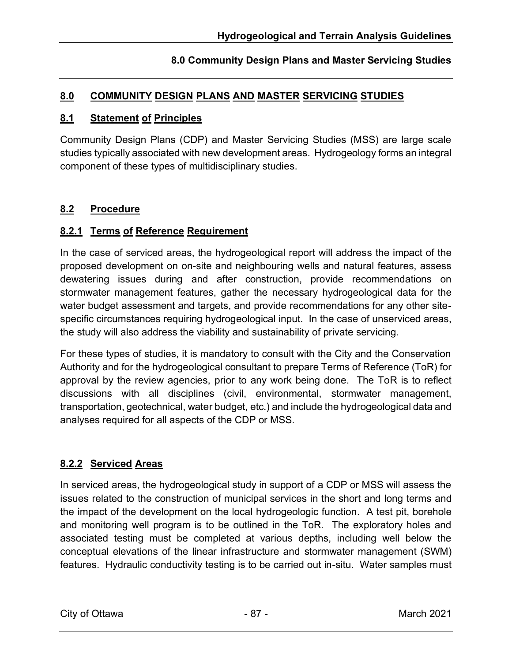### **8.0 COMMUNITY DESIGN PLANS AND MASTER SERVICING STUDIES**

#### **8.1 Statement of Principles**

Community Design Plans (CDP) and Master Servicing Studies (MSS) are large scale studies typically associated with new development areas. Hydrogeology forms an integral component of these types of multidisciplinary studies.

### **8.2 Procedure**

### **8.2.1 Terms of Reference Requirement**

In the case of serviced areas, the hydrogeological report will address the impact of the proposed development on on-site and neighbouring wells and natural features, assess dewatering issues during and after construction, provide recommendations on stormwater management features, gather the necessary hydrogeological data for the water budget assessment and targets, and provide recommendations for any other sitespecific circumstances requiring hydrogeological input. In the case of unserviced areas, the study will also address the viability and sustainability of private servicing.

For these types of studies, it is mandatory to consult with the City and the Conservation Authority and for the hydrogeological consultant to prepare Terms of Reference (ToR) for approval by the review agencies, prior to any work being done. The ToR is to reflect discussions with all disciplines (civil, environmental, stormwater management, transportation, geotechnical, water budget, etc.) and include the hydrogeological data and analyses required for all aspects of the CDP or MSS.

## **8.2.2 Serviced Areas**

In serviced areas, the hydrogeological study in support of a CDP or MSS will assess the issues related to the construction of municipal services in the short and long terms and the impact of the development on the local hydrogeologic function. A test pit, borehole and monitoring well program is to be outlined in the ToR. The exploratory holes and associated testing must be completed at various depths, including well below the conceptual elevations of the linear infrastructure and stormwater management (SWM) features. Hydraulic conductivity testing is to be carried out in-situ. Water samples must

City of Ottawa **- 87 - March 2021**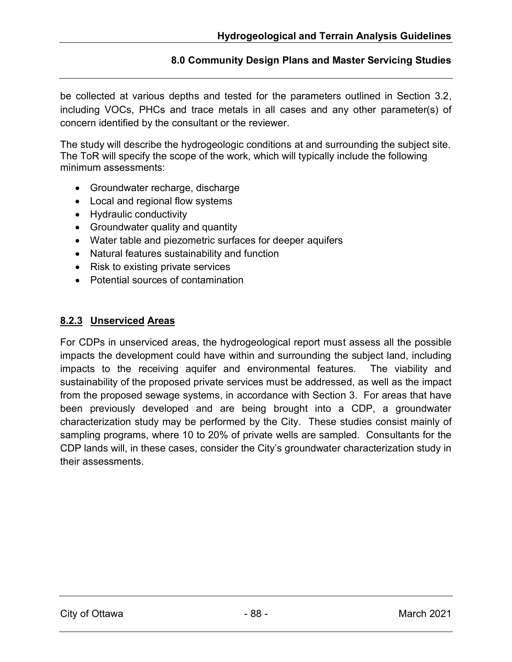be collected at various depths and tested for the parameters outlined in Section 3.2, including VOCs, PHCs and trace metals in all cases and any other parameter(s) of concern identified by the consultant or the reviewer.

The study will describe the hydrogeologic conditions at and surrounding the subject site. The ToR will specify the scope of the work, which will typically include the following minimum assessments:

- Groundwater recharge, discharge
- Local and regional flow systems
- Hydraulic conductivity
- Groundwater quality and quantity
- Water table and piezometric surfaces for deeper aquifers
- Natural features sustainability and function
- Risk to existing private services
- Potential sources of contamination

## **8.2.3 Unserviced Areas**

For CDPs in unserviced areas, the hydrogeological report must assess all the possible impacts the development could have within and surrounding the subject land, including impacts to the receiving aquifer and environmental features. The viability and sustainability of the proposed private services must be addressed, as well as the impact from the proposed sewage systems, in accordance with Section 3. For areas that have been previously developed and are being brought into a CDP, a groundwater characterization study may be performed by the City. These studies consist mainly of sampling programs, where 10 to 20% of private wells are sampled. Consultants for the CDP lands will, in these cases, consider the City's groundwater characterization study in their assessments.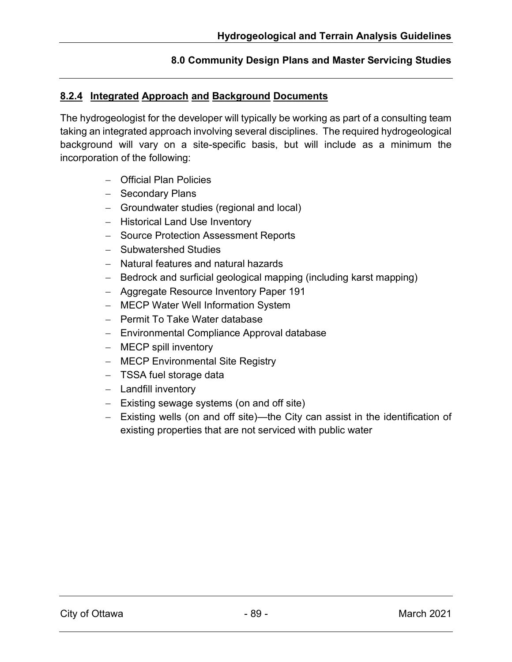### **8.2.4 Integrated Approach and Background Documents**

The hydrogeologist for the developer will typically be working as part of a consulting team taking an integrated approach involving several disciplines. The required hydrogeological background will vary on a site-specific basis, but will include as a minimum the incorporation of the following:

- − Official Plan Policies
- − Secondary Plans
- − Groundwater studies (regional and local)
- − Historical Land Use Inventory
- − Source Protection Assessment Reports
- − Subwatershed Studies
- − Natural features and natural hazards
- − Bedrock and surficial geological mapping (including karst mapping)
- − Aggregate Resource Inventory Paper 191
- − MECP Water Well Information System
- − Permit To Take Water database
- − Environmental Compliance Approval database
- − MECP spill inventory
- − MECP Environmental Site Registry
- − TSSA fuel storage data
- − Landfill inventory
- − Existing sewage systems (on and off site)
- − Existing wells (on and off site)—the City can assist in the identification of existing properties that are not serviced with public water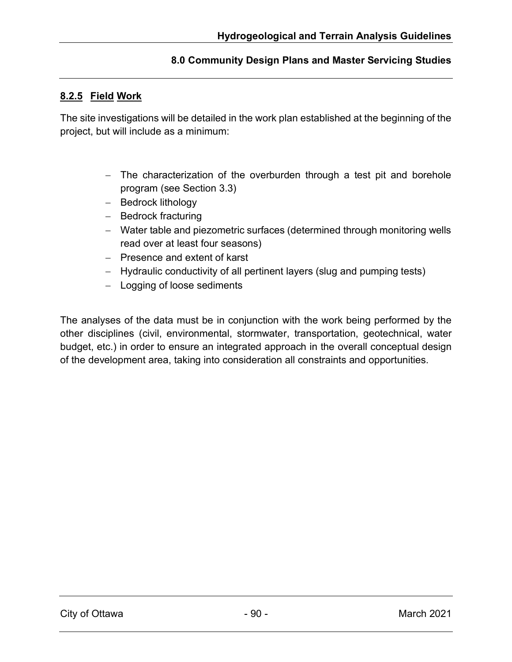# **8.2.5 Field Work**

The site investigations will be detailed in the work plan established at the beginning of the project, but will include as a minimum:

- − The characterization of the overburden through a test pit and borehole program (see Section 3.3)
- − Bedrock lithology
- − Bedrock fracturing
- − Water table and piezometric surfaces (determined through monitoring wells read over at least four seasons)
- − Presence and extent of karst
- − Hydraulic conductivity of all pertinent layers (slug and pumping tests)
- − Logging of loose sediments

The analyses of the data must be in conjunction with the work being performed by the other disciplines (civil, environmental, stormwater, transportation, geotechnical, water budget, etc.) in order to ensure an integrated approach in the overall conceptual design of the development area, taking into consideration all constraints and opportunities.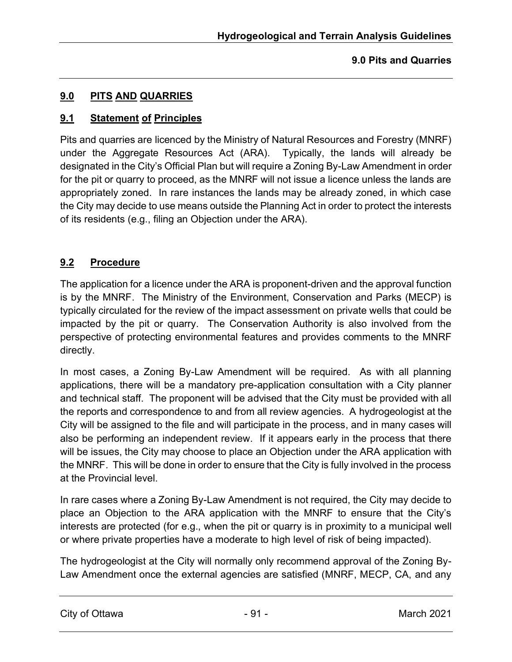**9.0 Pits and Quarries**

## **9.0 PITS AND QUARRIES**

#### **9.1 Statement of Principles**

Pits and quarries are licenced by the Ministry of Natural Resources and Forestry (MNRF) under the Aggregate Resources Act (ARA). Typically, the lands will already be designated in the City's Official Plan but will require a Zoning By-Law Amendment in order for the pit or quarry to proceed, as the MNRF will not issue a licence unless the lands are appropriately zoned. In rare instances the lands may be already zoned, in which case the City may decide to use means outside the Planning Act in order to protect the interests of its residents (e.g., filing an Objection under the ARA).

### **9.2 Procedure**

The application for a licence under the ARA is proponent-driven and the approval function is by the MNRF. The Ministry of the Environment, Conservation and Parks (MECP) is typically circulated for the review of the impact assessment on private wells that could be impacted by the pit or quarry. The Conservation Authority is also involved from the perspective of protecting environmental features and provides comments to the MNRF directly.

In most cases, a Zoning By-Law Amendment will be required. As with all planning applications, there will be a mandatory pre-application consultation with a City planner and technical staff. The proponent will be advised that the City must be provided with all the reports and correspondence to and from all review agencies. A hydrogeologist at the City will be assigned to the file and will participate in the process, and in many cases will also be performing an independent review. If it appears early in the process that there will be issues, the City may choose to place an Objection under the ARA application with the MNRF. This will be done in order to ensure that the City is fully involved in the process at the Provincial level.

In rare cases where a Zoning By-Law Amendment is not required, the City may decide to place an Objection to the ARA application with the MNRF to ensure that the City's interests are protected (for e.g., when the pit or quarry is in proximity to a municipal well or where private properties have a moderate to high level of risk of being impacted).

The hydrogeologist at the City will normally only recommend approval of the Zoning By-Law Amendment once the external agencies are satisfied (MNRF, MECP, CA, and any

|  | City of Ottawa |
|--|----------------|
|--|----------------|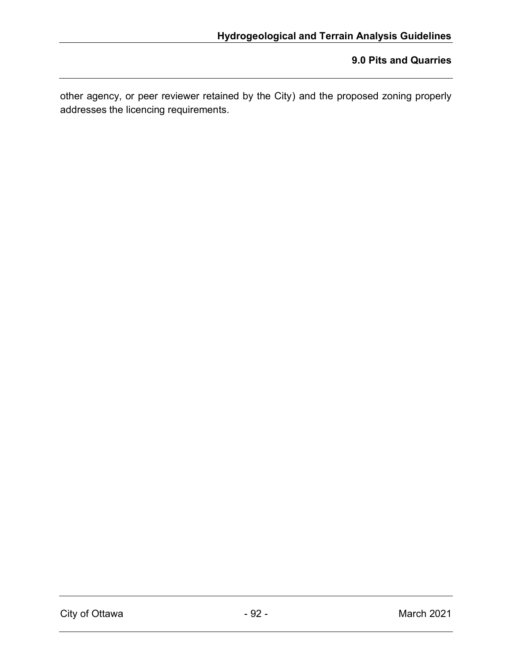**9.0 Pits and Quarries**

other agency, or peer reviewer retained by the City) and the proposed zoning properly addresses the licencing requirements.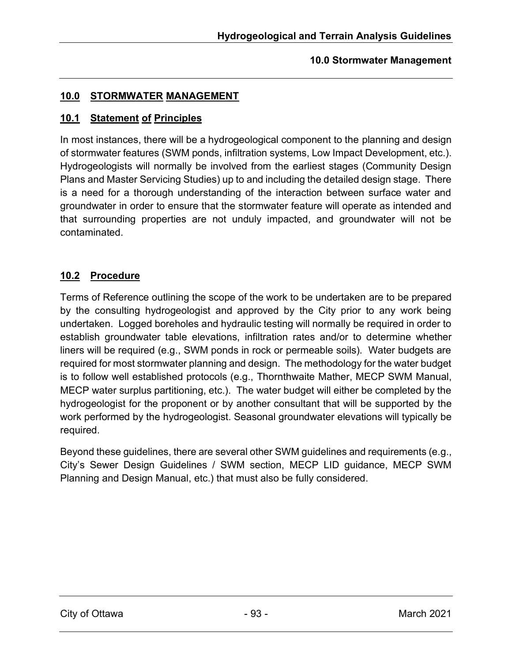#### **10.0 Stormwater Management**

### **10.0 STORMWATER MANAGEMENT**

#### **10.1 Statement of Principles**

In most instances, there will be a hydrogeological component to the planning and design of stormwater features (SWM ponds, infiltration systems, Low Impact Development, etc.). Hydrogeologists will normally be involved from the earliest stages (Community Design Plans and Master Servicing Studies) up to and including the detailed design stage. There is a need for a thorough understanding of the interaction between surface water and groundwater in order to ensure that the stormwater feature will operate as intended and that surrounding properties are not unduly impacted, and groundwater will not be contaminated.

### **10.2 Procedure**

Terms of Reference outlining the scope of the work to be undertaken are to be prepared by the consulting hydrogeologist and approved by the City prior to any work being undertaken. Logged boreholes and hydraulic testing will normally be required in order to establish groundwater table elevations, infiltration rates and/or to determine whether liners will be required (e.g., SWM ponds in rock or permeable soils). Water budgets are required for most stormwater planning and design. The methodology for the water budget is to follow well established protocols (e.g., Thornthwaite Mather, MECP SWM Manual, MECP water surplus partitioning, etc.). The water budget will either be completed by the hydrogeologist for the proponent or by another consultant that will be supported by the work performed by the hydrogeologist. Seasonal groundwater elevations will typically be required.

Beyond these guidelines, there are several other SWM guidelines and requirements (e.g., City's Sewer Design Guidelines / SWM section, MECP LID guidance, MECP SWM Planning and Design Manual, etc.) that must also be fully considered.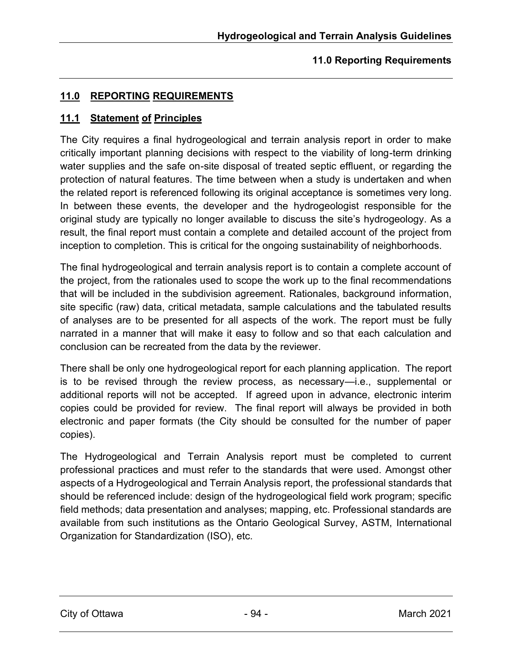### **11.0 Reporting Requirements**

# **11.0 REPORTING REQUIREMENTS**

#### **11.1 Statement of Principles**

The City requires a final hydrogeological and terrain analysis report in order to make critically important planning decisions with respect to the viability of long-term drinking water supplies and the safe on-site disposal of treated septic effluent, or regarding the protection of natural features. The time between when a study is undertaken and when the related report is referenced following its original acceptance is sometimes very long. In between these events, the developer and the hydrogeologist responsible for the original study are typically no longer available to discuss the site's hydrogeology. As a result, the final report must contain a complete and detailed account of the project from inception to completion. This is critical for the ongoing sustainability of neighborhoods.

The final hydrogeological and terrain analysis report is to contain a complete account of the project, from the rationales used to scope the work up to the final recommendations that will be included in the subdivision agreement. Rationales, background information, site specific (raw) data, critical metadata, sample calculations and the tabulated results of analyses are to be presented for all aspects of the work. The report must be fully narrated in a manner that will make it easy to follow and so that each calculation and conclusion can be recreated from the data by the reviewer.

There shall be only one hydrogeological report for each planning application. The report is to be revised through the review process, as necessary—i.e., supplemental or additional reports will not be accepted. If agreed upon in advance, electronic interim copies could be provided for review. The final report will always be provided in both electronic and paper formats (the City should be consulted for the number of paper copies).

The Hydrogeological and Terrain Analysis report must be completed to current professional practices and must refer to the standards that were used. Amongst other aspects of a Hydrogeological and Terrain Analysis report, the professional standards that should be referenced include: design of the hydrogeological field work program; specific field methods; data presentation and analyses; mapping, etc. Professional standards are available from such institutions as the Ontario Geological Survey, ASTM, International Organization for Standardization (ISO), etc.

City of Ottawa **- 94 -** Page 2021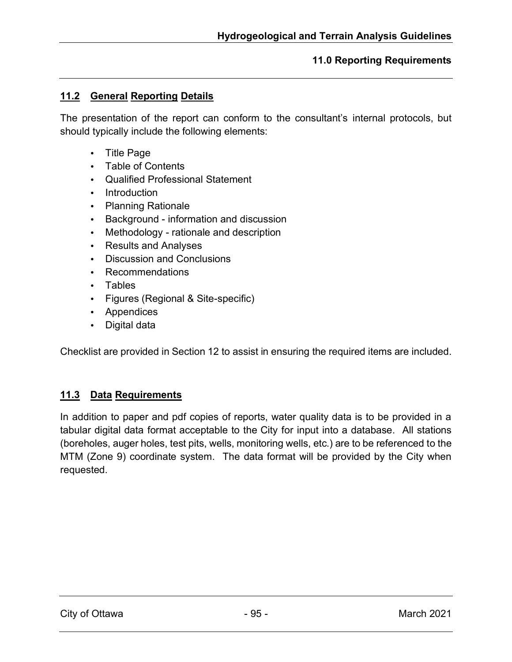#### **11.0 Reporting Requirements**

### **11.2 General Reporting Details**

The presentation of the report can conform to the consultant's internal protocols, but should typically include the following elements:

- Title Page
- Table of Contents
- Qualified Professional Statement
- Introduction
- Planning Rationale
- Background information and discussion
- Methodology rationale and description
- Results and Analyses
- Discussion and Conclusions
- Recommendations
- Tables
- Figures (Regional & Site-specific)
- Appendices
- Digital data

Checklist are provided in Section 12 to assist in ensuring the required items are included.

#### **11.3 Data Requirements**

In addition to paper and pdf copies of reports, water quality data is to be provided in a tabular digital data format acceptable to the City for input into a database. All stations (boreholes, auger holes, test pits, wells, monitoring wells, etc.) are to be referenced to the MTM (Zone 9) coordinate system. The data format will be provided by the City when requested.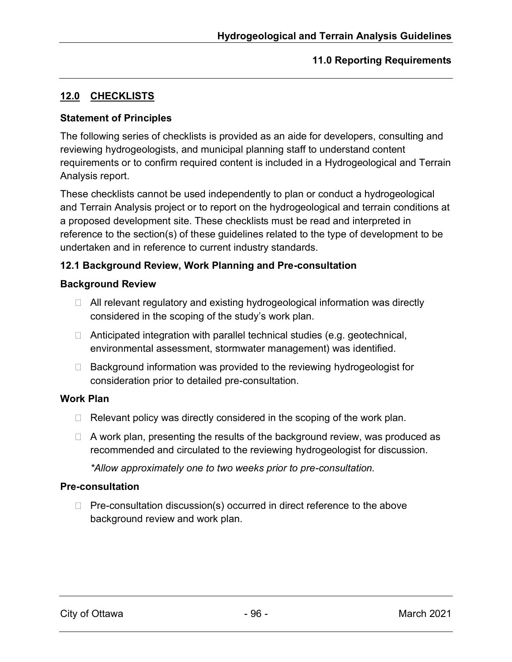### **11.0 Reporting Requirements**

# **12.0 CHECKLISTS**

### **Statement of Principles**

The following series of checklists is provided as an aide for developers, consulting and reviewing hydrogeologists, and municipal planning staff to understand content requirements or to confirm required content is included in a Hydrogeological and Terrain Analysis report.

These checklists cannot be used independently to plan or conduct a hydrogeological and Terrain Analysis project or to report on the hydrogeological and terrain conditions at a proposed development site. These checklists must be read and interpreted in reference to the section(s) of these guidelines related to the type of development to be undertaken and in reference to current industry standards.

### **12.1 Background Review, Work Planning and Pre-consultation**

#### **Background Review**

- ▯ All relevant regulatory and existing hydrogeological information was directly considered in the scoping of the study's work plan.
- ▯ Anticipated integration with parallel technical studies (e.g. geotechnical, environmental assessment, stormwater management) was identified.
- $\Box$  Background information was provided to the reviewing hydrogeologist for consideration prior to detailed pre-consultation.

#### **Work Plan**

- ▯ Relevant policy was directly considered in the scoping of the work plan.
- ▯ A work plan, presenting the results of the background review, was produced as recommended and circulated to the reviewing hydrogeologist for discussion.

*\*Allow approximately one to two weeks prior to pre-consultation.* 

#### **Pre-consultation**

▯ Pre-consultation discussion(s) occurred in direct reference to the above background review and work plan.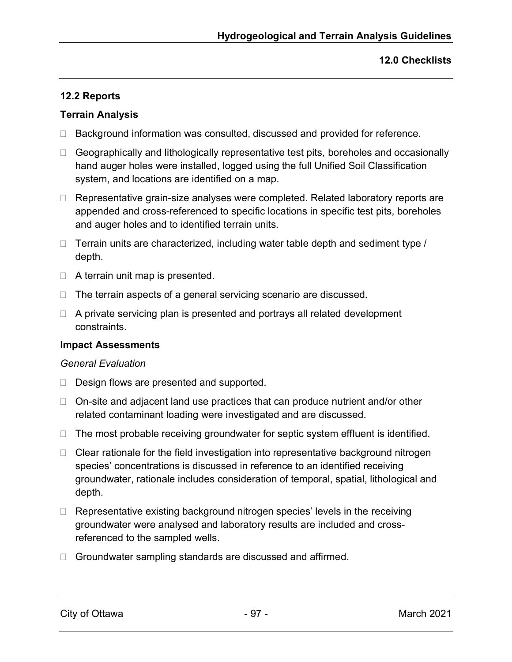#### **12.2 Reports**

#### **Terrain Analysis**

- ▯ Background information was consulted, discussed and provided for reference.
- $\Box$  Geographically and lithologically representative test pits, boreholes and occasionally hand auger holes were installed, logged using the full Unified Soil Classification system, and locations are identified on a map.
- ▯ Representative grain-size analyses were completed. Related laboratory reports are appended and cross-referenced to specific locations in specific test pits, boreholes and auger holes and to identified terrain units.
- $\Box$  Terrain units are characterized, including water table depth and sediment type / depth.
- □ A terrain unit map is presented.
- ▯ The terrain aspects of a general servicing scenario are discussed.
- □ A private servicing plan is presented and portrays all related development constraints.

#### **Impact Assessments**

#### *General Evaluation*

- □ Design flows are presented and supported.
- □ On-site and adjacent land use practices that can produce nutrient and/or other related contaminant loading were investigated and are discussed.
- □ The most probable receiving groundwater for septic system effluent is identified.
- □ Clear rationale for the field investigation into representative background nitrogen species' concentrations is discussed in reference to an identified receiving groundwater, rationale includes consideration of temporal, spatial, lithological and depth.
- □ Representative existing background nitrogen species' levels in the receiving groundwater were analysed and laboratory results are included and crossreferenced to the sampled wells.
- ▯ Groundwater sampling standards are discussed and affirmed.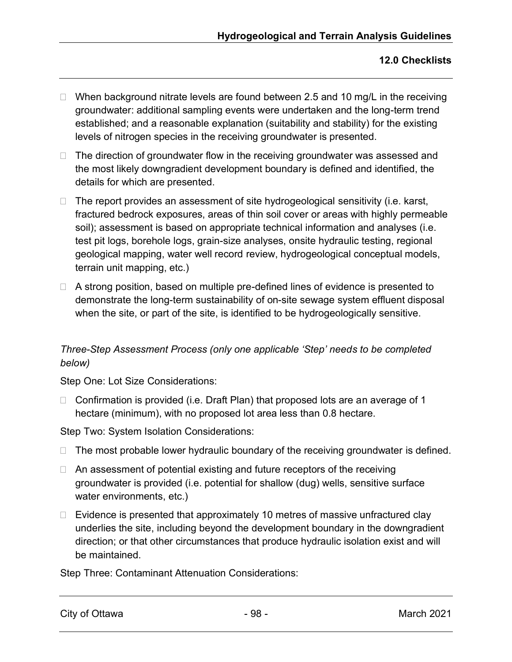- □ When background nitrate levels are found between 2.5 and 10 mg/L in the receiving groundwater: additional sampling events were undertaken and the long-term trend established; and a reasonable explanation (suitability and stability) for the existing levels of nitrogen species in the receiving groundwater is presented.
- □ The direction of groundwater flow in the receiving groundwater was assessed and the most likely downgradient development boundary is defined and identified, the details for which are presented.
- ▯ The report provides an assessment of site hydrogeological sensitivity (i.e. karst, fractured bedrock exposures, areas of thin soil cover or areas with highly permeable soil); assessment is based on appropriate technical information and analyses (i.e. test pit logs, borehole logs, grain-size analyses, onsite hydraulic testing, regional geological mapping, water well record review, hydrogeological conceptual models, terrain unit mapping, etc.)
- □ A strong position, based on multiple pre-defined lines of evidence is presented to demonstrate the long-term sustainability of on-site sewage system effluent disposal when the site, or part of the site, is identified to be hydrogeologically sensitive.

## *Three-Step Assessment Process (only one applicable 'Step' needs to be completed below)*

Step One: Lot Size Considerations:

 $\Box$  Confirmation is provided (i.e. Draft Plan) that proposed lots are an average of 1 hectare (minimum), with no proposed lot area less than 0.8 hectare.

Step Two: System Isolation Considerations:

- □ The most probable lower hydraulic boundary of the receiving groundwater is defined.
- ▯ An assessment of potential existing and future receptors of the receiving groundwater is provided (i.e. potential for shallow (dug) wells, sensitive surface water environments, etc.)
- ▯ Evidence is presented that approximately 10 metres of massive unfractured clay underlies the site, including beyond the development boundary in the downgradient direction; or that other circumstances that produce hydraulic isolation exist and will be maintained.

Step Three: Contaminant Attenuation Considerations:

City of Ottawa **- 98 - March 2021**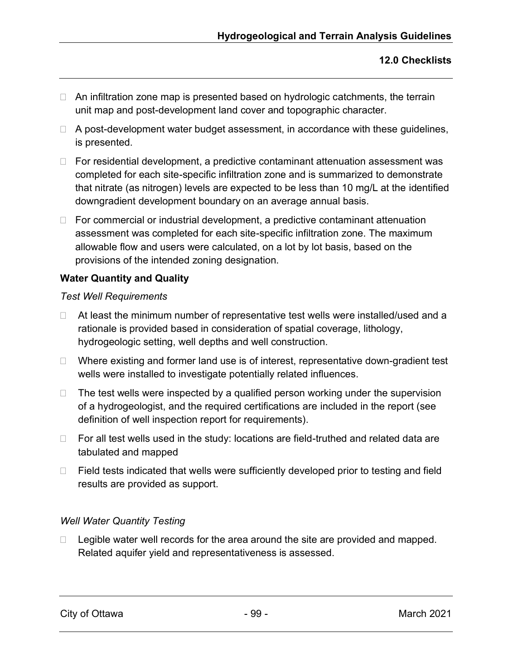- □ An infiltration zone map is presented based on hydrologic catchments, the terrain unit map and post-development land cover and topographic character.
- □ A post-development water budget assessment, in accordance with these guidelines, is presented.
- ▯ For residential development, a predictive contaminant attenuation assessment was completed for each site-specific infiltration zone and is summarized to demonstrate that nitrate (as nitrogen) levels are expected to be less than 10 mg/L at the identified downgradient development boundary on an average annual basis.
- ▯ For commercial or industrial development, a predictive contaminant attenuation assessment was completed for each site-specific infiltration zone. The maximum allowable flow and users were calculated, on a lot by lot basis, based on the provisions of the intended zoning designation.

#### **Water Quantity and Quality**

#### *Test Well Requirements*

- ▯ At least the minimum number of representative test wells were installed/used and a rationale is provided based in consideration of spatial coverage, lithology, hydrogeologic setting, well depths and well construction.
- ▯ Where existing and former land use is of interest, representative down-gradient test wells were installed to investigate potentially related influences.
- □ The test wells were inspected by a qualified person working under the supervision of a hydrogeologist, and the required certifications are included in the report (see definition of well inspection report for requirements).
- ▯ For all test wells used in the study: locations are field-truthed and related data are tabulated and mapped
- $\Box$  Field tests indicated that wells were sufficiently developed prior to testing and field results are provided as support.

#### *Well Water Quantity Testing*

▯ Legible water well records for the area around the site are provided and mapped. Related aquifer yield and representativeness is assessed.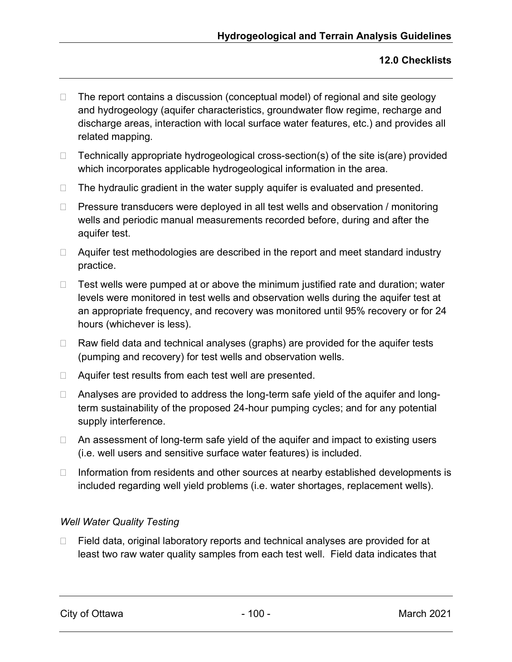- ▯ The report contains a discussion (conceptual model) of regional and site geology and hydrogeology (aquifer characteristics, groundwater flow regime, recharge and discharge areas, interaction with local surface water features, etc.) and provides all related mapping.
- ▯ Technically appropriate hydrogeological cross-section(s) of the site is(are) provided which incorporates applicable hydrogeological information in the area.
- ▯ The hydraulic gradient in the water supply aquifer is evaluated and presented.
- □ Pressure transducers were deployed in all test wells and observation / monitoring wells and periodic manual measurements recorded before, during and after the aquifer test.
- ▯ Aquifer test methodologies are described in the report and meet standard industry practice.
- ▯ Test wells were pumped at or above the minimum justified rate and duration; water levels were monitored in test wells and observation wells during the aquifer test at an appropriate frequency, and recovery was monitored until 95% recovery or for 24 hours (whichever is less).
- ▯ Raw field data and technical analyses (graphs) are provided for the aquifer tests (pumping and recovery) for test wells and observation wells.
- □ Aquifer test results from each test well are presented.
- ▯ Analyses are provided to address the long-term safe yield of the aquifer and longterm sustainability of the proposed 24-hour pumping cycles; and for any potential supply interference.
- ▯ An assessment of long-term safe yield of the aquifer and impact to existing users (i.e. well users and sensitive surface water features) is included.
- ▯ Information from residents and other sources at nearby established developments is included regarding well yield problems (i.e. water shortages, replacement wells).

#### *Well Water Quality Testing*

▯ Field data, original laboratory reports and technical analyses are provided for at least two raw water quality samples from each test well. Field data indicates that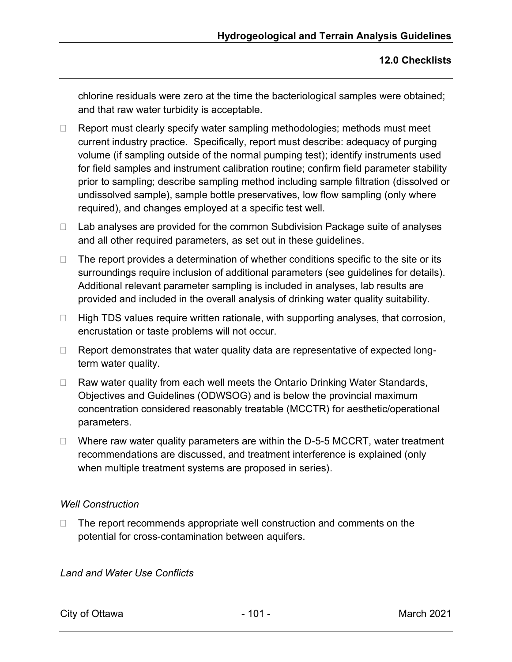chlorine residuals were zero at the time the bacteriological samples were obtained; and that raw water turbidity is acceptable.

- ▯ Report must clearly specify water sampling methodologies; methods must meet current industry practice. Specifically, report must describe: adequacy of purging volume (if sampling outside of the normal pumping test); identify instruments used for field samples and instrument calibration routine; confirm field parameter stability prior to sampling; describe sampling method including sample filtration (dissolved or undissolved sample), sample bottle preservatives, low flow sampling (only where required), and changes employed at a specific test well.
- ▯ Lab analyses are provided for the common Subdivision Package suite of analyses and all other required parameters, as set out in these guidelines.
- ▯ The report provides a determination of whether conditions specific to the site or its surroundings require inclusion of additional parameters (see guidelines for details). Additional relevant parameter sampling is included in analyses, lab results are provided and included in the overall analysis of drinking water quality suitability.
- ▯ High TDS values require written rationale, with supporting analyses, that corrosion, encrustation or taste problems will not occur.
- ▯ Report demonstrates that water quality data are representative of expected longterm water quality.
- ▯ Raw water quality from each well meets the Ontario Drinking Water Standards, Objectives and Guidelines (ODWSOG) and is below the provincial maximum concentration considered reasonably treatable (MCCTR) for aesthetic/operational parameters.
- ▯ Where raw water quality parameters are within the D-5-5 MCCRT, water treatment recommendations are discussed, and treatment interference is explained (only when multiple treatment systems are proposed in series).

#### *Well Construction*

▯ The report recommends appropriate well construction and comments on the potential for cross-contamination between aquifers.

*Land and Water Use Conflicts* 

City of Ottawa **City of Ottawa** - 101 - All and the March 2021